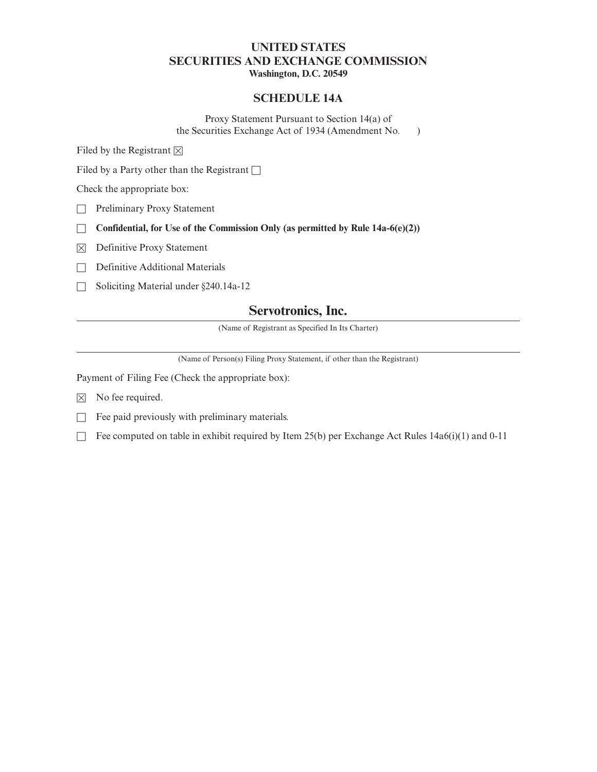## **UNITED STATES SECURITIES AND EXCHANGE COMMISSION Washington, D.C. 20549**

## **SCHEDULE 14A**

Proxy Statement Pursuant to Section 14(a) of the Securities Exchange Act of 1934 (Amendment No. )

Filed by the Registrant  $\boxtimes$ 

Filed by a Party other than the Registrant  $□$ 

Check the appropriate box:

☐ Preliminary Proxy Statement

**Confidential, for Use of the Commission Only (as permitted by Rule 14a-6(e)(2))** 

☒ Definitive Proxy Statement

☐ Definitive Additional Materials

☐ Soliciting Material under §240.14a-12

# **Servotronics, Inc.**

(Name of Registrant as Specified In Its Charter)

(Name of Person(s) Filing Proxy Statement, if other than the Registrant)

Payment of Filing Fee (Check the appropriate box):

- $\boxtimes$  No fee required.
- $\Box$  Fee paid previously with preliminary materials.
- □ Fee computed on table in exhibit required by Item  $25(b)$  per Exchange Act Rules  $14a6(i)(1)$  and 0-11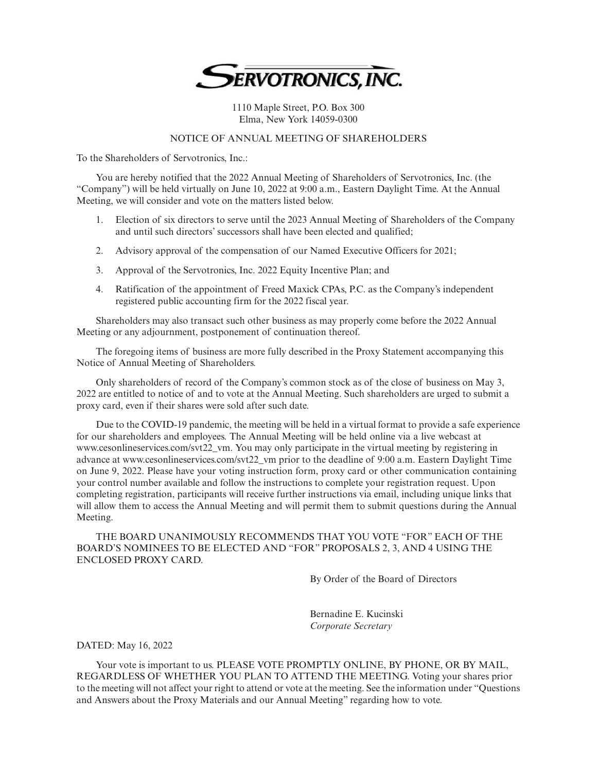

1110 Maple Street, P.O. Box 300 Elma, New York 14059-0300

## NOTICE OF ANNUAL MEETING OF SHAREHOLDERS

To the Shareholders of Servotronics, Inc.:

You are hereby notified that the 2022 Annual Meeting of Shareholders of Servotronics, Inc. (the "Company") will be held virtually on June 10, 2022 at 9:00 a.m., Eastern Daylight Time. At the Annual Meeting, we will consider and vote on the matters listed below.

- 1. Election of six directors to serve until the 2023 Annual Meeting of Shareholders of the Company and until such directors' successors shall have been elected and qualified;
- 2. Advisory approval of the compensation of our Named Executive Officers for 2021;
- 3. Approval of the Servotronics, Inc. 2022 Equity Incentive Plan; and
- 4. Ratification of the appointment of Freed Maxick CPAs, P.C. as the Company's independent registered public accounting firm for the 2022 fiscal year.

Shareholders may also transact such other business as may properly come before the 2022 Annual Meeting or any adjournment, postponement of continuation thereof.

The foregoing items of business are more fully described in the Proxy Statement accompanying this Notice of Annual Meeting of Shareholders.

Only shareholders of record of the Company's common stock as of the close of business on May 3, 2022 are entitled to notice of and to vote at the Annual Meeting. Such shareholders are urged to submit a proxy card, even if their shares were sold after such date.

Due to the COVID-19 pandemic, the meeting will be held in a virtual format to provide a safe experience for our shareholders and employees. The Annual Meeting will be held online via a live webcast at www.cesonlineservices.com/svt22\_vm. You may only participate in the virtual meeting by registering in advance at www.cesonlineservices.com/svt22\_vm prior to the deadline of 9:00 a.m. Eastern Daylight Time on June 9, 2022. Please have your voting instruction form, proxy card or other communication containing your control number available and follow the instructions to complete your registration request. Upon completing registration, participants will receive further instructions via email, including unique links that will allow them to access the Annual Meeting and will permit them to submit questions during the Annual Meeting.

THE BOARD UNANIMOUSLY RECOMMENDS THAT YOU VOTE "FOR" EACH OF THE BOARD'S NOMINEES TO BE ELECTED AND "FOR" PROPOSALS 2, 3, AND 4 USING THE ENCLOSED PROXY CARD.

By Order of the Board of Directors

Bernadine E. Kucinski *Corporate Secretary*

DATED: May 16, 2022

Your vote is important to us. PLEASE VOTE PROMPTLY ONLINE, BY PHONE, OR BY MAIL, REGARDLESS OF WHETHER YOU PLAN TO ATTEND THE MEETING. Voting your shares prior to the meeting will not affect your right to attend or vote at the meeting. See the information under "Questions and Answers about the Proxy Materials and our Annual Meeting" regarding how to vote.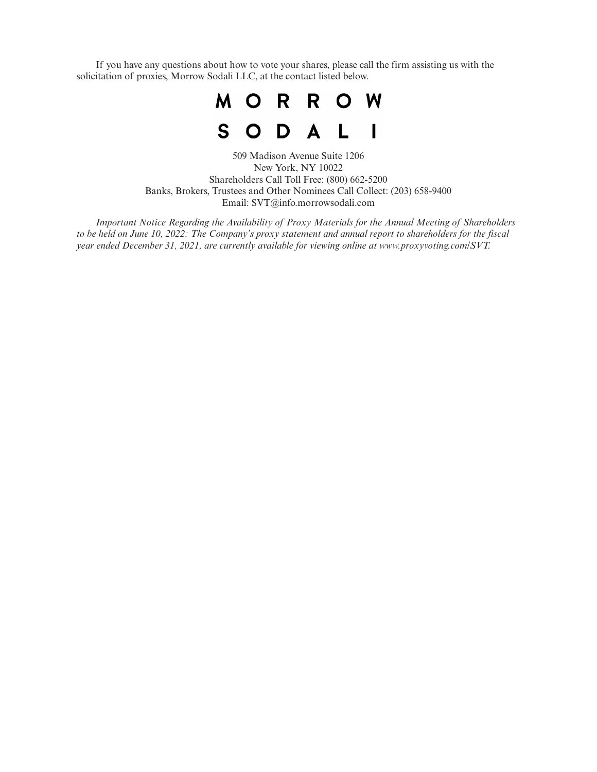If you have any questions about how to vote your shares, please call the firm assisting us with the solicitation of proxies, Morrow Sodali LLC, at the contact listed below.



509 Madison Avenue Suite 1206 New York, NY 10022 Shareholders Call Toll Free: (800) 662-5200 Banks, Brokers, Trustees and Other Nominees Call Collect: (203) 658-9400 Email: SVT@info.morrowsodali.com

*Important Notice Regarding the Availability of Proxy Materials for the Annual Meeting of Shareholders to be held on June 10, 2022: The Company's proxy statement and annual report to shareholders for the fiscal year ended December 31, 2021, are currently available for viewing online at www.proxyvoting.com/SVT.*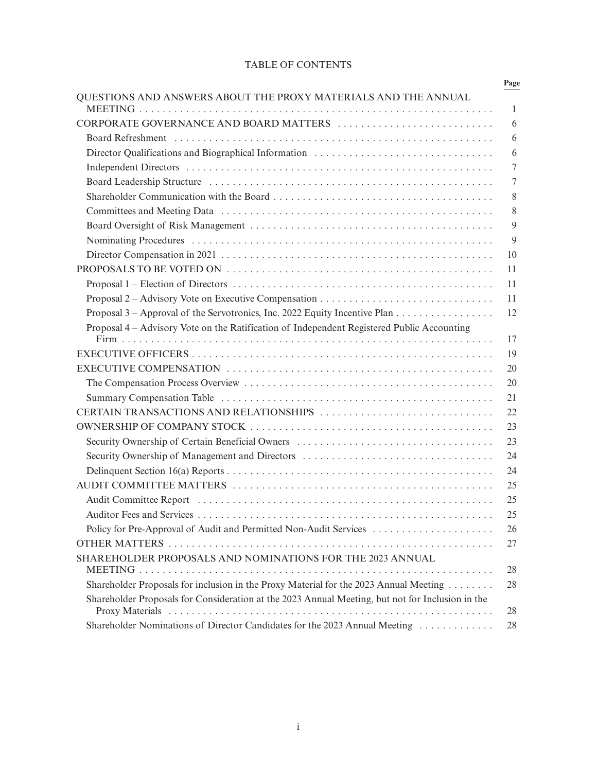# TABLE OF CONTENTS

|                                                                                                  | Page         |
|--------------------------------------------------------------------------------------------------|--------------|
| QUESTIONS AND ANSWERS ABOUT THE PROXY MATERIALS AND THE ANNUAL                                   |              |
|                                                                                                  | $\mathbf{1}$ |
| CORPORATE GOVERNANCE AND BOARD MATTERS                                                           | 6            |
|                                                                                                  | 6            |
| Director Qualifications and Biographical Information                                             | 6            |
|                                                                                                  | 7            |
|                                                                                                  | 7            |
|                                                                                                  | 8            |
|                                                                                                  | 8            |
|                                                                                                  | 9            |
|                                                                                                  | 9            |
|                                                                                                  | 10           |
|                                                                                                  | 11           |
|                                                                                                  | 11           |
|                                                                                                  | 11           |
| Proposal 3 – Approval of the Servotronics, Inc. 2022 Equity Incentive Plan                       | 12           |
| Proposal 4 - Advisory Vote on the Ratification of Independent Registered Public Accounting       | 17           |
|                                                                                                  | 19           |
|                                                                                                  | 20           |
|                                                                                                  | 20           |
|                                                                                                  | 21           |
| CERTAIN TRANSACTIONS AND RELATIONSHIPS                                                           | 22           |
|                                                                                                  | 23           |
| Security Ownership of Certain Beneficial Owners                                                  | 23           |
| Security Ownership of Management and Directors                                                   | 24           |
|                                                                                                  | 24           |
|                                                                                                  | 25           |
|                                                                                                  | 25           |
|                                                                                                  | 25           |
| Policy for Pre-Approval of Audit and Permitted Non-Audit Services                                | 26           |
|                                                                                                  | 27           |
| SHAREHOLDER PROPOSALS AND NOMINATIONS FOR THE 2023 ANNUAL                                        | 28           |
| Shareholder Proposals for inclusion in the Proxy Material for the 2023 Annual Meeting            | 28           |
| Shareholder Proposals for Consideration at the 2023 Annual Meeting, but not for Inclusion in the |              |
|                                                                                                  | 28           |
| Shareholder Nominations of Director Candidates for the 2023 Annual Meeting                       | 28           |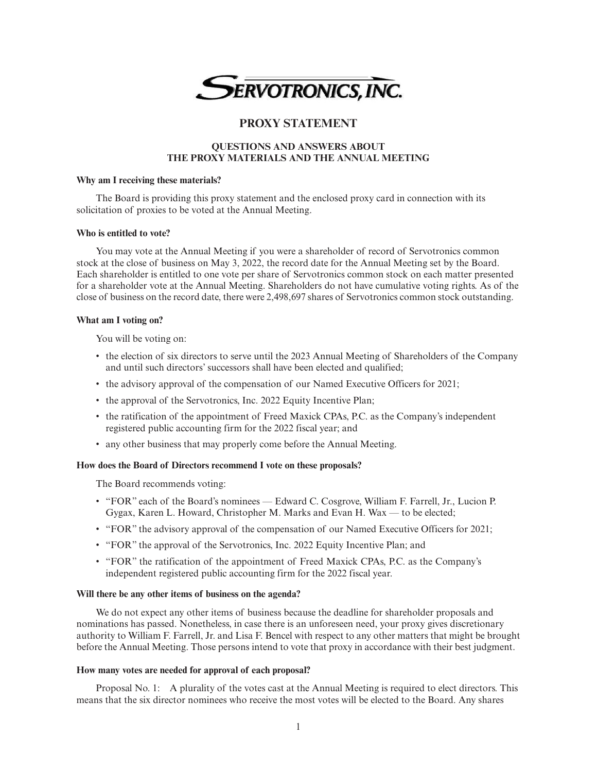

# **PROXY STATEMENT**

## **QUESTIONS AND ANSWERS ABOUT THE PROXY MATERIALS AND THE ANNUAL MEETING**

## **Why am I receiving these materials?**

The Board is providing this proxy statement and the enclosed proxy card in connection with its solicitation of proxies to be voted at the Annual Meeting.

## **Who is entitled to vote?**

You may vote at the Annual Meeting if you were a shareholder of record of Servotronics common stock at the close of business on May 3, 2022, the record date for the Annual Meeting set by the Board. Each shareholder is entitled to one vote per share of Servotronics common stock on each matter presented for a shareholder vote at the Annual Meeting. Shareholders do not have cumulative voting rights. As of the close of business on the record date, there were 2,498,697 shares of Servotronics common stock outstanding.

## **What am I voting on?**

You will be voting on:

- the election of six directors to serve until the 2023 Annual Meeting of Shareholders of the Company and until such directors' successors shall have been elected and qualified;
- the advisory approval of the compensation of our Named Executive Officers for 2021;
- the approval of the Servotronics, Inc. 2022 Equity Incentive Plan;
- the ratification of the appointment of Freed Maxick CPAs, P.C. as the Company's independent registered public accounting firm for the 2022 fiscal year; and
- any other business that may properly come before the Annual Meeting.

## **How does the Board of Directors recommend I vote on these proposals?**

The Board recommends voting:

- "FOR" each of the Board's nominees Edward C. Cosgrove, William F. Farrell, Jr., Lucion P. Gygax, Karen L. Howard, Christopher M. Marks and Evan H. Wax — to be elected;
- "FOR" the advisory approval of the compensation of our Named Executive Officers for 2021;
- "FOR" the approval of the Servotronics, Inc. 2022 Equity Incentive Plan; and
- "FOR" the ratification of the appointment of Freed Maxick CPAs, P.C. as the Company's independent registered public accounting firm for the 2022 fiscal year.

## **Will there be any other items of business on the agenda?**

We do not expect any other items of business because the deadline for shareholder proposals and nominations has passed. Nonetheless, in case there is an unforeseen need, your proxy gives discretionary authority to William F. Farrell, Jr. and Lisa F. Bencel with respect to any other matters that might be brought before the Annual Meeting. Those persons intend to vote that proxy in accordance with their best judgment.

#### **How many votes are needed for approval of each proposal?**

Proposal No. 1: A plurality of the votes cast at the Annual Meeting is required to elect directors. This means that the six director nominees who receive the most votes will be elected to the Board. Any shares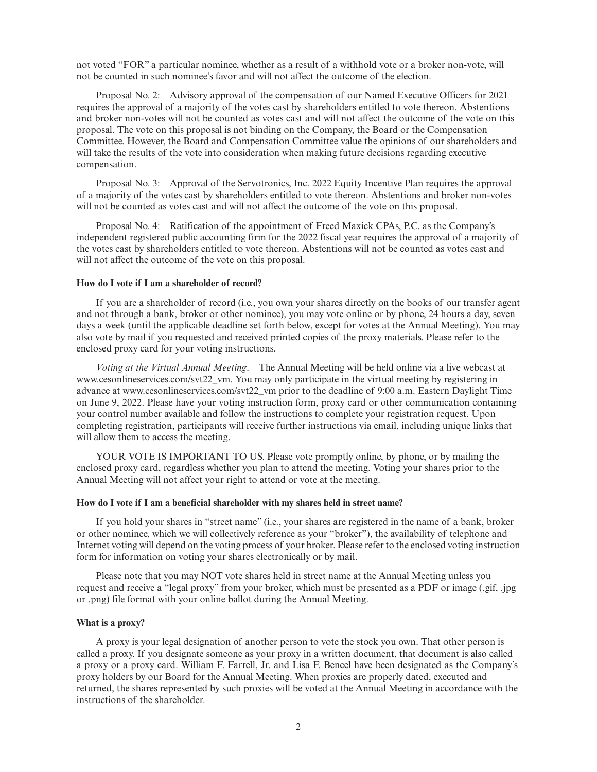not voted "FOR" a particular nominee, whether as a result of a withhold vote or a broker non-vote, will not be counted in such nominee's favor and will not affect the outcome of the election.

Proposal No. 2: Advisory approval of the compensation of our Named Executive Officers for 2021 requires the approval of a majority of the votes cast by shareholders entitled to vote thereon. Abstentions and broker non-votes will not be counted as votes cast and will not affect the outcome of the vote on this proposal. The vote on this proposal is not binding on the Company, the Board or the Compensation Committee. However, the Board and Compensation Committee value the opinions of our shareholders and will take the results of the vote into consideration when making future decisions regarding executive compensation.

Proposal No. 3: Approval of the Servotronics, Inc. 2022 Equity Incentive Plan requires the approval of a majority of the votes cast by shareholders entitled to vote thereon. Abstentions and broker non-votes will not be counted as votes cast and will not affect the outcome of the vote on this proposal.

Proposal No. 4: Ratification of the appointment of Freed Maxick CPAs, P.C. as the Company's independent registered public accounting firm for the 2022 fiscal year requires the approval of a majority of the votes cast by shareholders entitled to vote thereon. Abstentions will not be counted as votes cast and will not affect the outcome of the vote on this proposal.

## **How do I vote if I am a shareholder of record?**

If you are a shareholder of record (i.e., you own your shares directly on the books of our transfer agent and not through a bank, broker or other nominee), you may vote online or by phone, 24 hours a day, seven days a week (until the applicable deadline set forth below, except for votes at the Annual Meeting). You may also vote by mail if you requested and received printed copies of the proxy materials. Please refer to the enclosed proxy card for your voting instructions.

*Voting at the Virtual Annual Meeting*. The Annual Meeting will be held online via a live webcast at www.cesonlineservices.com/svt22\_vm. You may only participate in the virtual meeting by registering in advance at www.cesonlineservices.com/svt22\_vm prior to the deadline of 9:00 a.m. Eastern Daylight Time on June 9, 2022. Please have your voting instruction form, proxy card or other communication containing your control number available and follow the instructions to complete your registration request. Upon completing registration, participants will receive further instructions via email, including unique links that will allow them to access the meeting.

YOUR VOTE IS IMPORTANT TO US. Please vote promptly online, by phone, or by mailing the enclosed proxy card, regardless whether you plan to attend the meeting. Voting your shares prior to the Annual Meeting will not affect your right to attend or vote at the meeting.

### **How do I vote if I am a beneficial shareholder with my shares held in street name?**

If you hold your shares in "street name" (i.e., your shares are registered in the name of a bank, broker or other nominee, which we will collectively reference as your "broker"), the availability of telephone and Internet voting will depend on the voting process of your broker. Please refer to the enclosed voting instruction form for information on voting your shares electronically or by mail.

Please note that you may NOT vote shares held in street name at the Annual Meeting unless you request and receive a "legal proxy" from your broker, which must be presented as a PDF or image (.gif, .jpg or .png) file format with your online ballot during the Annual Meeting.

## **What is a proxy?**

A proxy is your legal designation of another person to vote the stock you own. That other person is called a proxy. If you designate someone as your proxy in a written document, that document is also called a proxy or a proxy card. William F. Farrell, Jr. and Lisa F. Bencel have been designated as the Company's proxy holders by our Board for the Annual Meeting. When proxies are properly dated, executed and returned, the shares represented by such proxies will be voted at the Annual Meeting in accordance with the instructions of the shareholder.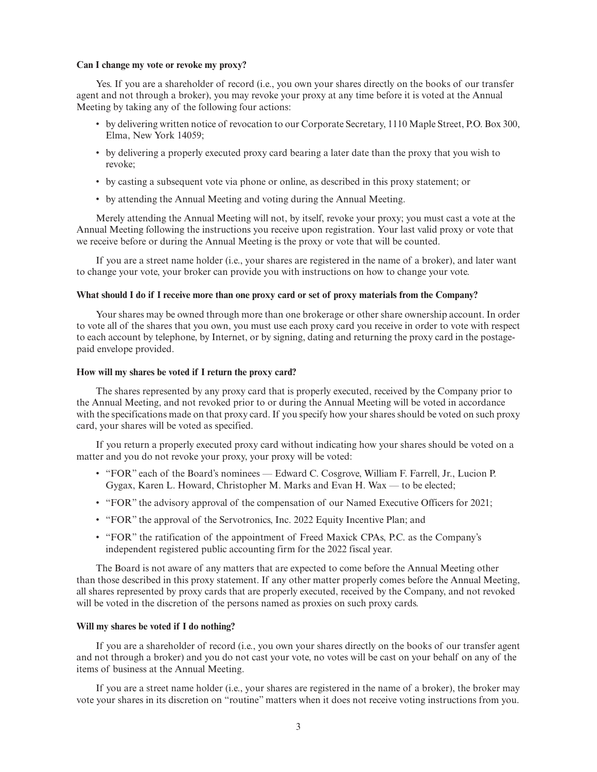## **Can I change my vote or revoke my proxy?**

Yes. If you are a shareholder of record (i.e., you own your shares directly on the books of our transfer agent and not through a broker), you may revoke your proxy at any time before it is voted at the Annual Meeting by taking any of the following four actions:

- by delivering written notice of revocation to our Corporate Secretary, 1110 Maple Street, P.O. Box 300, Elma, New York 14059;
- by delivering a properly executed proxy card bearing a later date than the proxy that you wish to revoke;
- by casting a subsequent vote via phone or online, as described in this proxy statement; or
- by attending the Annual Meeting and voting during the Annual Meeting.

Merely attending the Annual Meeting will not, by itself, revoke your proxy; you must cast a vote at the Annual Meeting following the instructions you receive upon registration. Your last valid proxy or vote that we receive before or during the Annual Meeting is the proxy or vote that will be counted.

If you are a street name holder (i.e., your shares are registered in the name of a broker), and later want to change your vote, your broker can provide you with instructions on how to change your vote.

#### **What should I do if I receive more than one proxy card or set of proxy materials from the Company?**

Your shares may be owned through more than one brokerage or other share ownership account. In order to vote all of the shares that you own, you must use each proxy card you receive in order to vote with respect to each account by telephone, by Internet, or by signing, dating and returning the proxy card in the postagepaid envelope provided.

#### **How will my shares be voted if I return the proxy card?**

The shares represented by any proxy card that is properly executed, received by the Company prior to the Annual Meeting, and not revoked prior to or during the Annual Meeting will be voted in accordance with the specifications made on that proxy card. If you specify how your shares should be voted on such proxy card, your shares will be voted as specified.

If you return a properly executed proxy card without indicating how your shares should be voted on a matter and you do not revoke your proxy, your proxy will be voted:

- "FOR" each of the Board's nominees Edward C. Cosgrove, William F. Farrell, Jr., Lucion P. Gygax, Karen L. Howard, Christopher M. Marks and Evan H. Wax — to be elected;
- "FOR" the advisory approval of the compensation of our Named Executive Officers for 2021;
- "FOR" the approval of the Servotronics, Inc. 2022 Equity Incentive Plan; and
- "FOR" the ratification of the appointment of Freed Maxick CPAs, P.C. as the Company's independent registered public accounting firm for the 2022 fiscal year.

The Board is not aware of any matters that are expected to come before the Annual Meeting other than those described in this proxy statement. If any other matter properly comes before the Annual Meeting, all shares represented by proxy cards that are properly executed, received by the Company, and not revoked will be voted in the discretion of the persons named as proxies on such proxy cards.

## **Will my shares be voted if I do nothing?**

If you are a shareholder of record (i.e., you own your shares directly on the books of our transfer agent and not through a broker) and you do not cast your vote, no votes will be cast on your behalf on any of the items of business at the Annual Meeting.

If you are a street name holder (i.e., your shares are registered in the name of a broker), the broker may vote your shares in its discretion on "routine" matters when it does not receive voting instructions from you.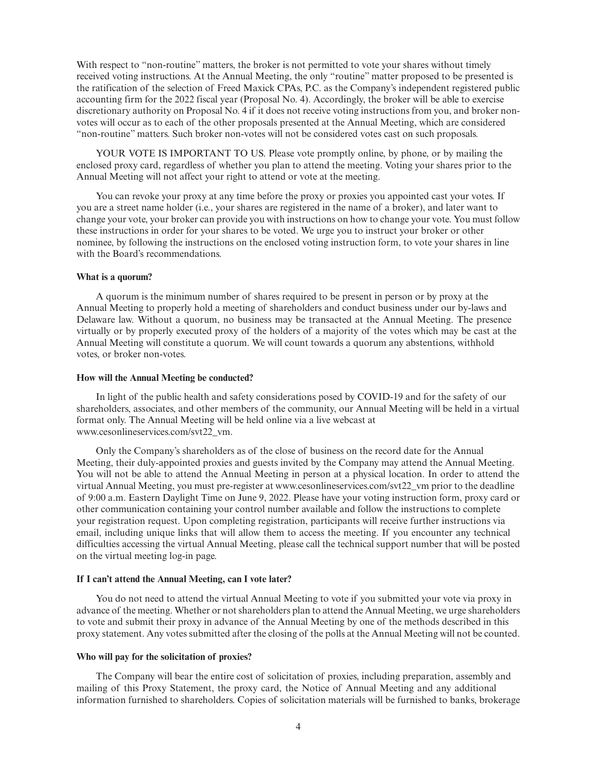With respect to "non-routine" matters, the broker is not permitted to vote your shares without timely received voting instructions. At the Annual Meeting, the only "routine" matter proposed to be presented is the ratification of the selection of Freed Maxick CPAs, P.C. as the Company's independent registered public accounting firm for the 2022 fiscal year (Proposal No. 4). Accordingly, the broker will be able to exercise discretionary authority on Proposal No. 4 if it does not receive voting instructions from you, and broker nonvotes will occur as to each of the other proposals presented at the Annual Meeting, which are considered "non-routine" matters. Such broker non-votes will not be considered votes cast on such proposals.

YOUR VOTE IS IMPORTANT TO US. Please vote promptly online, by phone, or by mailing the enclosed proxy card, regardless of whether you plan to attend the meeting. Voting your shares prior to the Annual Meeting will not affect your right to attend or vote at the meeting.

You can revoke your proxy at any time before the proxy or proxies you appointed cast your votes. If you are a street name holder (i.e., your shares are registered in the name of a broker), and later want to change your vote, your broker can provide you with instructions on how to change your vote. You must follow these instructions in order for your shares to be voted. We urge you to instruct your broker or other nominee, by following the instructions on the enclosed voting instruction form, to vote your shares in line with the Board's recommendations.

#### **What is a quorum?**

A quorum is the minimum number of shares required to be present in person or by proxy at the Annual Meeting to properly hold a meeting of shareholders and conduct business under our by-laws and Delaware law. Without a quorum, no business may be transacted at the Annual Meeting. The presence virtually or by properly executed proxy of the holders of a majority of the votes which may be cast at the Annual Meeting will constitute a quorum. We will count towards a quorum any abstentions, withhold votes, or broker non-votes.

#### **How will the Annual Meeting be conducted?**

In light of the public health and safety considerations posed by COVID-19 and for the safety of our shareholders, associates, and other members of the community, our Annual Meeting will be held in a virtual format only. The Annual Meeting will be held online via a live webcast at www.cesonlineservices.com/svt22\_vm.

Only the Company's shareholders as of the close of business on the record date for the Annual Meeting, their duly-appointed proxies and guests invited by the Company may attend the Annual Meeting. You will not be able to attend the Annual Meeting in person at a physical location. In order to attend the virtual Annual Meeting, you must pre-register at www.cesonlineservices.com/svt22\_vm prior to the deadline of 9:00 a.m. Eastern Daylight Time on June 9, 2022. Please have your voting instruction form, proxy card or other communication containing your control number available and follow the instructions to complete your registration request. Upon completing registration, participants will receive further instructions via email, including unique links that will allow them to access the meeting. If you encounter any technical difficulties accessing the virtual Annual Meeting, please call the technical support number that will be posted on the virtual meeting log-in page.

#### **If I can't attend the Annual Meeting, can I vote later?**

You do not need to attend the virtual Annual Meeting to vote if you submitted your vote via proxy in advance of the meeting. Whether or not shareholders plan to attend the Annual Meeting, we urge shareholders to vote and submit their proxy in advance of the Annual Meeting by one of the methods described in this proxy statement. Any votes submitted after the closing of the polls at the Annual Meeting will not be counted.

## **Who will pay for the solicitation of proxies?**

The Company will bear the entire cost of solicitation of proxies, including preparation, assembly and mailing of this Proxy Statement, the proxy card, the Notice of Annual Meeting and any additional information furnished to shareholders. Copies of solicitation materials will be furnished to banks, brokerage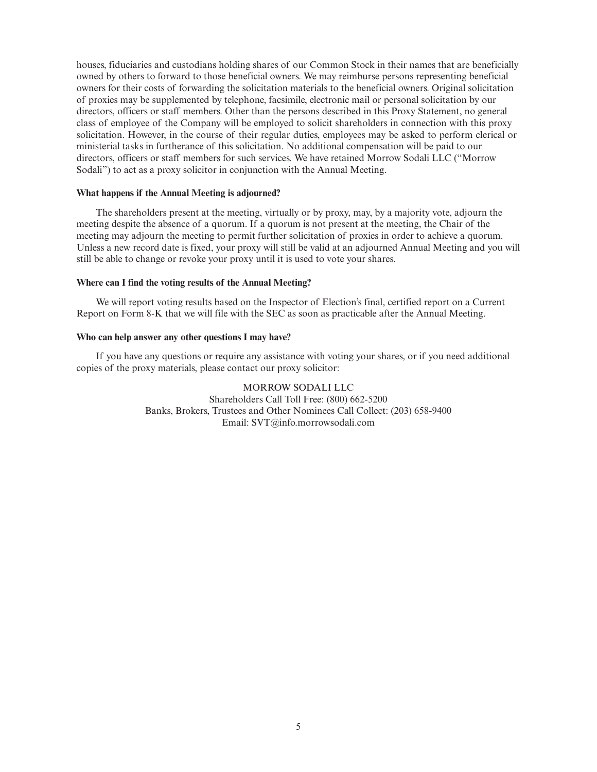houses, fiduciaries and custodians holding shares of our Common Stock in their names that are beneficially owned by others to forward to those beneficial owners. We may reimburse persons representing beneficial owners for their costs of forwarding the solicitation materials to the beneficial owners. Original solicitation of proxies may be supplemented by telephone, facsimile, electronic mail or personal solicitation by our directors, officers or staff members. Other than the persons described in this Proxy Statement, no general class of employee of the Company will be employed to solicit shareholders in connection with this proxy solicitation. However, in the course of their regular duties, employees may be asked to perform clerical or ministerial tasks in furtherance of this solicitation. No additional compensation will be paid to our directors, officers or staff members for such services. We have retained Morrow Sodali LLC ("Morrow Sodali") to act as a proxy solicitor in conjunction with the Annual Meeting.

#### **What happens if the Annual Meeting is adjourned?**

The shareholders present at the meeting, virtually or by proxy, may, by a majority vote, adjourn the meeting despite the absence of a quorum. If a quorum is not present at the meeting, the Chair of the meeting may adjourn the meeting to permit further solicitation of proxies in order to achieve a quorum. Unless a new record date is fixed, your proxy will still be valid at an adjourned Annual Meeting and you will still be able to change or revoke your proxy until it is used to vote your shares.

## **Where can I find the voting results of the Annual Meeting?**

We will report voting results based on the Inspector of Election's final, certified report on a Current Report on Form 8-K that we will file with the SEC as soon as practicable after the Annual Meeting.

## **Who can help answer any other questions I may have?**

If you have any questions or require any assistance with voting your shares, or if you need additional copies of the proxy materials, please contact our proxy solicitor:

> MORROW SODALI LLC Shareholders Call Toll Free: (800) 662-5200 Banks, Brokers, Trustees and Other Nominees Call Collect: (203) 658-9400 Email: SVT@info.morrowsodali.com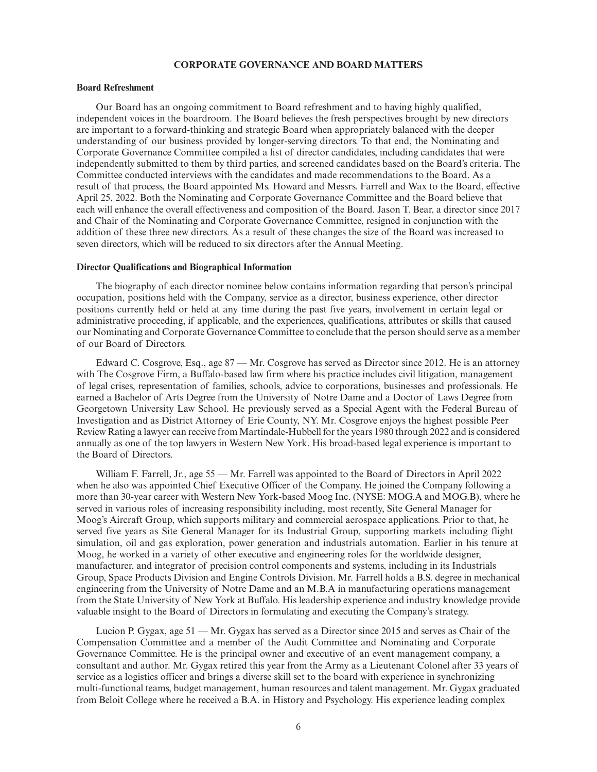### **CORPORATE GOVERNANCE AND BOARD MATTERS**

#### **Board Refreshment**

Our Board has an ongoing commitment to Board refreshment and to having highly qualified, independent voices in the boardroom. The Board believes the fresh perspectives brought by new directors are important to a forward-thinking and strategic Board when appropriately balanced with the deeper understanding of our business provided by longer-serving directors. To that end, the Nominating and Corporate Governance Committee compiled a list of director candidates, including candidates that were independently submitted to them by third parties, and screened candidates based on the Board's criteria. The Committee conducted interviews with the candidates and made recommendations to the Board. As a result of that process, the Board appointed Ms. Howard and Messrs. Farrell and Wax to the Board, effective April 25, 2022. Both the Nominating and Corporate Governance Committee and the Board believe that each will enhance the overall effectiveness and composition of the Board. Jason T. Bear, a director since 2017 and Chair of the Nominating and Corporate Governance Committee, resigned in conjunction with the addition of these three new directors. As a result of these changes the size of the Board was increased to seven directors, which will be reduced to six directors after the Annual Meeting.

#### **Director Qualifications and Biographical Information**

The biography of each director nominee below contains information regarding that person's principal occupation, positions held with the Company, service as a director, business experience, other director positions currently held or held at any time during the past five years, involvement in certain legal or administrative proceeding, if applicable, and the experiences, qualifications, attributes or skills that caused our Nominating and Corporate Governance Committee to conclude that the person should serve as a member of our Board of Directors.

Edward C. Cosgrove, Esq., age 87 — Mr. Cosgrove has served as Director since 2012. He is an attorney with The Cosgrove Firm, a Buffalo-based law firm where his practice includes civil litigation, management of legal crises, representation of families, schools, advice to corporations, businesses and professionals. He earned a Bachelor of Arts Degree from the University of Notre Dame and a Doctor of Laws Degree from Georgetown University Law School. He previously served as a Special Agent with the Federal Bureau of Investigation and as District Attorney of Erie County, NY. Mr. Cosgrove enjoys the highest possible Peer Review Rating a lawyer can receive from Martindale-Hubbell for the years 1980 through 2022 and is considered annually as one of the top lawyers in Western New York. His broad-based legal experience is important to the Board of Directors.

William F. Farrell, Jr., age 55 — Mr. Farrell was appointed to the Board of Directors in April 2022 when he also was appointed Chief Executive Officer of the Company. He joined the Company following a more than 30-year career with Western New York-based Moog Inc. (NYSE: MOG.A and MOG.B), where he served in various roles of increasing responsibility including, most recently, Site General Manager for Moog's Aircraft Group, which supports military and commercial aerospace applications. Prior to that, he served five years as Site General Manager for its Industrial Group, supporting markets including flight simulation, oil and gas exploration, power generation and industrials automation. Earlier in his tenure at Moog, he worked in a variety of other executive and engineering roles for the worldwide designer, manufacturer, and integrator of precision control components and systems, including in its Industrials Group, Space Products Division and Engine Controls Division. Mr. Farrell holds a B.S. degree in mechanical engineering from the University of Notre Dame and an M.B.A in manufacturing operations management from the State University of New York at Buffalo. His leadership experience and industry knowledge provide valuable insight to the Board of Directors in formulating and executing the Company's strategy.

Lucion P. Gygax, age 51 — Mr. Gygax has served as a Director since 2015 and serves as Chair of the Compensation Committee and a member of the Audit Committee and Nominating and Corporate Governance Committee. He is the principal owner and executive of an event management company, a consultant and author. Mr. Gygax retired this year from the Army as a Lieutenant Colonel after 33 years of service as a logistics officer and brings a diverse skill set to the board with experience in synchronizing multi-functional teams, budget management, human resources and talent management. Mr. Gygax graduated from Beloit College where he received a B.A. in History and Psychology. His experience leading complex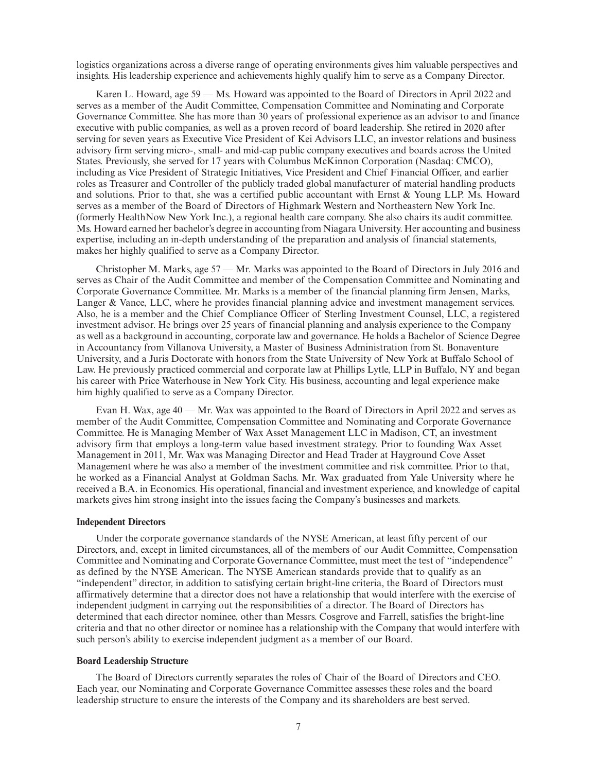logistics organizations across a diverse range of operating environments gives him valuable perspectives and insights. His leadership experience and achievements highly qualify him to serve as a Company Director.

Karen L. Howard, age 59 — Ms. Howard was appointed to the Board of Directors in April 2022 and serves as a member of the Audit Committee, Compensation Committee and Nominating and Corporate Governance Committee. She has more than 30 years of professional experience as an advisor to and finance executive with public companies, as well as a proven record of board leadership. She retired in 2020 after serving for seven years as Executive Vice President of Kei Advisors LLC, an investor relations and business advisory firm serving micro-, small- and mid-cap public company executives and boards across the United States. Previously, she served for 17 years with Columbus McKinnon Corporation (Nasdaq: CMCO), including as Vice President of Strategic Initiatives, Vice President and Chief Financial Officer, and earlier roles as Treasurer and Controller of the publicly traded global manufacturer of material handling products and solutions. Prior to that, she was a certified public accountant with Ernst & Young LLP. Ms. Howard serves as a member of the Board of Directors of Highmark Western and Northeastern New York Inc. (formerly HealthNow New York Inc.), a regional health care company. She also chairs its audit committee. Ms. Howard earned her bachelor's degree in accounting from Niagara University. Her accounting and business expertise, including an in-depth understanding of the preparation and analysis of financial statements, makes her highly qualified to serve as a Company Director.

Christopher M. Marks, age 57 — Mr. Marks was appointed to the Board of Directors in July 2016 and serves as Chair of the Audit Committee and member of the Compensation Committee and Nominating and Corporate Governance Committee. Mr. Marks is a member of the financial planning firm Jensen, Marks, Langer & Vance, LLC, where he provides financial planning advice and investment management services. Also, he is a member and the Chief Compliance Officer of Sterling Investment Counsel, LLC, a registered investment advisor. He brings over 25 years of financial planning and analysis experience to the Company as well as a background in accounting, corporate law and governance. He holds a Bachelor of Science Degree in Accountancy from Villanova University, a Master of Business Administration from St. Bonaventure University, and a Juris Doctorate with honors from the State University of New York at Buffalo School of Law. He previously practiced commercial and corporate law at Phillips Lytle, LLP in Buffalo, NY and began his career with Price Waterhouse in New York City. His business, accounting and legal experience make him highly qualified to serve as a Company Director.

Evan H. Wax, age 40 — Mr. Wax was appointed to the Board of Directors in April 2022 and serves as member of the Audit Committee, Compensation Committee and Nominating and Corporate Governance Committee. He is Managing Member of Wax Asset Management LLC in Madison, CT, an investment advisory firm that employs a long-term value based investment strategy. Prior to founding Wax Asset Management in 2011, Mr. Wax was Managing Director and Head Trader at Hayground Cove Asset Management where he was also a member of the investment committee and risk committee. Prior to that, he worked as a Financial Analyst at Goldman Sachs. Mr. Wax graduated from Yale University where he received a B.A. in Economics. His operational, financial and investment experience, and knowledge of capital markets gives him strong insight into the issues facing the Company's businesses and markets.

#### **Independent Directors**

Under the corporate governance standards of the NYSE American, at least fifty percent of our Directors, and, except in limited circumstances, all of the members of our Audit Committee, Compensation Committee and Nominating and Corporate Governance Committee, must meet the test of "independence" as defined by the NYSE American. The NYSE American standards provide that to qualify as an "independent" director, in addition to satisfying certain bright-line criteria, the Board of Directors must affirmatively determine that a director does not have a relationship that would interfere with the exercise of independent judgment in carrying out the responsibilities of a director. The Board of Directors has determined that each director nominee, other than Messrs. Cosgrove and Farrell, satisfies the bright-line criteria and that no other director or nominee has a relationship with the Company that would interfere with such person's ability to exercise independent judgment as a member of our Board.

## **Board Leadership Structure**

The Board of Directors currently separates the roles of Chair of the Board of Directors and CEO. Each year, our Nominating and Corporate Governance Committee assesses these roles and the board leadership structure to ensure the interests of the Company and its shareholders are best served.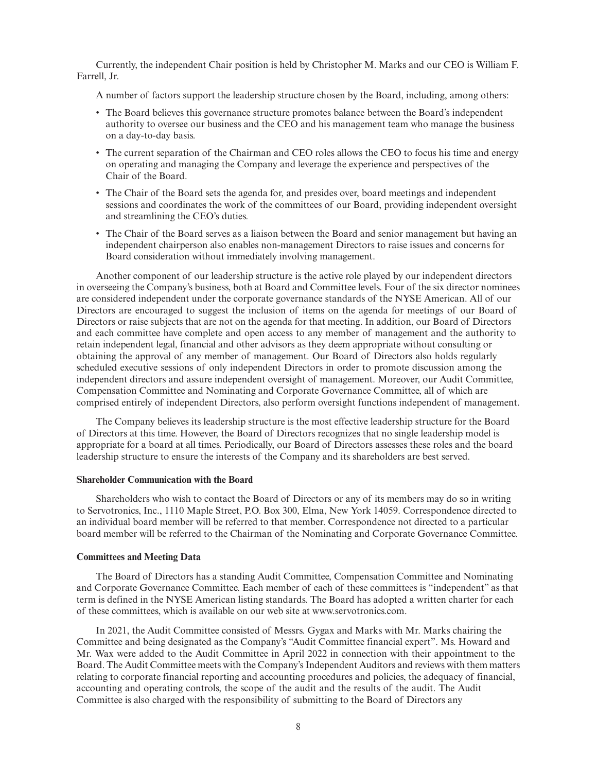Currently, the independent Chair position is held by Christopher M. Marks and our CEO is William F. Farrell, Jr.

A number of factors support the leadership structure chosen by the Board, including, among others:

- The Board believes this governance structure promotes balance between the Board's independent authority to oversee our business and the CEO and his management team who manage the business on a day-to-day basis.
- The current separation of the Chairman and CEO roles allows the CEO to focus his time and energy on operating and managing the Company and leverage the experience and perspectives of the Chair of the Board.
- The Chair of the Board sets the agenda for, and presides over, board meetings and independent sessions and coordinates the work of the committees of our Board, providing independent oversight and streamlining the CEO's duties.
- The Chair of the Board serves as a liaison between the Board and senior management but having an independent chairperson also enables non-management Directors to raise issues and concerns for Board consideration without immediately involving management.

Another component of our leadership structure is the active role played by our independent directors in overseeing the Company's business, both at Board and Committee levels. Four of the six director nominees are considered independent under the corporate governance standards of the NYSE American. All of our Directors are encouraged to suggest the inclusion of items on the agenda for meetings of our Board of Directors or raise subjects that are not on the agenda for that meeting. In addition, our Board of Directors and each committee have complete and open access to any member of management and the authority to retain independent legal, financial and other advisors as they deem appropriate without consulting or obtaining the approval of any member of management. Our Board of Directors also holds regularly scheduled executive sessions of only independent Directors in order to promote discussion among the independent directors and assure independent oversight of management. Moreover, our Audit Committee, Compensation Committee and Nominating and Corporate Governance Committee, all of which are comprised entirely of independent Directors, also perform oversight functions independent of management.

The Company believes its leadership structure is the most effective leadership structure for the Board of Directors at this time. However, the Board of Directors recognizes that no single leadership model is appropriate for a board at all times. Periodically, our Board of Directors assesses these roles and the board leadership structure to ensure the interests of the Company and its shareholders are best served.

#### **Shareholder Communication with the Board**

Shareholders who wish to contact the Board of Directors or any of its members may do so in writing to Servotronics, Inc., 1110 Maple Street, P.O. Box 300, Elma, New York 14059. Correspondence directed to an individual board member will be referred to that member. Correspondence not directed to a particular board member will be referred to the Chairman of the Nominating and Corporate Governance Committee.

### **Committees and Meeting Data**

The Board of Directors has a standing Audit Committee, Compensation Committee and Nominating and Corporate Governance Committee. Each member of each of these committees is "independent" as that term is defined in the NYSE American listing standards. The Board has adopted a written charter for each of these committees, which is available on our web site at www.servotronics.com.

In 2021, the Audit Committee consisted of Messrs. Gygax and Marks with Mr. Marks chairing the Committee and being designated as the Company's "Audit Committee financial expert". Ms. Howard and Mr. Wax were added to the Audit Committee in April 2022 in connection with their appointment to the Board. The Audit Committee meets with the Company's Independent Auditors and reviews with them matters relating to corporate financial reporting and accounting procedures and policies, the adequacy of financial, accounting and operating controls, the scope of the audit and the results of the audit. The Audit Committee is also charged with the responsibility of submitting to the Board of Directors any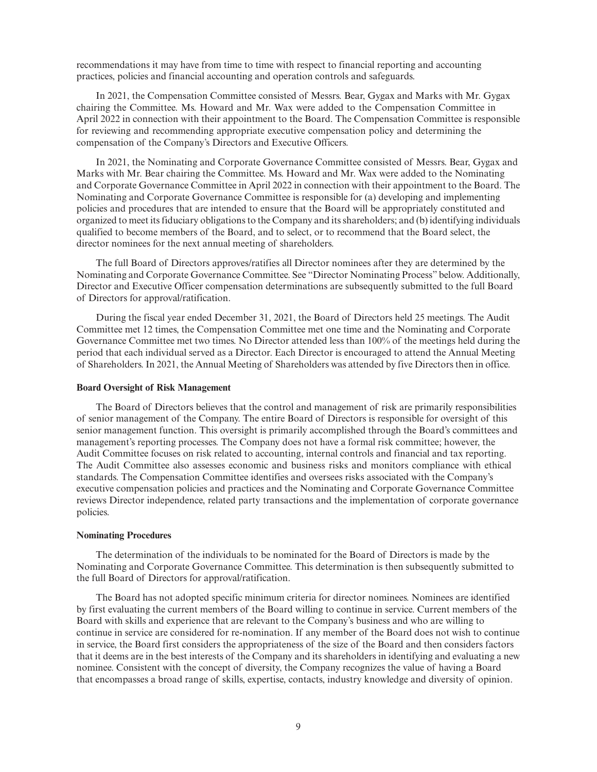recommendations it may have from time to time with respect to financial reporting and accounting practices, policies and financial accounting and operation controls and safeguards.

In 2021, the Compensation Committee consisted of Messrs. Bear, Gygax and Marks with Mr. Gygax chairing the Committee. Ms. Howard and Mr. Wax were added to the Compensation Committee in April 2022 in connection with their appointment to the Board. The Compensation Committee is responsible for reviewing and recommending appropriate executive compensation policy and determining the compensation of the Company's Directors and Executive Officers.

In 2021, the Nominating and Corporate Governance Committee consisted of Messrs. Bear, Gygax and Marks with Mr. Bear chairing the Committee. Ms. Howard and Mr. Wax were added to the Nominating and Corporate Governance Committee in April 2022 in connection with their appointment to the Board. The Nominating and Corporate Governance Committee is responsible for (a) developing and implementing policies and procedures that are intended to ensure that the Board will be appropriately constituted and organized to meet its fiduciary obligations to the Company and its shareholders; and (b) identifying individuals qualified to become members of the Board, and to select, or to recommend that the Board select, the director nominees for the next annual meeting of shareholders.

The full Board of Directors approves/ratifies all Director nominees after they are determined by the Nominating and Corporate Governance Committee. See "Director Nominating Process" below. Additionally, Director and Executive Officer compensation determinations are subsequently submitted to the full Board of Directors for approval/ratification.

During the fiscal year ended December 31, 2021, the Board of Directors held 25 meetings. The Audit Committee met 12 times, the Compensation Committee met one time and the Nominating and Corporate Governance Committee met two times. No Director attended less than 100% of the meetings held during the period that each individual served as a Director. Each Director is encouraged to attend the Annual Meeting of Shareholders. In 2021, the Annual Meeting of Shareholders was attended by five Directors then in office.

#### **Board Oversight of Risk Management**

The Board of Directors believes that the control and management of risk are primarily responsibilities of senior management of the Company. The entire Board of Directors is responsible for oversight of this senior management function. This oversight is primarily accomplished through the Board's committees and management's reporting processes. The Company does not have a formal risk committee; however, the Audit Committee focuses on risk related to accounting, internal controls and financial and tax reporting. The Audit Committee also assesses economic and business risks and monitors compliance with ethical standards. The Compensation Committee identifies and oversees risks associated with the Company's executive compensation policies and practices and the Nominating and Corporate Governance Committee reviews Director independence, related party transactions and the implementation of corporate governance policies.

#### **Nominating Procedures**

The determination of the individuals to be nominated for the Board of Directors is made by the Nominating and Corporate Governance Committee. This determination is then subsequently submitted to the full Board of Directors for approval/ratification.

The Board has not adopted specific minimum criteria for director nominees. Nominees are identified by first evaluating the current members of the Board willing to continue in service. Current members of the Board with skills and experience that are relevant to the Company's business and who are willing to continue in service are considered for re-nomination. If any member of the Board does not wish to continue in service, the Board first considers the appropriateness of the size of the Board and then considers factors that it deems are in the best interests of the Company and its shareholders in identifying and evaluating a new nominee. Consistent with the concept of diversity, the Company recognizes the value of having a Board that encompasses a broad range of skills, expertise, contacts, industry knowledge and diversity of opinion.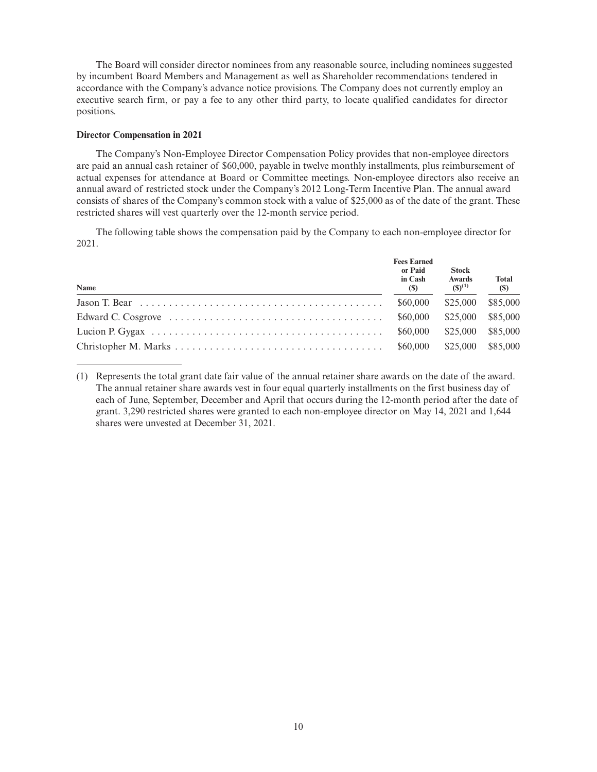The Board will consider director nominees from any reasonable source, including nominees suggested by incumbent Board Members and Management as well as Shareholder recommendations tendered in accordance with the Company's advance notice provisions. The Company does not currently employ an executive search firm, or pay a fee to any other third party, to locate qualified candidates for director positions.

## **Director Compensation in 2021**

The Company's Non-Employee Director Compensation Policy provides that non-employee directors are paid an annual cash retainer of \$60,000, payable in twelve monthly installments, plus reimbursement of actual expenses for attendance at Board or Committee meetings. Non-employee directors also receive an annual award of restricted stock under the Company's 2012 Long-Term Incentive Plan. The annual award consists of shares of the Company's common stock with a value of \$25,000 as of the date of the grant. These restricted shares will vest quarterly over the 12-month service period.

The following table shows the compensation paid by the Company to each non-employee director for 2021.

| Name | <b>Fees Earned</b><br>or Paid<br>in Cash<br><b>(\$)</b> | <b>Stock</b><br><b>Awards</b><br>$(S)^{(1)}$ | <b>Total</b><br><b>(\$)</b> |
|------|---------------------------------------------------------|----------------------------------------------|-----------------------------|
|      | \$60,000                                                | \$25,000                                     | \$85,000                    |
|      | \$60,000                                                | \$25,000                                     | \$85,000                    |
|      | \$60,000                                                | \$25,000                                     | \$85,000                    |
|      | \$60,000                                                | \$25,000                                     | \$85,000                    |

<sup>(1)</sup> Represents the total grant date fair value of the annual retainer share awards on the date of the award. The annual retainer share awards vest in four equal quarterly installments on the first business day of each of June, September, December and April that occurs during the 12-month period after the date of grant. 3,290 restricted shares were granted to each non-employee director on May 14, 2021 and 1,644 shares were unvested at December 31, 2021.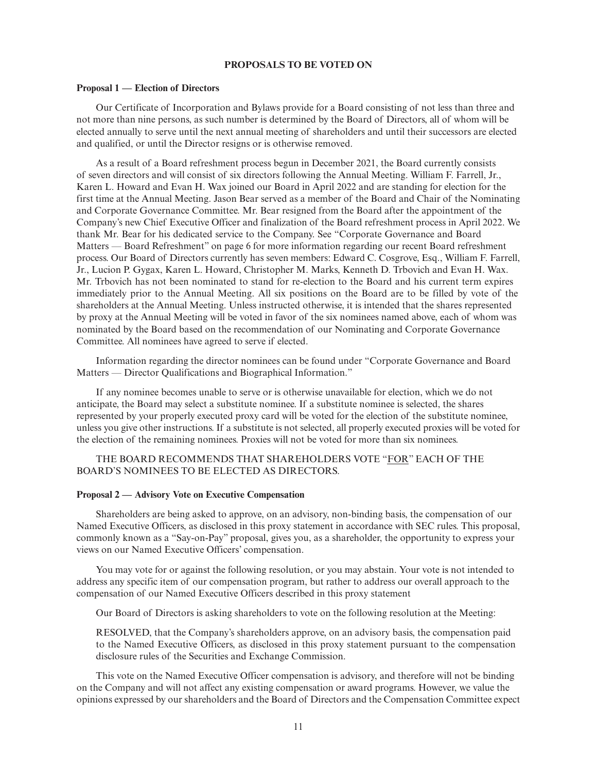## **PROPOSALS TO BE VOTED ON**

#### **Proposal 1 — Election of Directors**

Our Certificate of Incorporation and Bylaws provide for a Board consisting of not less than three and not more than nine persons, as such number is determined by the Board of Directors, all of whom will be elected annually to serve until the next annual meeting of shareholders and until their successors are elected and qualified, or until the Director resigns or is otherwise removed.

As a result of a Board refreshment process begun in December 2021, the Board currently consists of seven directors and will consist of six directors following the Annual Meeting. William F. Farrell, Jr., Karen L. Howard and Evan H. Wax joined our Board in April 2022 and are standing for election for the first time at the Annual Meeting. Jason Bear served as a member of the Board and Chair of the Nominating and Corporate Governance Committee. Mr. Bear resigned from the Board after the appointment of the Company's new Chief Executive Officer and finalization of the Board refreshment process in April 2022. We thank Mr. Bear for his dedicated service to the Company. See "Corporate Governance and Board Matters — Board Refreshment" on page 6 for more information regarding our recent Board refreshment process. Our Board of Directors currently has seven members: Edward C. Cosgrove, Esq., William F. Farrell, Jr., Lucion P. Gygax, Karen L. Howard, Christopher M. Marks, Kenneth D. Trbovich and Evan H. Wax. Mr. Trbovich has not been nominated to stand for re-election to the Board and his current term expires immediately prior to the Annual Meeting. All six positions on the Board are to be filled by vote of the shareholders at the Annual Meeting. Unless instructed otherwise, it is intended that the shares represented by proxy at the Annual Meeting will be voted in favor of the six nominees named above, each of whom was nominated by the Board based on the recommendation of our Nominating and Corporate Governance Committee. All nominees have agreed to serve if elected.

Information regarding the director nominees can be found under "Corporate Governance and Board Matters — Director Qualifications and Biographical Information."

If any nominee becomes unable to serve or is otherwise unavailable for election, which we do not anticipate, the Board may select a substitute nominee. If a substitute nominee is selected, the shares represented by your properly executed proxy card will be voted for the election of the substitute nominee, unless you give other instructions. If a substitute is not selected, all properly executed proxies will be voted for the election of the remaining nominees. Proxies will not be voted for more than six nominees.

## THE BOARD RECOMMENDS THAT SHAREHOLDERS VOTE "FOR" EACH OF THE BOARD'S NOMINEES TO BE ELECTED AS DIRECTORS.

#### **Proposal 2 — Advisory Vote on Executive Compensation**

Shareholders are being asked to approve, on an advisory, non-binding basis, the compensation of our Named Executive Officers, as disclosed in this proxy statement in accordance with SEC rules. This proposal, commonly known as a "Say-on-Pay" proposal, gives you, as a shareholder, the opportunity to express your views on our Named Executive Officers' compensation.

You may vote for or against the following resolution, or you may abstain. Your vote is not intended to address any specific item of our compensation program, but rather to address our overall approach to the compensation of our Named Executive Officers described in this proxy statement

Our Board of Directors is asking shareholders to vote on the following resolution at the Meeting:

RESOLVED, that the Company's shareholders approve, on an advisory basis, the compensation paid to the Named Executive Officers, as disclosed in this proxy statement pursuant to the compensation disclosure rules of the Securities and Exchange Commission.

This vote on the Named Executive Officer compensation is advisory, and therefore will not be binding on the Company and will not affect any existing compensation or award programs. However, we value the opinions expressed by our shareholders and the Board of Directors and the Compensation Committee expect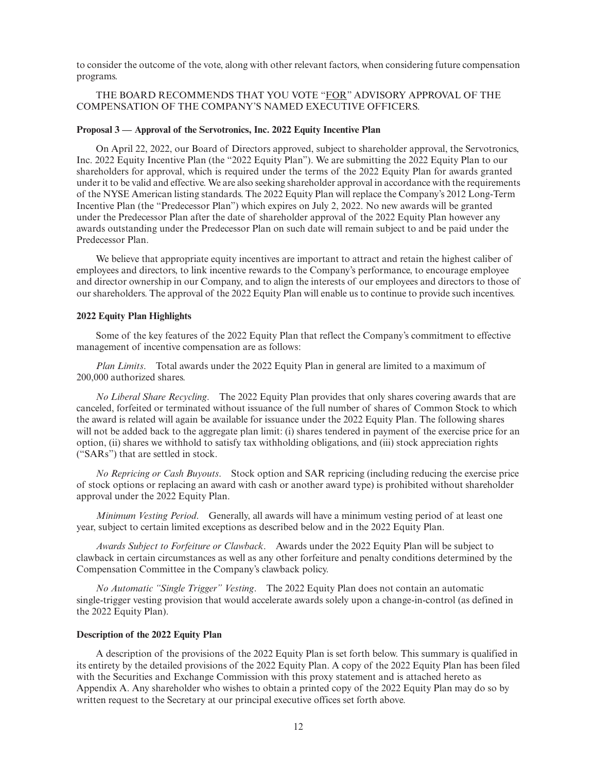to consider the outcome of the vote, along with other relevant factors, when considering future compensation programs.

THE BOARD RECOMMENDS THAT YOU VOTE "FOR" ADVISORY APPROVAL OF THE COMPENSATION OF THE COMPANY'S NAMED EXECUTIVE OFFICERS.

#### **Proposal 3 — Approval of the Servotronics, Inc. 2022 Equity Incentive Plan**

On April 22, 2022, our Board of Directors approved, subject to shareholder approval, the Servotronics, Inc. 2022 Equity Incentive Plan (the "2022 Equity Plan"). We are submitting the 2022 Equity Plan to our shareholders for approval, which is required under the terms of the 2022 Equity Plan for awards granted under it to be valid and effective. We are also seeking shareholder approval in accordance with the requirements of the NYSE American listing standards. The 2022 Equity Plan will replace the Company's 2012 Long-Term Incentive Plan (the "Predecessor Plan") which expires on July 2, 2022. No new awards will be granted under the Predecessor Plan after the date of shareholder approval of the 2022 Equity Plan however any awards outstanding under the Predecessor Plan on such date will remain subject to and be paid under the Predecessor Plan.

We believe that appropriate equity incentives are important to attract and retain the highest caliber of employees and directors, to link incentive rewards to the Company's performance, to encourage employee and director ownership in our Company, and to align the interests of our employees and directors to those of our shareholders. The approval of the 2022 Equity Plan will enable us to continue to provide such incentives.

## **2022 Equity Plan Highlights**

Some of the key features of the 2022 Equity Plan that reflect the Company's commitment to effective management of incentive compensation are as follows:

*Plan Limits*. Total awards under the 2022 Equity Plan in general are limited to a maximum of 200,000 authorized shares.

*No Liberal Share Recycling*. The 2022 Equity Plan provides that only shares covering awards that are canceled, forfeited or terminated without issuance of the full number of shares of Common Stock to which the award is related will again be available for issuance under the 2022 Equity Plan. The following shares will not be added back to the aggregate plan limit: (i) shares tendered in payment of the exercise price for an option, (ii) shares we withhold to satisfy tax withholding obligations, and (iii) stock appreciation rights ("SARs") that are settled in stock.

*No Repricing or Cash Buyouts*. Stock option and SAR repricing (including reducing the exercise price of stock options or replacing an award with cash or another award type) is prohibited without shareholder approval under the 2022 Equity Plan.

*Minimum Vesting Period*. Generally, all awards will have a minimum vesting period of at least one year, subject to certain limited exceptions as described below and in the 2022 Equity Plan.

*Awards Subject to Forfeiture or Clawback*. Awards under the 2022 Equity Plan will be subject to clawback in certain circumstances as well as any other forfeiture and penalty conditions determined by the Compensation Committee in the Company's clawback policy.

*No Automatic "Single Trigger" Vesting*. The 2022 Equity Plan does not contain an automatic single-trigger vesting provision that would accelerate awards solely upon a change-in-control (as defined in the 2022 Equity Plan).

## **Description of the 2022 Equity Plan**

A description of the provisions of the 2022 Equity Plan is set forth below. This summary is qualified in its entirety by the detailed provisions of the 2022 Equity Plan. A copy of the 2022 Equity Plan has been filed with the Securities and Exchange Commission with this proxy statement and is attached hereto as Appendix A. Any shareholder who wishes to obtain a printed copy of the 2022 Equity Plan may do so by written request to the Secretary at our principal executive offices set forth above.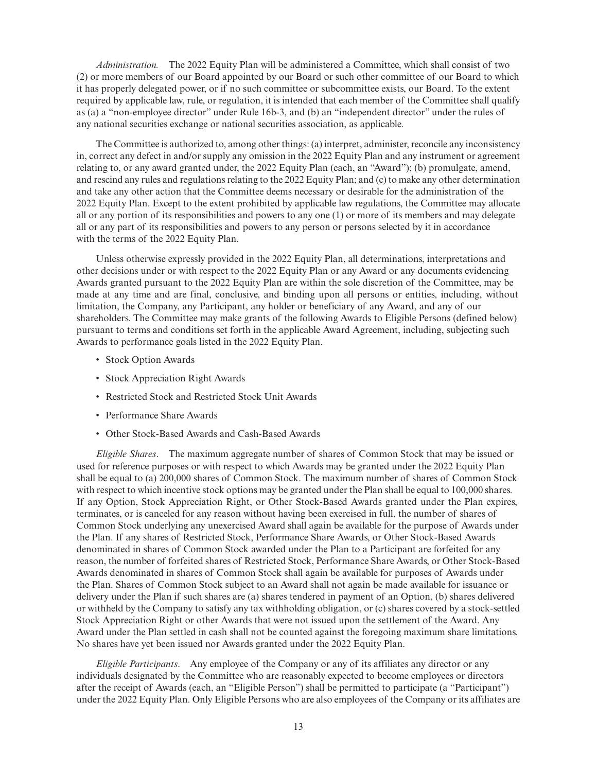*Administration.* The 2022 Equity Plan will be administered a Committee, which shall consist of two (2) or more members of our Board appointed by our Board or such other committee of our Board to which it has properly delegated power, or if no such committee or subcommittee exists, our Board. To the extent required by applicable law, rule, or regulation, it is intended that each member of the Committee shall qualify as (a) a "non-employee director" under Rule 16b-3, and (b) an "independent director" under the rules of any national securities exchange or national securities association, as applicable.

The Committee is authorized to, among other things: (a) interpret, administer, reconcile any inconsistency in, correct any defect in and/or supply any omission in the 2022 Equity Plan and any instrument or agreement relating to, or any award granted under, the 2022 Equity Plan (each, an "Award"); (b) promulgate, amend, and rescind any rules and regulations relating to the 2022 Equity Plan; and (c) to make any other determination and take any other action that the Committee deems necessary or desirable for the administration of the 2022 Equity Plan. Except to the extent prohibited by applicable law regulations, the Committee may allocate all or any portion of its responsibilities and powers to any one (1) or more of its members and may delegate all or any part of its responsibilities and powers to any person or persons selected by it in accordance with the terms of the 2022 Equity Plan.

Unless otherwise expressly provided in the 2022 Equity Plan, all determinations, interpretations and other decisions under or with respect to the 2022 Equity Plan or any Award or any documents evidencing Awards granted pursuant to the 2022 Equity Plan are within the sole discretion of the Committee, may be made at any time and are final, conclusive, and binding upon all persons or entities, including, without limitation, the Company, any Participant, any holder or beneficiary of any Award, and any of our shareholders. The Committee may make grants of the following Awards to Eligible Persons (defined below) pursuant to terms and conditions set forth in the applicable Award Agreement, including, subjecting such Awards to performance goals listed in the 2022 Equity Plan.

- Stock Option Awards
- Stock Appreciation Right Awards
- Restricted Stock and Restricted Stock Unit Awards
- Performance Share Awards
- Other Stock-Based Awards and Cash-Based Awards

*Eligible Shares*. The maximum aggregate number of shares of Common Stock that may be issued or used for reference purposes or with respect to which Awards may be granted under the 2022 Equity Plan shall be equal to (a) 200,000 shares of Common Stock. The maximum number of shares of Common Stock with respect to which incentive stock options may be granted under the Plan shall be equal to 100,000 shares. If any Option, Stock Appreciation Right, or Other Stock-Based Awards granted under the Plan expires, terminates, or is canceled for any reason without having been exercised in full, the number of shares of Common Stock underlying any unexercised Award shall again be available for the purpose of Awards under the Plan. If any shares of Restricted Stock, Performance Share Awards, or Other Stock-Based Awards denominated in shares of Common Stock awarded under the Plan to a Participant are forfeited for any reason, the number of forfeited shares of Restricted Stock, Performance Share Awards, or Other Stock-Based Awards denominated in shares of Common Stock shall again be available for purposes of Awards under the Plan. Shares of Common Stock subject to an Award shall not again be made available for issuance or delivery under the Plan if such shares are (a) shares tendered in payment of an Option, (b) shares delivered or withheld by the Company to satisfy any tax withholding obligation, or (c) shares covered by a stock-settled Stock Appreciation Right or other Awards that were not issued upon the settlement of the Award. Any Award under the Plan settled in cash shall not be counted against the foregoing maximum share limitations. No shares have yet been issued nor Awards granted under the 2022 Equity Plan.

*Eligible Participants*. Any employee of the Company or any of its affiliates any director or any individuals designated by the Committee who are reasonably expected to become employees or directors after the receipt of Awards (each, an "Eligible Person") shall be permitted to participate (a "Participant") under the 2022 Equity Plan. Only Eligible Persons who are also employees of the Company or its affiliates are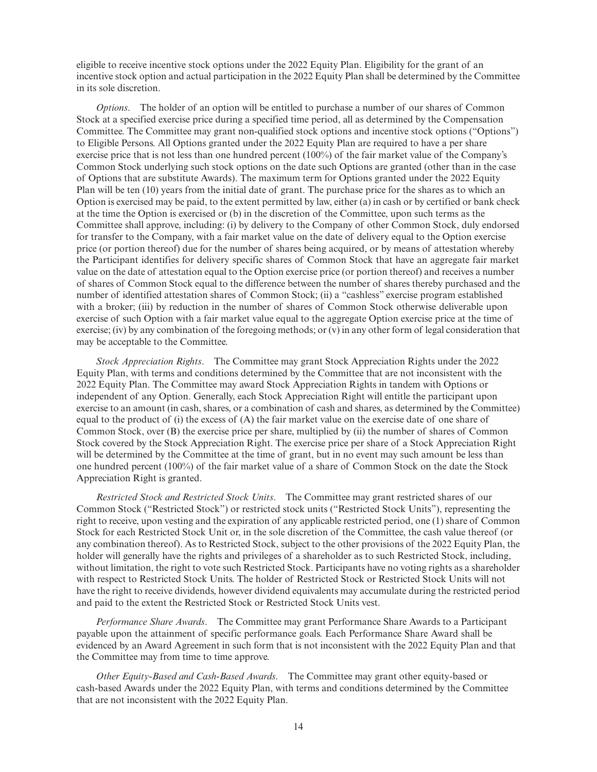eligible to receive incentive stock options under the 2022 Equity Plan. Eligibility for the grant of an incentive stock option and actual participation in the 2022 Equity Plan shall be determined by the Committee in its sole discretion.

*Options*. The holder of an option will be entitled to purchase a number of our shares of Common Stock at a specified exercise price during a specified time period, all as determined by the Compensation Committee. The Committee may grant non-qualified stock options and incentive stock options ("Options") to Eligible Persons. All Options granted under the 2022 Equity Plan are required to have a per share exercise price that is not less than one hundred percent (100%) of the fair market value of the Company's Common Stock underlying such stock options on the date such Options are granted (other than in the case of Options that are substitute Awards). The maximum term for Options granted under the 2022 Equity Plan will be ten (10) years from the initial date of grant. The purchase price for the shares as to which an Option is exercised may be paid, to the extent permitted by law, either (a) in cash or by certified or bank check at the time the Option is exercised or (b) in the discretion of the Committee, upon such terms as the Committee shall approve, including: (i) by delivery to the Company of other Common Stock, duly endorsed for transfer to the Company, with a fair market value on the date of delivery equal to the Option exercise price (or portion thereof) due for the number of shares being acquired, or by means of attestation whereby the Participant identifies for delivery specific shares of Common Stock that have an aggregate fair market value on the date of attestation equal to the Option exercise price (or portion thereof) and receives a number of shares of Common Stock equal to the difference between the number of shares thereby purchased and the number of identified attestation shares of Common Stock; (ii) a "cashless" exercise program established with a broker; (iii) by reduction in the number of shares of Common Stock otherwise deliverable upon exercise of such Option with a fair market value equal to the aggregate Option exercise price at the time of exercise; (iv) by any combination of the foregoing methods; or (v) in any other form of legal consideration that may be acceptable to the Committee.

*Stock Appreciation Rights*. The Committee may grant Stock Appreciation Rights under the 2022 Equity Plan, with terms and conditions determined by the Committee that are not inconsistent with the 2022 Equity Plan. The Committee may award Stock Appreciation Rights in tandem with Options or independent of any Option. Generally, each Stock Appreciation Right will entitle the participant upon exercise to an amount (in cash, shares, or a combination of cash and shares, as determined by the Committee) equal to the product of (i) the excess of (A) the fair market value on the exercise date of one share of Common Stock, over (B) the exercise price per share, multiplied by (ii) the number of shares of Common Stock covered by the Stock Appreciation Right. The exercise price per share of a Stock Appreciation Right will be determined by the Committee at the time of grant, but in no event may such amount be less than one hundred percent (100%) of the fair market value of a share of Common Stock on the date the Stock Appreciation Right is granted.

*Restricted Stock and Restricted Stock Units*. The Committee may grant restricted shares of our Common Stock ("Restricted Stock") or restricted stock units ("Restricted Stock Units"), representing the right to receive, upon vesting and the expiration of any applicable restricted period, one (1) share of Common Stock for each Restricted Stock Unit or, in the sole discretion of the Committee, the cash value thereof (or any combination thereof). As to Restricted Stock, subject to the other provisions of the 2022 Equity Plan, the holder will generally have the rights and privileges of a shareholder as to such Restricted Stock, including, without limitation, the right to vote such Restricted Stock. Participants have no voting rights as a shareholder with respect to Restricted Stock Units. The holder of Restricted Stock or Restricted Stock Units will not have the right to receive dividends, however dividend equivalents may accumulate during the restricted period and paid to the extent the Restricted Stock or Restricted Stock Units vest.

*Performance Share Awards*. The Committee may grant Performance Share Awards to a Participant payable upon the attainment of specific performance goals. Each Performance Share Award shall be evidenced by an Award Agreement in such form that is not inconsistent with the 2022 Equity Plan and that the Committee may from time to time approve.

*Other Equity-Based and Cash-Based Awards*. The Committee may grant other equity-based or cash-based Awards under the 2022 Equity Plan, with terms and conditions determined by the Committee that are not inconsistent with the 2022 Equity Plan.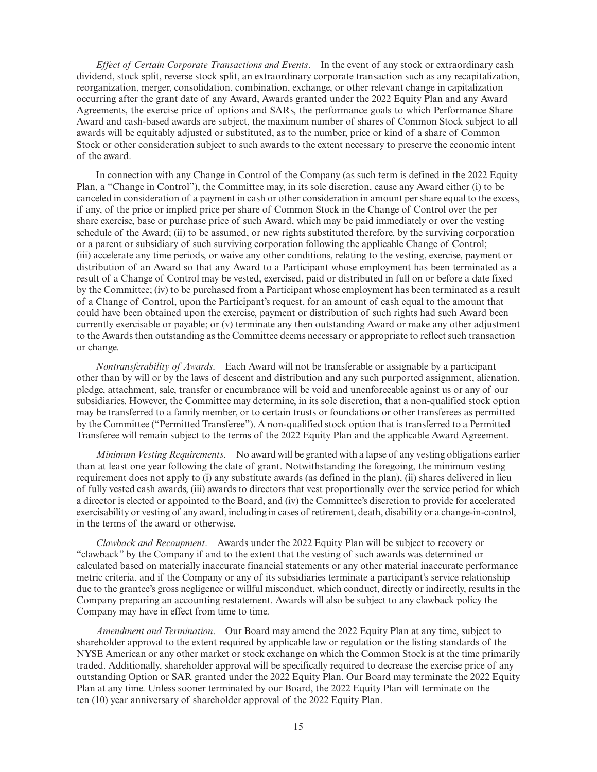*Effect of Certain Corporate Transactions and Events*. In the event of any stock or extraordinary cash dividend, stock split, reverse stock split, an extraordinary corporate transaction such as any recapitalization, reorganization, merger, consolidation, combination, exchange, or other relevant change in capitalization occurring after the grant date of any Award, Awards granted under the 2022 Equity Plan and any Award Agreements, the exercise price of options and SARs, the performance goals to which Performance Share Award and cash-based awards are subject, the maximum number of shares of Common Stock subject to all awards will be equitably adjusted or substituted, as to the number, price or kind of a share of Common Stock or other consideration subject to such awards to the extent necessary to preserve the economic intent of the award.

In connection with any Change in Control of the Company (as such term is defined in the 2022 Equity Plan, a "Change in Control"), the Committee may, in its sole discretion, cause any Award either (i) to be canceled in consideration of a payment in cash or other consideration in amount per share equal to the excess, if any, of the price or implied price per share of Common Stock in the Change of Control over the per share exercise, base or purchase price of such Award, which may be paid immediately or over the vesting schedule of the Award; (ii) to be assumed, or new rights substituted therefore, by the surviving corporation or a parent or subsidiary of such surviving corporation following the applicable Change of Control; (iii) accelerate any time periods, or waive any other conditions, relating to the vesting, exercise, payment or distribution of an Award so that any Award to a Participant whose employment has been terminated as a result of a Change of Control may be vested, exercised, paid or distributed in full on or before a date fixed by the Committee; (iv) to be purchased from a Participant whose employment has been terminated as a result of a Change of Control, upon the Participant's request, for an amount of cash equal to the amount that could have been obtained upon the exercise, payment or distribution of such rights had such Award been currently exercisable or payable; or (v) terminate any then outstanding Award or make any other adjustment to the Awards then outstanding as the Committee deems necessary or appropriate to reflect such transaction or change.

*Nontransferability of Awards*. Each Award will not be transferable or assignable by a participant other than by will or by the laws of descent and distribution and any such purported assignment, alienation, pledge, attachment, sale, transfer or encumbrance will be void and unenforceable against us or any of our subsidiaries. However, the Committee may determine, in its sole discretion, that a non-qualified stock option may be transferred to a family member, or to certain trusts or foundations or other transferees as permitted by the Committee ("Permitted Transferee"). A non-qualified stock option that is transferred to a Permitted Transferee will remain subject to the terms of the 2022 Equity Plan and the applicable Award Agreement.

*Minimum Vesting Requirements*. No award will be granted with a lapse of any vesting obligations earlier than at least one year following the date of grant. Notwithstanding the foregoing, the minimum vesting requirement does not apply to (i) any substitute awards (as defined in the plan), (ii) shares delivered in lieu of fully vested cash awards, (iii) awards to directors that vest proportionally over the service period for which a director is elected or appointed to the Board, and (iv) the Committee's discretion to provide for accelerated exercisability or vesting of any award, including in cases of retirement, death, disability or a change-in-control, in the terms of the award or otherwise.

*Clawback and Recoupment*. Awards under the 2022 Equity Plan will be subject to recovery or "clawback" by the Company if and to the extent that the vesting of such awards was determined or calculated based on materially inaccurate financial statements or any other material inaccurate performance metric criteria, and if the Company or any of its subsidiaries terminate a participant's service relationship due to the grantee's gross negligence or willful misconduct, which conduct, directly or indirectly, results in the Company preparing an accounting restatement. Awards will also be subject to any clawback policy the Company may have in effect from time to time.

*Amendment and Termination*. Our Board may amend the 2022 Equity Plan at any time, subject to shareholder approval to the extent required by applicable law or regulation or the listing standards of the NYSE American or any other market or stock exchange on which the Common Stock is at the time primarily traded. Additionally, shareholder approval will be specifically required to decrease the exercise price of any outstanding Option or SAR granted under the 2022 Equity Plan. Our Board may terminate the 2022 Equity Plan at any time. Unless sooner terminated by our Board, the 2022 Equity Plan will terminate on the ten (10) year anniversary of shareholder approval of the 2022 Equity Plan.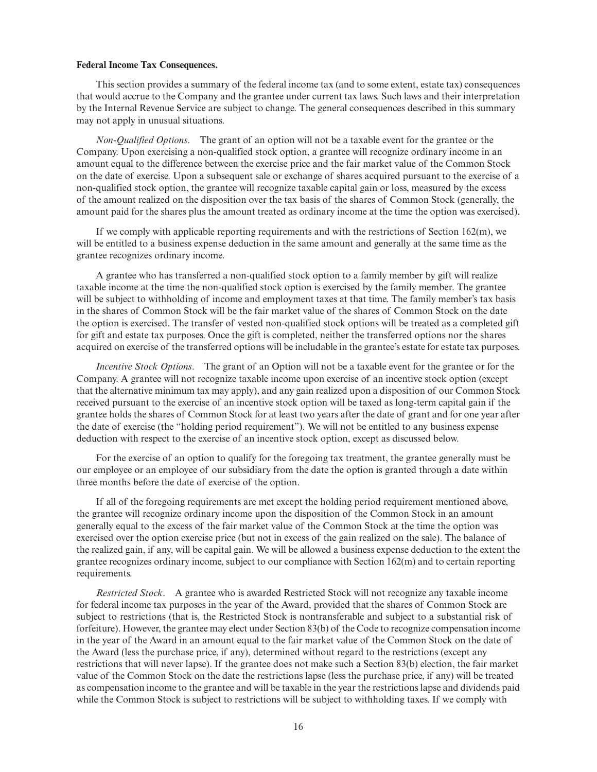#### **Federal Income Tax Consequences.**

This section provides a summary of the federal income tax (and to some extent, estate tax) consequences that would accrue to the Company and the grantee under current tax laws. Such laws and their interpretation by the Internal Revenue Service are subject to change. The general consequences described in this summary may not apply in unusual situations.

*Non-Qualified Options*. The grant of an option will not be a taxable event for the grantee or the Company. Upon exercising a non-qualified stock option, a grantee will recognize ordinary income in an amount equal to the difference between the exercise price and the fair market value of the Common Stock on the date of exercise. Upon a subsequent sale or exchange of shares acquired pursuant to the exercise of a non-qualified stock option, the grantee will recognize taxable capital gain or loss, measured by the excess of the amount realized on the disposition over the tax basis of the shares of Common Stock (generally, the amount paid for the shares plus the amount treated as ordinary income at the time the option was exercised).

If we comply with applicable reporting requirements and with the restrictions of Section 162(m), we will be entitled to a business expense deduction in the same amount and generally at the same time as the grantee recognizes ordinary income.

A grantee who has transferred a non-qualified stock option to a family member by gift will realize taxable income at the time the non-qualified stock option is exercised by the family member. The grantee will be subject to withholding of income and employment taxes at that time. The family member's tax basis in the shares of Common Stock will be the fair market value of the shares of Common Stock on the date the option is exercised. The transfer of vested non-qualified stock options will be treated as a completed gift for gift and estate tax purposes. Once the gift is completed, neither the transferred options nor the shares acquired on exercise of the transferred options will be includable in the grantee's estate for estate tax purposes.

*Incentive Stock Options*. The grant of an Option will not be a taxable event for the grantee or for the Company. A grantee will not recognize taxable income upon exercise of an incentive stock option (except that the alternative minimum tax may apply), and any gain realized upon a disposition of our Common Stock received pursuant to the exercise of an incentive stock option will be taxed as long-term capital gain if the grantee holds the shares of Common Stock for at least two years after the date of grant and for one year after the date of exercise (the "holding period requirement"). We will not be entitled to any business expense deduction with respect to the exercise of an incentive stock option, except as discussed below.

For the exercise of an option to qualify for the foregoing tax treatment, the grantee generally must be our employee or an employee of our subsidiary from the date the option is granted through a date within three months before the date of exercise of the option.

If all of the foregoing requirements are met except the holding period requirement mentioned above, the grantee will recognize ordinary income upon the disposition of the Common Stock in an amount generally equal to the excess of the fair market value of the Common Stock at the time the option was exercised over the option exercise price (but not in excess of the gain realized on the sale). The balance of the realized gain, if any, will be capital gain. We will be allowed a business expense deduction to the extent the grantee recognizes ordinary income, subject to our compliance with Section 162(m) and to certain reporting requirements.

*Restricted Stock*. A grantee who is awarded Restricted Stock will not recognize any taxable income for federal income tax purposes in the year of the Award, provided that the shares of Common Stock are subject to restrictions (that is, the Restricted Stock is nontransferable and subject to a substantial risk of forfeiture). However, the grantee may elect under Section 83(b) of the Code to recognize compensation income in the year of the Award in an amount equal to the fair market value of the Common Stock on the date of the Award (less the purchase price, if any), determined without regard to the restrictions (except any restrictions that will never lapse). If the grantee does not make such a Section 83(b) election, the fair market value of the Common Stock on the date the restrictions lapse (less the purchase price, if any) will be treated as compensation income to the grantee and will be taxable in the year the restrictions lapse and dividends paid while the Common Stock is subject to restrictions will be subject to withholding taxes. If we comply with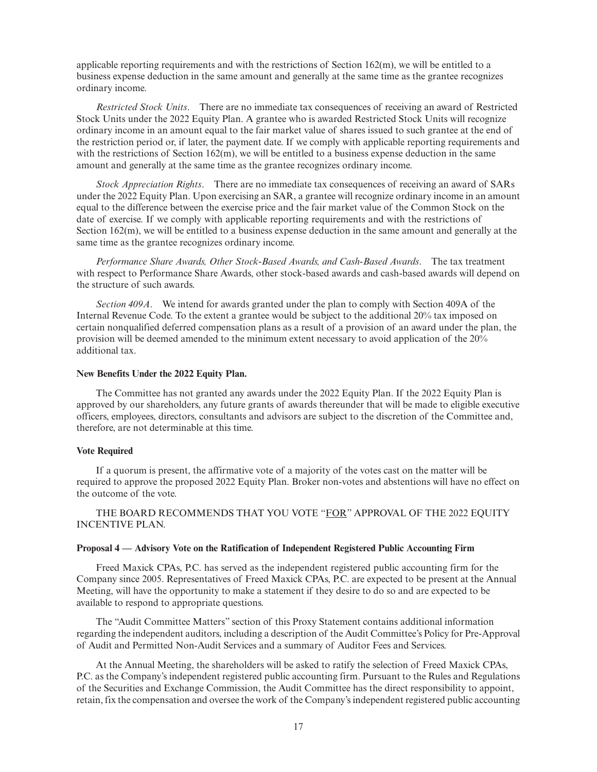applicable reporting requirements and with the restrictions of Section  $162(m)$ , we will be entitled to a business expense deduction in the same amount and generally at the same time as the grantee recognizes ordinary income.

*Restricted Stock Units*. There are no immediate tax consequences of receiving an award of Restricted Stock Units under the 2022 Equity Plan. A grantee who is awarded Restricted Stock Units will recognize ordinary income in an amount equal to the fair market value of shares issued to such grantee at the end of the restriction period or, if later, the payment date. If we comply with applicable reporting requirements and with the restrictions of Section 162(m), we will be entitled to a business expense deduction in the same amount and generally at the same time as the grantee recognizes ordinary income.

*Stock Appreciation Rights*. There are no immediate tax consequences of receiving an award of SARs under the 2022 Equity Plan. Upon exercising an SAR, a grantee will recognize ordinary income in an amount equal to the difference between the exercise price and the fair market value of the Common Stock on the date of exercise. If we comply with applicable reporting requirements and with the restrictions of Section 162(m), we will be entitled to a business expense deduction in the same amount and generally at the same time as the grantee recognizes ordinary income.

*Performance Share Awards, Other Stock-Based Awards, and Cash-Based Awards*. The tax treatment with respect to Performance Share Awards, other stock-based awards and cash-based awards will depend on the structure of such awards.

*Section 409A*. We intend for awards granted under the plan to comply with Section 409A of the Internal Revenue Code. To the extent a grantee would be subject to the additional 20% tax imposed on certain nonqualified deferred compensation plans as a result of a provision of an award under the plan, the provision will be deemed amended to the minimum extent necessary to avoid application of the 20% additional tax.

## **New Benefits Under the 2022 Equity Plan.**

The Committee has not granted any awards under the 2022 Equity Plan. If the 2022 Equity Plan is approved by our shareholders, any future grants of awards thereunder that will be made to eligible executive officers, employees, directors, consultants and advisors are subject to the discretion of the Committee and, therefore, are not determinable at this time.

#### **Vote Required**

If a quorum is present, the affirmative vote of a majority of the votes cast on the matter will be required to approve the proposed 2022 Equity Plan. Broker non-votes and abstentions will have no effect on the outcome of the vote.

THE BOARD RECOMMENDS THAT YOU VOTE "FOR" APPROVAL OF THE 2022 EQUITY INCENTIVE PLAN.

### **Proposal 4 — Advisory Vote on the Ratification of Independent Registered Public Accounting Firm**

Freed Maxick CPAs, P.C. has served as the independent registered public accounting firm for the Company since 2005. Representatives of Freed Maxick CPAs, P.C. are expected to be present at the Annual Meeting, will have the opportunity to make a statement if they desire to do so and are expected to be available to respond to appropriate questions.

The "Audit Committee Matters" section of this Proxy Statement contains additional information regarding the independent auditors, including a description of the Audit Committee's Policy for Pre-Approval of Audit and Permitted Non-Audit Services and a summary of Auditor Fees and Services.

At the Annual Meeting, the shareholders will be asked to ratify the selection of Freed Maxick CPAs, P.C. as the Company's independent registered public accounting firm. Pursuant to the Rules and Regulations of the Securities and Exchange Commission, the Audit Committee has the direct responsibility to appoint, retain, fix the compensation and oversee the work of the Company's independent registered public accounting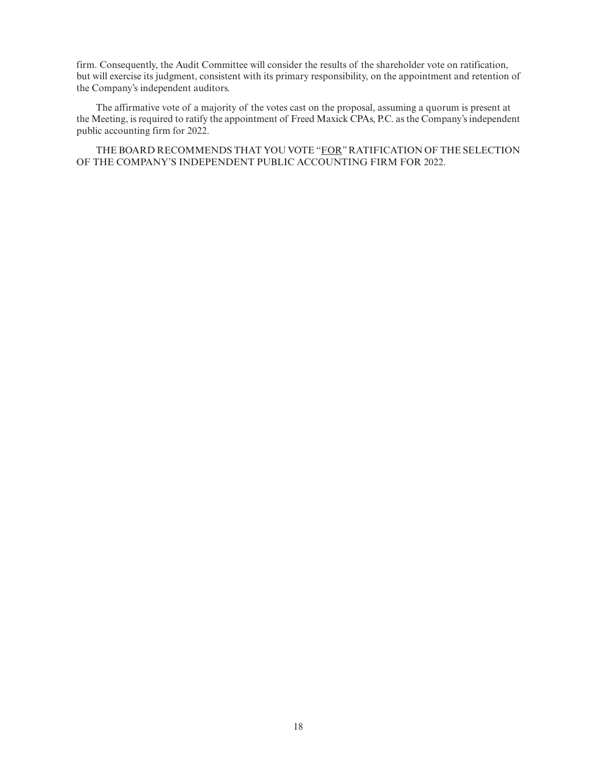firm. Consequently, the Audit Committee will consider the results of the shareholder vote on ratification, but will exercise its judgment, consistent with its primary responsibility, on the appointment and retention of the Company's independent auditors.

The affirmative vote of a majority of the votes cast on the proposal, assuming a quorum is present at the Meeting, is required to ratify the appointment of Freed Maxick CPAs, P.C. as the Company's independent public accounting firm for 2022.

THE BOARD RECOMMENDS THAT YOU VOTE "FOR" RATIFICATION OF THE SELECTION OF THE COMPANY'S INDEPENDENT PUBLIC ACCOUNTING FIRM FOR 2022.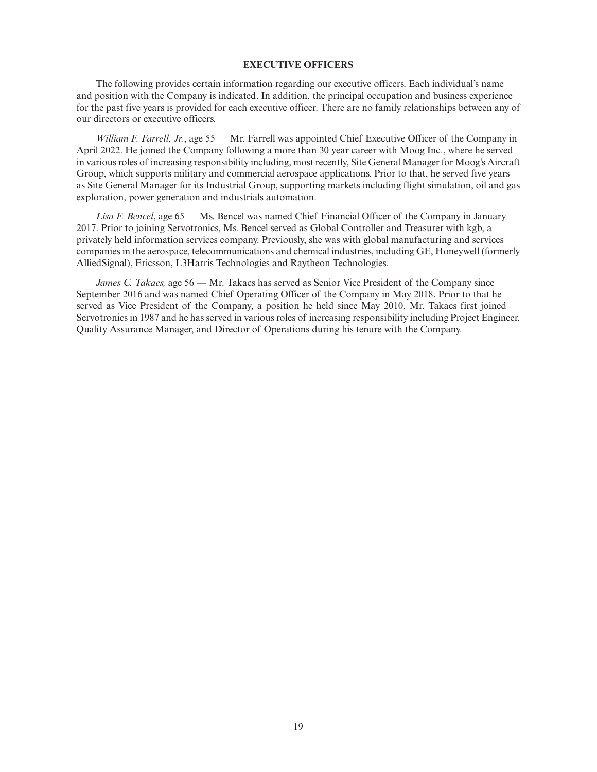## **EXECUTIVE OFFICERS**

The following provides certain information regarding our executive officers. Each individual's name and position with the Company is indicated. In addition, the principal occupation and business experience for the past five years is provided for each executive officer. There are no family relationships between any of our directors or executive officers.

*William F. Farrell, Jr.*, age 55 — Mr. Farrell was appointed Chief Executive Officer of the Company in April 2022. He joined the Company following a more than 30 year career with Moog Inc., where he served in various roles of increasing responsibility including, most recently, Site General Manager for Moog's Aircraft Group, which supports military and commercial aerospace applications. Prior to that, he served five years as Site General Manager for its Industrial Group, supporting markets including flight simulation, oil and gas exploration, power generation and industrials automation.

*Lisa F. Bencel*, age 65 — Ms. Bencel was named Chief Financial Officer of the Company in January 2017. Prior to joining Servotronics, Ms. Bencel served as Global Controller and Treasurer with kgb, a privately held information services company. Previously, she was with global manufacturing and services companies in the aerospace, telecommunications and chemical industries, including GE, Honeywell (formerly AlliedSignal), Ericsson, L3Harris Technologies and Raytheon Technologies.

*James C. Takacs,* age 56 — Mr. Takacs has served as Senior Vice President of the Company since September 2016 and was named Chief Operating Officer of the Company in May 2018. Prior to that he served as Vice President of the Company, a position he held since May 2010. Mr. Takacs first joined Servotronics in 1987 and he has served in various roles of increasing responsibility including Project Engineer, Quality Assurance Manager, and Director of Operations during his tenure with the Company.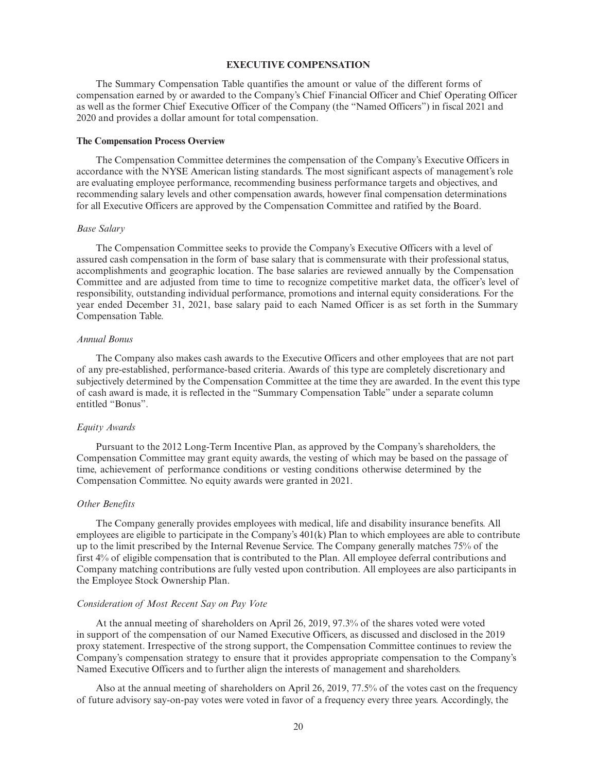### **EXECUTIVE COMPENSATION**

The Summary Compensation Table quantifies the amount or value of the different forms of compensation earned by or awarded to the Company's Chief Financial Officer and Chief Operating Officer as well as the former Chief Executive Officer of the Company (the "Named Officers") in fiscal 2021 and 2020 and provides a dollar amount for total compensation.

#### **The Compensation Process Overview**

The Compensation Committee determines the compensation of the Company's Executive Officers in accordance with the NYSE American listing standards. The most significant aspects of management's role are evaluating employee performance, recommending business performance targets and objectives, and recommending salary levels and other compensation awards, however final compensation determinations for all Executive Officers are approved by the Compensation Committee and ratified by the Board.

## *Base Salary*

The Compensation Committee seeks to provide the Company's Executive Officers with a level of assured cash compensation in the form of base salary that is commensurate with their professional status, accomplishments and geographic location. The base salaries are reviewed annually by the Compensation Committee and are adjusted from time to time to recognize competitive market data, the officer's level of responsibility, outstanding individual performance, promotions and internal equity considerations. For the year ended December 31, 2021, base salary paid to each Named Officer is as set forth in the Summary Compensation Table.

## *Annual Bonus*

The Company also makes cash awards to the Executive Officers and other employees that are not part of any pre-established, performance-based criteria. Awards of this type are completely discretionary and subjectively determined by the Compensation Committee at the time they are awarded. In the event this type of cash award is made, it is reflected in the "Summary Compensation Table" under a separate column entitled "Bonus".

## *Equity Awards*

Pursuant to the 2012 Long-Term Incentive Plan, as approved by the Company's shareholders, the Compensation Committee may grant equity awards, the vesting of which may be based on the passage of time, achievement of performance conditions or vesting conditions otherwise determined by the Compensation Committee. No equity awards were granted in 2021.

### *Other Benefits*

The Company generally provides employees with medical, life and disability insurance benefits. All employees are eligible to participate in the Company's 401(k) Plan to which employees are able to contribute up to the limit prescribed by the Internal Revenue Service. The Company generally matches 75% of the first 4% of eligible compensation that is contributed to the Plan. All employee deferral contributions and Company matching contributions are fully vested upon contribution. All employees are also participants in the Employee Stock Ownership Plan.

#### *Consideration of Most Recent Say on Pay Vote*

At the annual meeting of shareholders on April 26, 2019, 97.3% of the shares voted were voted in support of the compensation of our Named Executive Officers, as discussed and disclosed in the 2019 proxy statement. Irrespective of the strong support, the Compensation Committee continues to review the Company's compensation strategy to ensure that it provides appropriate compensation to the Company's Named Executive Officers and to further align the interests of management and shareholders.

Also at the annual meeting of shareholders on April 26, 2019, 77.5% of the votes cast on the frequency of future advisory say-on-pay votes were voted in favor of a frequency every three years. Accordingly, the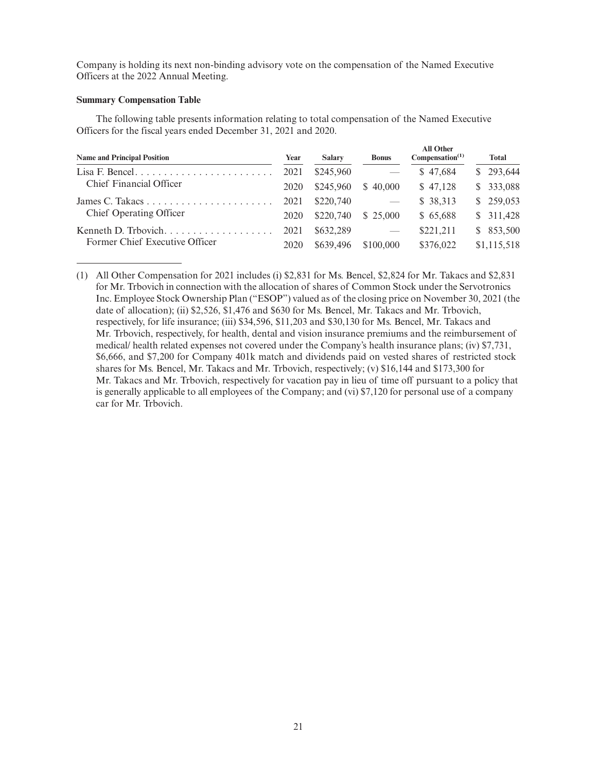Company is holding its next non-binding advisory vote on the compensation of the Named Executive Officers at the 2022 Annual Meeting.

## **Summary Compensation Table**

The following table presents information relating to total compensation of the Named Executive Officers for the fiscal years ended December 31, 2021 and 2020.

| <b>Name and Principal Position</b>                                 | Year | <b>Salary</b> | <b>Bonus</b>             | <b>All Other</b><br>Compensation <sup>(1)</sup> | <b>Total</b> |
|--------------------------------------------------------------------|------|---------------|--------------------------|-------------------------------------------------|--------------|
| Lisa F. Bencel                                                     | 2021 | \$245,960     |                          | \$47,684                                        | \$293,644    |
| Chief Financial Officer                                            | 2020 | \$245,960     | \$40,000                 | \$47,128                                        | \$ 333,088   |
| James C. Takacs $\ldots \ldots \ldots \ldots \ldots \ldots \ldots$ | 2021 | \$220,740     | $\overline{\phantom{a}}$ | \$ 38,313                                       | \$259,053    |
| Chief Operating Officer                                            | 2020 | \$220,740     | \$25,000                 | \$65,688                                        | \$311,428    |
|                                                                    | 2021 | \$632,289     | $\overline{\phantom{m}}$ | \$221,211                                       | \$853,500    |
| Former Chief Executive Officer                                     | 2020 | \$639,496     | \$100,000                | \$376,022                                       | \$1,115,518  |

<sup>(1)</sup> All Other Compensation for 2021 includes (i) \$2,831 for Ms. Bencel, \$2,824 for Mr. Takacs and \$2,831 for Mr. Trbovich in connection with the allocation of shares of Common Stock under the Servotronics Inc. Employee Stock Ownership Plan ("ESOP") valued as of the closing price on November 30, 2021 (the date of allocation); (ii) \$2,526, \$1,476 and \$630 for Ms. Bencel, Mr. Takacs and Mr. Trbovich, respectively, for life insurance; (iii) \$34,596, \$11,203 and \$30,130 for Ms. Bencel, Mr. Takacs and Mr. Trbovich, respectively, for health, dental and vision insurance premiums and the reimbursement of medical/ health related expenses not covered under the Company's health insurance plans; (iv) \$7,731, \$6,666, and \$7,200 for Company 401k match and dividends paid on vested shares of restricted stock shares for Ms. Bencel, Mr. Takacs and Mr. Trbovich, respectively; (v) \$16,144 and \$173,300 for Mr. Takacs and Mr. Trbovich, respectively for vacation pay in lieu of time off pursuant to a policy that is generally applicable to all employees of the Company; and (vi) \$7,120 for personal use of a company car for Mr. Trbovich.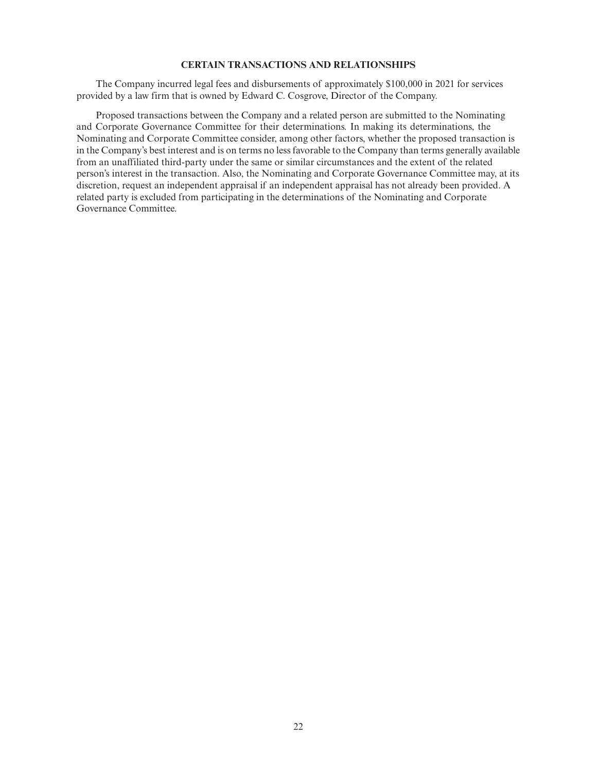## **CERTAIN TRANSACTIONS AND RELATIONSHIPS**

The Company incurred legal fees and disbursements of approximately \$100,000 in 2021 for services provided by a law firm that is owned by Edward C. Cosgrove, Director of the Company.

Proposed transactions between the Company and a related person are submitted to the Nominating and Corporate Governance Committee for their determinations. In making its determinations, the Nominating and Corporate Committee consider, among other factors, whether the proposed transaction is in the Company's best interest and is on terms no less favorable to the Company than terms generally available from an unaffiliated third-party under the same or similar circumstances and the extent of the related person's interest in the transaction. Also, the Nominating and Corporate Governance Committee may, at its discretion, request an independent appraisal if an independent appraisal has not already been provided. A related party is excluded from participating in the determinations of the Nominating and Corporate Governance Committee.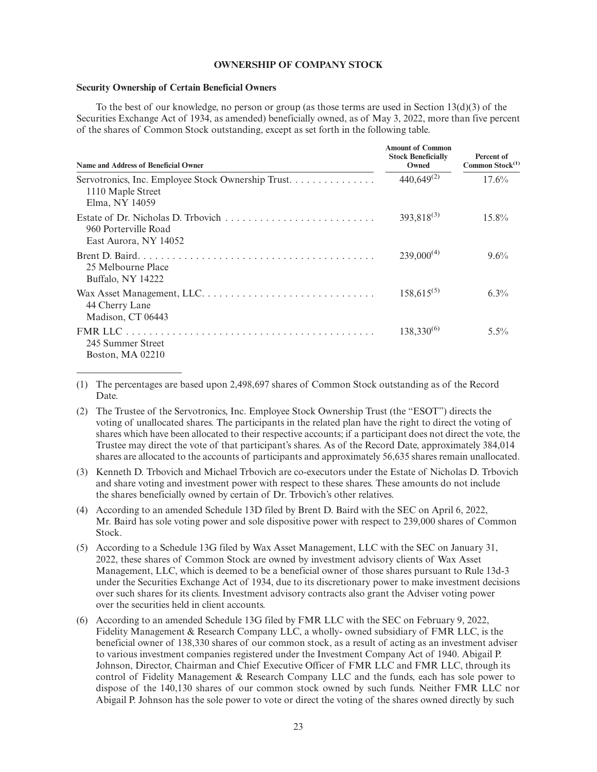## **OWNERSHIP OF COMPANY STOCK**

#### **Security Ownership of Certain Beneficial Owners**

To the best of our knowledge, no person or group (as those terms are used in Section 13(d)(3) of the Securities Exchange Act of 1934, as amended) beneficially owned, as of May 3, 2022, more than five percent of the shares of Common Stock outstanding, except as set forth in the following table.

| <b>Name and Address of Beneficial Owner</b>                                               | <b>Amount of Common</b><br><b>Stock Beneficially</b><br>Owned | Percent of<br>Common Stock $^{(1)}$ |
|-------------------------------------------------------------------------------------------|---------------------------------------------------------------|-------------------------------------|
| Servotronics, Inc. Employee Stock Ownership Trust.<br>1110 Maple Street<br>Elma, NY 14059 | $440,649^{(2)}$                                               | 17.6%                               |
| 960 Porterville Road<br>East Aurora, NY 14052                                             | $393,818^{(3)}$                                               | $15.8\%$                            |
| 25 Melbourne Place<br>Buffalo, NY 14222                                                   | $239,000^{(4)}$                                               | 9.6%                                |
| 44 Cherry Lane<br>Madison, CT 06443                                                       | $158,615^{(5)}$                                               | $6.3\%$                             |
| 245 Summer Street<br><b>Boston, MA 02210</b>                                              | $138,330^{(6)}$                                               | $5.5\%$                             |

(1) The percentages are based upon 2,498,697 shares of Common Stock outstanding as of the Record Date.

(2) The Trustee of the Servotronics, Inc. Employee Stock Ownership Trust (the "ESOT") directs the voting of unallocated shares. The participants in the related plan have the right to direct the voting of shares which have been allocated to their respective accounts; if a participant does not direct the vote, the Trustee may direct the vote of that participant's shares. As of the Record Date, approximately 384,014 shares are allocated to the accounts of participants and approximately 56,635 shares remain unallocated.

(3) Kenneth D. Trbovich and Michael Trbovich are co-executors under the Estate of Nicholas D. Trbovich and share voting and investment power with respect to these shares. These amounts do not include the shares beneficially owned by certain of Dr. Trbovich's other relatives.

(4) According to an amended Schedule 13D filed by Brent D. Baird with the SEC on April 6, 2022, Mr. Baird has sole voting power and sole dispositive power with respect to 239,000 shares of Common Stock.

(5) According to a Schedule 13G filed by Wax Asset Management, LLC with the SEC on January 31, 2022, these shares of Common Stock are owned by investment advisory clients of Wax Asset Management, LLC, which is deemed to be a beneficial owner of those shares pursuant to Rule 13d-3 under the Securities Exchange Act of 1934, due to its discretionary power to make investment decisions over such shares for its clients. Investment advisory contracts also grant the Adviser voting power over the securities held in client accounts.

(6) According to an amended Schedule 13G filed by FMR LLC with the SEC on February 9, 2022, Fidelity Management & Research Company LLC, a wholly- owned subsidiary of FMR LLC, is the beneficial owner of 138,330 shares of our common stock, as a result of acting as an investment adviser to various investment companies registered under the Investment Company Act of 1940. Abigail P. Johnson, Director, Chairman and Chief Executive Officer of FMR LLC and FMR LLC, through its control of Fidelity Management & Research Company LLC and the funds, each has sole power to dispose of the 140,130 shares of our common stock owned by such funds. Neither FMR LLC nor Abigail P. Johnson has the sole power to vote or direct the voting of the shares owned directly by such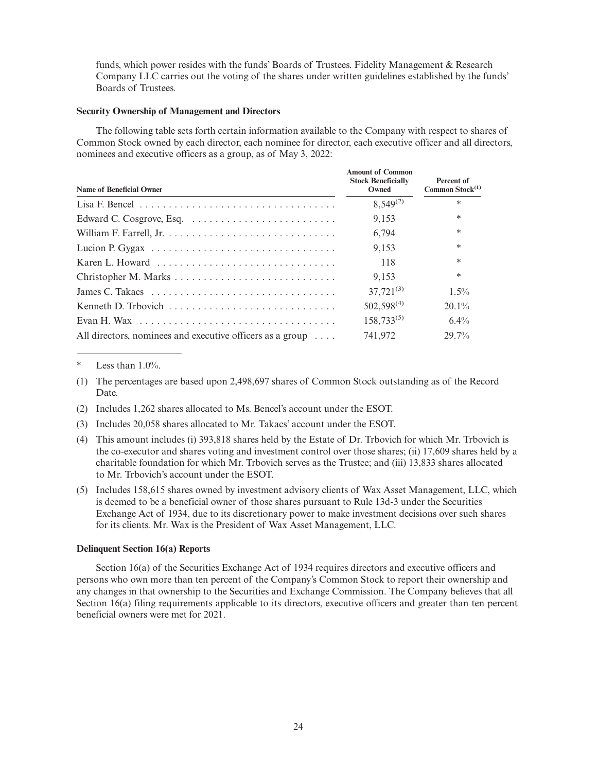funds, which power resides with the funds' Boards of Trustees. Fidelity Management & Research Company LLC carries out the voting of the shares under written guidelines established by the funds' Boards of Trustees.

## **Security Ownership of Management and Directors**

The following table sets forth certain information available to the Company with respect to shares of Common Stock owned by each director, each nominee for director, each executive officer and all directors, nominees and executive officers as a group, as of May 3, 2022:

| <b>Name of Beneficial Owner</b>                                                            | <b>Amount of Common</b><br><b>Stock Beneficially</b><br>Owned | Percent of<br>Common Stock $^{(1)}$ |
|--------------------------------------------------------------------------------------------|---------------------------------------------------------------|-------------------------------------|
| Lisa F. Bencel $\ldots \ldots \ldots \ldots \ldots \ldots \ldots \ldots \ldots \ldots$     | $8,549^{(2)}$                                                 | $\ast$                              |
|                                                                                            | 9.153                                                         | *                                   |
|                                                                                            | 6.794                                                         | $\ast$                              |
|                                                                                            | 9.153                                                         | *                                   |
|                                                                                            | 118                                                           | ∗                                   |
|                                                                                            | 9.153                                                         | $\ast$                              |
| James C. Takacs $\dots \dots \dots \dots \dots \dots \dots \dots \dots \dots \dots \dots$  | $37,721^{(3)}$                                                | $1.5\%$                             |
|                                                                                            | $502,598^{(4)}$                                               | $20.1\%$                            |
| Evan H. Wax $\ldots \ldots \ldots \ldots \ldots \ldots \ldots \ldots \ldots \ldots \ldots$ | $158,733^{(5)}$                                               | $6.4\%$                             |
| All directors, nominees and executive officers as a group $\dots$                          | 741.972                                                       | $29.7\%$                            |

#### Less than  $1.0\%$ .

- (1) The percentages are based upon 2,498,697 shares of Common Stock outstanding as of the Record Date.
- (2) Includes 1,262 shares allocated to Ms. Bencel's account under the ESOT.
- (3) Includes 20,058 shares allocated to Mr. Takacs' account under the ESOT.
- (4) This amount includes (i) 393,818 shares held by the Estate of Dr. Trbovich for which Mr. Trbovich is the co-executor and shares voting and investment control over those shares; (ii) 17,609 shares held by a charitable foundation for which Mr. Trbovich serves as the Trustee; and (iii) 13,833 shares allocated to Mr. Trbovich's account under the ESOT.
- (5) Includes 158,615 shares owned by investment advisory clients of Wax Asset Management, LLC, which is deemed to be a beneficial owner of those shares pursuant to Rule 13d-3 under the Securities Exchange Act of 1934, due to its discretionary power to make investment decisions over such shares for its clients. Mr. Wax is the President of Wax Asset Management, LLC.

#### **Delinquent Section 16(a) Reports**

Section 16(a) of the Securities Exchange Act of 1934 requires directors and executive officers and persons who own more than ten percent of the Company's Common Stock to report their ownership and any changes in that ownership to the Securities and Exchange Commission. The Company believes that all Section 16(a) filing requirements applicable to its directors, executive officers and greater than ten percent beneficial owners were met for 2021.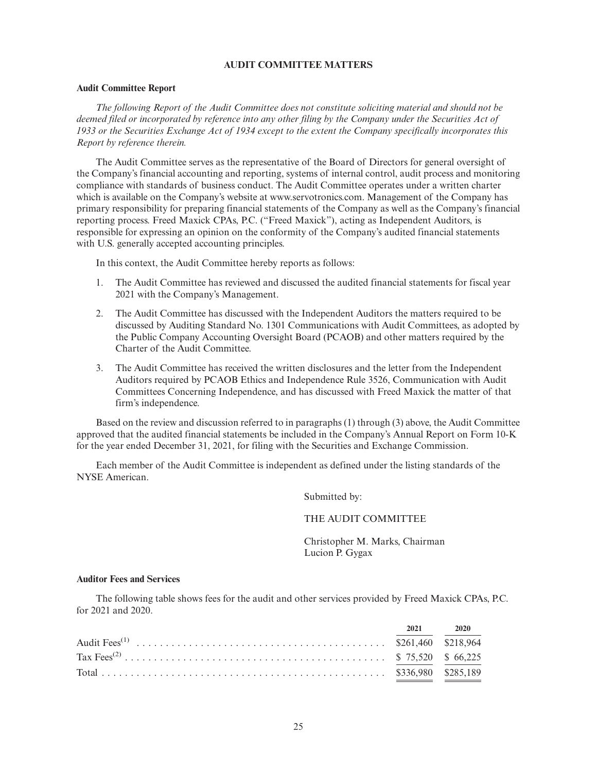## **AUDIT COMMITTEE MATTERS**

#### **Audit Committee Report**

*The following Report of the Audit Committee does not constitute soliciting material and should not be deemed filed or incorporated by reference into any other filing by the Company under the Securities Act of 1933 or the Securities Exchange Act of 1934 except to the extent the Company specifically incorporates this Report by reference therein.*

The Audit Committee serves as the representative of the Board of Directors for general oversight of the Company's financial accounting and reporting, systems of internal control, audit process and monitoring compliance with standards of business conduct. The Audit Committee operates under a written charter which is available on the Company's website at www.servotronics.com. Management of the Company has primary responsibility for preparing financial statements of the Company as well as the Company's financial reporting process. Freed Maxick CPAs, P.C. ("Freed Maxick"), acting as Independent Auditors, is responsible for expressing an opinion on the conformity of the Company's audited financial statements with U.S. generally accepted accounting principles.

In this context, the Audit Committee hereby reports as follows:

- 1. The Audit Committee has reviewed and discussed the audited financial statements for fiscal year 2021 with the Company's Management.
- 2. The Audit Committee has discussed with the Independent Auditors the matters required to be discussed by Auditing Standard No. 1301 Communications with Audit Committees, as adopted by the Public Company Accounting Oversight Board (PCAOB) and other matters required by the Charter of the Audit Committee.
- 3. The Audit Committee has received the written disclosures and the letter from the Independent Auditors required by PCAOB Ethics and Independence Rule 3526, Communication with Audit Committees Concerning Independence, and has discussed with Freed Maxick the matter of that firm's independence.

Based on the review and discussion referred to in paragraphs (1) through (3) above, the Audit Committee approved that the audited financial statements be included in the Company's Annual Report on Form 10-K for the year ended December 31, 2021, for filing with the Securities and Exchange Commission.

Each member of the Audit Committee is independent as defined under the listing standards of the NYSE American.

Submitted by:

## THE AUDIT COMMITTEE

Christopher M. Marks, Chairman Lucion P. Gygax

## **Auditor Fees and Services**

The following table shows fees for the audit and other services provided by Freed Maxick CPAs, P.C. for 2021 and 2020.

| 2021 | 2020 |
|------|------|
|      |      |
|      |      |
|      |      |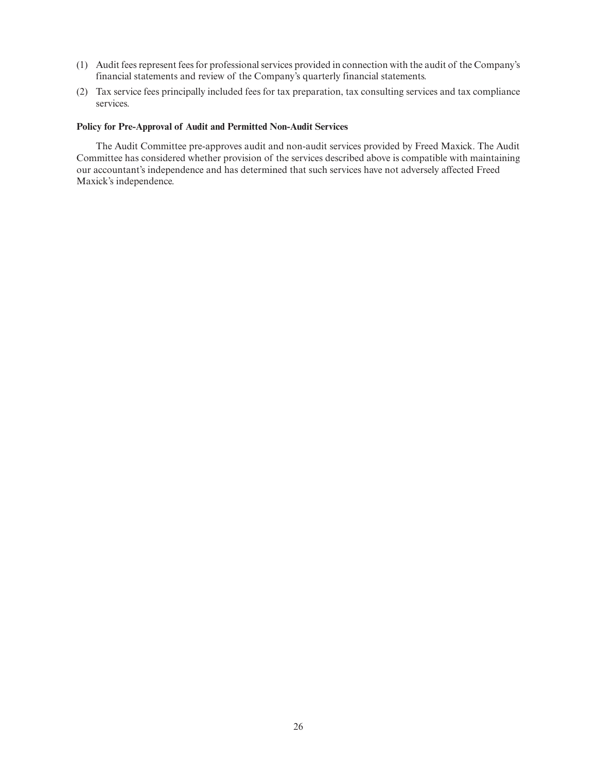- (1) Audit fees represent fees for professional services provided in connection with the audit of the Company's financial statements and review of the Company's quarterly financial statements.
- (2) Tax service fees principally included fees for tax preparation, tax consulting services and tax compliance services.

## **Policy for Pre-Approval of Audit and Permitted Non-Audit Services**

The Audit Committee pre-approves audit and non-audit services provided by Freed Maxick. The Audit Committee has considered whether provision of the services described above is compatible with maintaining our accountant's independence and has determined that such services have not adversely affected Freed Maxick's independence.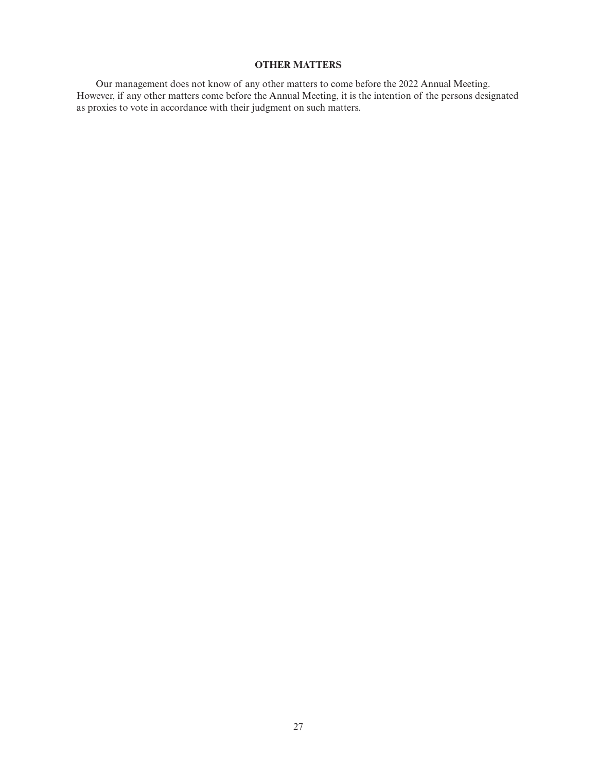## **OTHER MATTERS**

Our management does not know of any other matters to come before the 2022 Annual Meeting. However, if any other matters come before the Annual Meeting, it is the intention of the persons designated as proxies to vote in accordance with their judgment on such matters.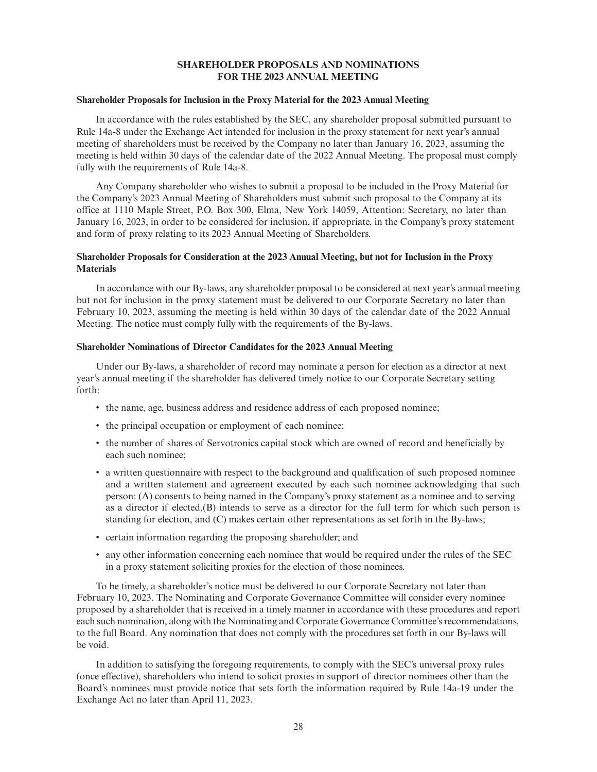## **SHAREHOLDER PROPOSALS AND NOMINATIONS FOR THE 2023 ANNUAL MEETING**

## **Shareholder Proposals for Inclusion in the Proxy Material for the 2023 Annual Meeting**

In accordance with the rules established by the SEC, any shareholder proposal submitted pursuant to Rule 14a-8 under the Exchange Act intended for inclusion in the proxy statement for next year's annual meeting of shareholders must be received by the Company no later than January 16, 2023, assuming the meeting is held within 30 days of the calendar date of the 2022 Annual Meeting. The proposal must comply fully with the requirements of Rule 14a-8.

Any Company shareholder who wishes to submit a proposal to be included in the Proxy Material for the Company's 2023 Annual Meeting of Shareholders must submit such proposal to the Company at its office at 1110 Maple Street, P.O. Box 300, Elma, New York 14059, Attention: Secretary, no later than January 16, 2023, in order to be considered for inclusion, if appropriate, in the Company's proxy statement and form of proxy relating to its 2023 Annual Meeting of Shareholders.

## **Shareholder Proposals for Consideration at the 2023 Annual Meeting, but not for Inclusion in the Proxy Materials**

In accordance with our By-laws, any shareholder proposal to be considered at next year's annual meeting but not for inclusion in the proxy statement must be delivered to our Corporate Secretary no later than February 10, 2023, assuming the meeting is held within 30 days of the calendar date of the 2022 Annual Meeting. The notice must comply fully with the requirements of the By-laws.

## **Shareholder Nominations of Director Candidates for the 2023 Annual Meeting**

Under our By-laws, a shareholder of record may nominate a person for election as a director at next year's annual meeting if the shareholder has delivered timely notice to our Corporate Secretary setting forth:

- the name, age, business address and residence address of each proposed nominee;
- the principal occupation or employment of each nominee;
- the number of shares of Servotronics capital stock which are owned of record and beneficially by each such nominee;
- a written questionnaire with respect to the background and qualification of such proposed nominee and a written statement and agreement executed by each such nominee acknowledging that such person: (A) consents to being named in the Company's proxy statement as a nominee and to serving as a director if elected,(B) intends to serve as a director for the full term for which such person is standing for election, and (C) makes certain other representations as set forth in the By-laws;
- certain information regarding the proposing shareholder; and
- any other information concerning each nominee that would be required under the rules of the SEC in a proxy statement soliciting proxies for the election of those nominees.

To be timely, a shareholder's notice must be delivered to our Corporate Secretary not later than February 10, 2023. The Nominating and Corporate Governance Committee will consider every nominee proposed by a shareholder that is received in a timely manner in accordance with these procedures and report each such nomination, along with the Nominating and Corporate Governance Committee's recommendations, to the full Board. Any nomination that does not comply with the procedures set forth in our By-laws will be void.

In addition to satisfying the foregoing requirements, to comply with the SEC's universal proxy rules (once effective), shareholders who intend to solicit proxies in support of director nominees other than the Board's nominees must provide notice that sets forth the information required by Rule 14a-19 under the Exchange Act no later than April 11, 2023.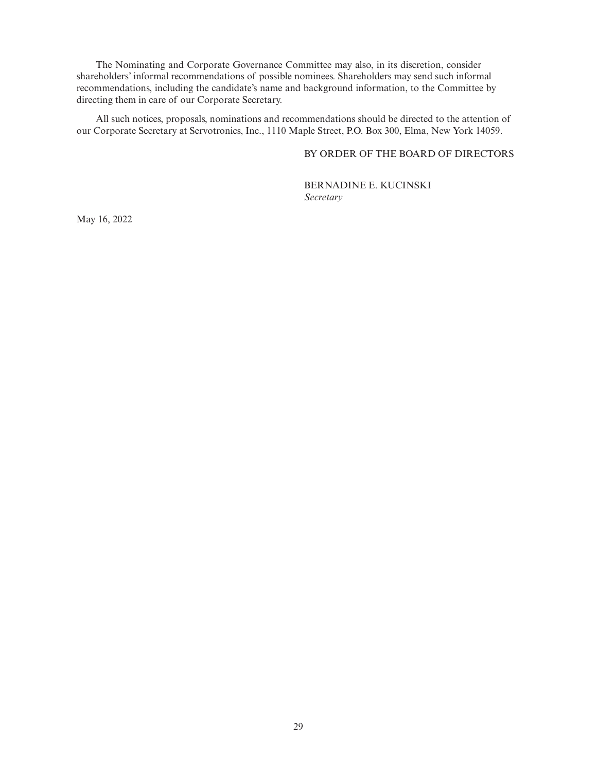The Nominating and Corporate Governance Committee may also, in its discretion, consider shareholders' informal recommendations of possible nominees. Shareholders may send such informal recommendations, including the candidate's name and background information, to the Committee by directing them in care of our Corporate Secretary.

All such notices, proposals, nominations and recommendations should be directed to the attention of our Corporate Secretary at Servotronics, Inc., 1110 Maple Street, P.O. Box 300, Elma, New York 14059.

## BY ORDER OF THE BOARD OF DIRECTORS

BERNADINE E. KUCINSKI *Secretary*

May 16, 2022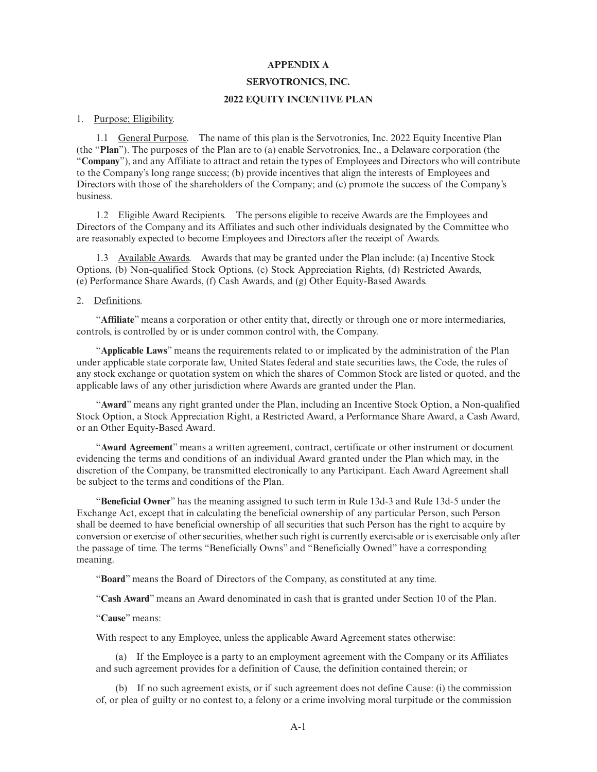## **APPENDIX A**

## **SERVOTRONICS, INC.**

## **2022 EQUITY INCENTIVE PLAN**

## 1. Purpose; Eligibility.

1.1 General Purpose. The name of this plan is the Servotronics, Inc. 2022 Equity Incentive Plan (the "**Plan**"). The purposes of the Plan are to (a) enable Servotronics, Inc., a Delaware corporation (the "**Company**"), and any Affiliate to attract and retain the types of Employees and Directors who will contribute to the Company's long range success; (b) provide incentives that align the interests of Employees and Directors with those of the shareholders of the Company; and (c) promote the success of the Company's business.

1.2 Eligible Award Recipients. The persons eligible to receive Awards are the Employees and Directors of the Company and its Affiliates and such other individuals designated by the Committee who are reasonably expected to become Employees and Directors after the receipt of Awards.

1.3 Available Awards. Awards that may be granted under the Plan include: (a) Incentive Stock Options, (b) Non-qualified Stock Options, (c) Stock Appreciation Rights, (d) Restricted Awards, (e) Performance Share Awards, (f) Cash Awards, and (g) Other Equity-Based Awards.

## 2. Definitions.

"**Affiliate**" means a corporation or other entity that, directly or through one or more intermediaries, controls, is controlled by or is under common control with, the Company.

"**Applicable Laws**" means the requirements related to or implicated by the administration of the Plan under applicable state corporate law, United States federal and state securities laws, the Code, the rules of any stock exchange or quotation system on which the shares of Common Stock are listed or quoted, and the applicable laws of any other jurisdiction where Awards are granted under the Plan.

"**Award**" means any right granted under the Plan, including an Incentive Stock Option, a Non-qualified Stock Option, a Stock Appreciation Right, a Restricted Award, a Performance Share Award, a Cash Award, or an Other Equity-Based Award.

"**Award Agreement**" means a written agreement, contract, certificate or other instrument or document evidencing the terms and conditions of an individual Award granted under the Plan which may, in the discretion of the Company, be transmitted electronically to any Participant. Each Award Agreement shall be subject to the terms and conditions of the Plan.

"**Beneficial Owner**" has the meaning assigned to such term in Rule 13d-3 and Rule 13d-5 under the Exchange Act, except that in calculating the beneficial ownership of any particular Person, such Person shall be deemed to have beneficial ownership of all securities that such Person has the right to acquire by conversion or exercise of other securities, whether such right is currently exercisable or is exercisable only after the passage of time. The terms "Beneficially Owns" and "Beneficially Owned" have a corresponding meaning.

"**Board**" means the Board of Directors of the Company, as constituted at any time.

"**Cash Award**" means an Award denominated in cash that is granted under Section 10 of the Plan.

"**Cause**" means:

With respect to any Employee, unless the applicable Award Agreement states otherwise:

(a) If the Employee is a party to an employment agreement with the Company or its Affiliates and such agreement provides for a definition of Cause, the definition contained therein; or

(b) If no such agreement exists, or if such agreement does not define Cause: (i) the commission of, or plea of guilty or no contest to, a felony or a crime involving moral turpitude or the commission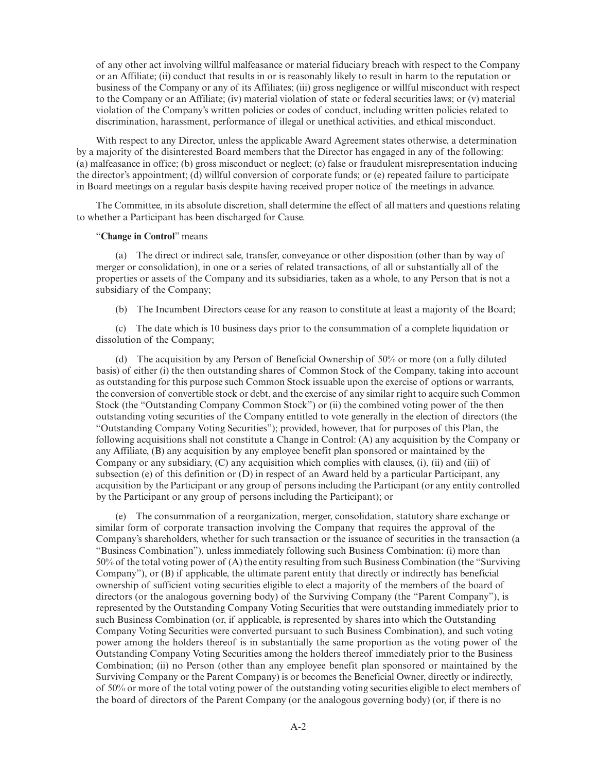of any other act involving willful malfeasance or material fiduciary breach with respect to the Company or an Affiliate; (ii) conduct that results in or is reasonably likely to result in harm to the reputation or business of the Company or any of its Affiliates; (iii) gross negligence or willful misconduct with respect to the Company or an Affiliate; (iv) material violation of state or federal securities laws; or (v) material violation of the Company's written policies or codes of conduct, including written policies related to discrimination, harassment, performance of illegal or unethical activities, and ethical misconduct.

With respect to any Director, unless the applicable Award Agreement states otherwise, a determination by a majority of the disinterested Board members that the Director has engaged in any of the following: (a) malfeasance in office; (b) gross misconduct or neglect; (c) false or fraudulent misrepresentation inducing the director's appointment; (d) willful conversion of corporate funds; or (e) repeated failure to participate in Board meetings on a regular basis despite having received proper notice of the meetings in advance.

The Committee, in its absolute discretion, shall determine the effect of all matters and questions relating to whether a Participant has been discharged for Cause.

## "**Change in Control**" means

(a) The direct or indirect sale, transfer, conveyance or other disposition (other than by way of merger or consolidation), in one or a series of related transactions, of all or substantially all of the properties or assets of the Company and its subsidiaries, taken as a whole, to any Person that is not a subsidiary of the Company;

(b) The Incumbent Directors cease for any reason to constitute at least a majority of the Board;

(c) The date which is 10 business days prior to the consummation of a complete liquidation or dissolution of the Company;

(d) The acquisition by any Person of Beneficial Ownership of 50% or more (on a fully diluted basis) of either (i) the then outstanding shares of Common Stock of the Company, taking into account as outstanding for this purpose such Common Stock issuable upon the exercise of options or warrants, the conversion of convertible stock or debt, and the exercise of any similar right to acquire such Common Stock (the "Outstanding Company Common Stock") or (ii) the combined voting power of the then outstanding voting securities of the Company entitled to vote generally in the election of directors (the "Outstanding Company Voting Securities"); provided, however, that for purposes of this Plan, the following acquisitions shall not constitute a Change in Control: (A) any acquisition by the Company or any Affiliate, (B) any acquisition by any employee benefit plan sponsored or maintained by the Company or any subsidiary, (C) any acquisition which complies with clauses, (i), (ii) and (iii) of subsection (e) of this definition or (D) in respect of an Award held by a particular Participant, any acquisition by the Participant or any group of persons including the Participant (or any entity controlled by the Participant or any group of persons including the Participant); or

(e) The consummation of a reorganization, merger, consolidation, statutory share exchange or similar form of corporate transaction involving the Company that requires the approval of the Company's shareholders, whether for such transaction or the issuance of securities in the transaction (a "Business Combination"), unless immediately following such Business Combination: (i) more than 50% of the total voting power of (A) the entity resulting from such Business Combination (the "Surviving Company"), or (B) if applicable, the ultimate parent entity that directly or indirectly has beneficial ownership of sufficient voting securities eligible to elect a majority of the members of the board of directors (or the analogous governing body) of the Surviving Company (the "Parent Company"), is represented by the Outstanding Company Voting Securities that were outstanding immediately prior to such Business Combination (or, if applicable, is represented by shares into which the Outstanding Company Voting Securities were converted pursuant to such Business Combination), and such voting power among the holders thereof is in substantially the same proportion as the voting power of the Outstanding Company Voting Securities among the holders thereof immediately prior to the Business Combination; (ii) no Person (other than any employee benefit plan sponsored or maintained by the Surviving Company or the Parent Company) is or becomes the Beneficial Owner, directly or indirectly, of 50% or more of the total voting power of the outstanding voting securities eligible to elect members of the board of directors of the Parent Company (or the analogous governing body) (or, if there is no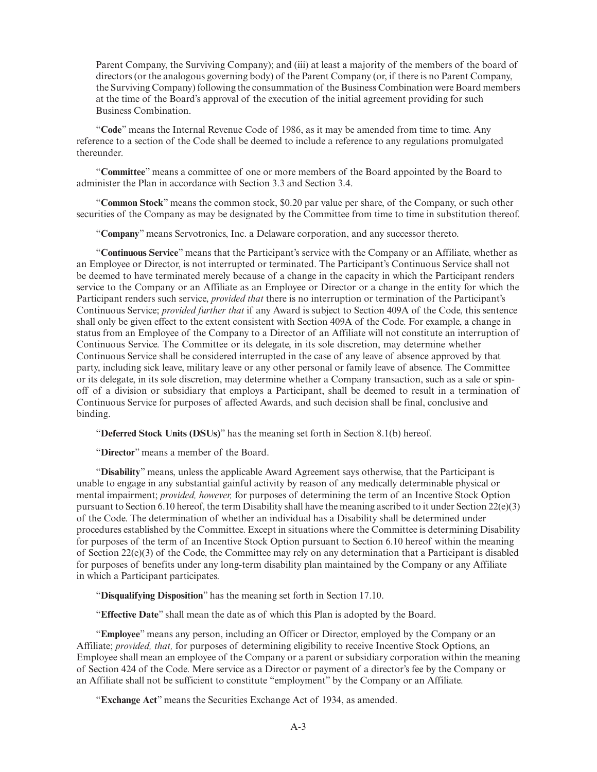Parent Company, the Surviving Company); and (iii) at least a majority of the members of the board of directors (or the analogous governing body) of the Parent Company (or, if there is no Parent Company, the Surviving Company) following the consummation of the Business Combination were Board members at the time of the Board's approval of the execution of the initial agreement providing for such Business Combination.

"**Code**" means the Internal Revenue Code of 1986, as it may be amended from time to time. Any reference to a section of the Code shall be deemed to include a reference to any regulations promulgated thereunder.

"**Committee**" means a committee of one or more members of the Board appointed by the Board to administer the Plan in accordance with Section 3.3 and Section 3.4.

"**Common Stock**" means the common stock, \$0.20 par value per share, of the Company, or such other securities of the Company as may be designated by the Committee from time to time in substitution thereof.

"**Company**" means Servotronics, Inc. a Delaware corporation, and any successor thereto.

"**Continuous Service**" means that the Participant's service with the Company or an Affiliate, whether as an Employee or Director, is not interrupted or terminated. The Participant's Continuous Service shall not be deemed to have terminated merely because of a change in the capacity in which the Participant renders service to the Company or an Affiliate as an Employee or Director or a change in the entity for which the Participant renders such service, *provided that* there is no interruption or termination of the Participant's Continuous Service; *provided further that* if any Award is subject to Section 409A of the Code, this sentence shall only be given effect to the extent consistent with Section 409A of the Code. For example, a change in status from an Employee of the Company to a Director of an Affiliate will not constitute an interruption of Continuous Service. The Committee or its delegate, in its sole discretion, may determine whether Continuous Service shall be considered interrupted in the case of any leave of absence approved by that party, including sick leave, military leave or any other personal or family leave of absence. The Committee or its delegate, in its sole discretion, may determine whether a Company transaction, such as a sale or spinoff of a division or subsidiary that employs a Participant, shall be deemed to result in a termination of Continuous Service for purposes of affected Awards, and such decision shall be final, conclusive and binding.

"**Deferred Stock Units (DSUs)**" has the meaning set forth in Section 8.1(b) hereof.

"**Director**" means a member of the Board.

"**Disability**" means, unless the applicable Award Agreement says otherwise, that the Participant is unable to engage in any substantial gainful activity by reason of any medically determinable physical or mental impairment; *provided, however,* for purposes of determining the term of an Incentive Stock Option pursuant to Section 6.10 hereof, the term Disability shall have the meaning ascribed to it under Section 22(e)(3) of the Code. The determination of whether an individual has a Disability shall be determined under procedures established by the Committee. Except in situations where the Committee is determining Disability for purposes of the term of an Incentive Stock Option pursuant to Section 6.10 hereof within the meaning of Section 22(e)(3) of the Code, the Committee may rely on any determination that a Participant is disabled for purposes of benefits under any long-term disability plan maintained by the Company or any Affiliate in which a Participant participates.

"**Disqualifying Disposition**" has the meaning set forth in Section 17.10.

"**Effective Date**" shall mean the date as of which this Plan is adopted by the Board.

"**Employee**" means any person, including an Officer or Director, employed by the Company or an Affiliate; *provided, that,* for purposes of determining eligibility to receive Incentive Stock Options, an Employee shall mean an employee of the Company or a parent or subsidiary corporation within the meaning of Section 424 of the Code. Mere service as a Director or payment of a director's fee by the Company or an Affiliate shall not be sufficient to constitute "employment" by the Company or an Affiliate.

"**Exchange Act**" means the Securities Exchange Act of 1934, as amended.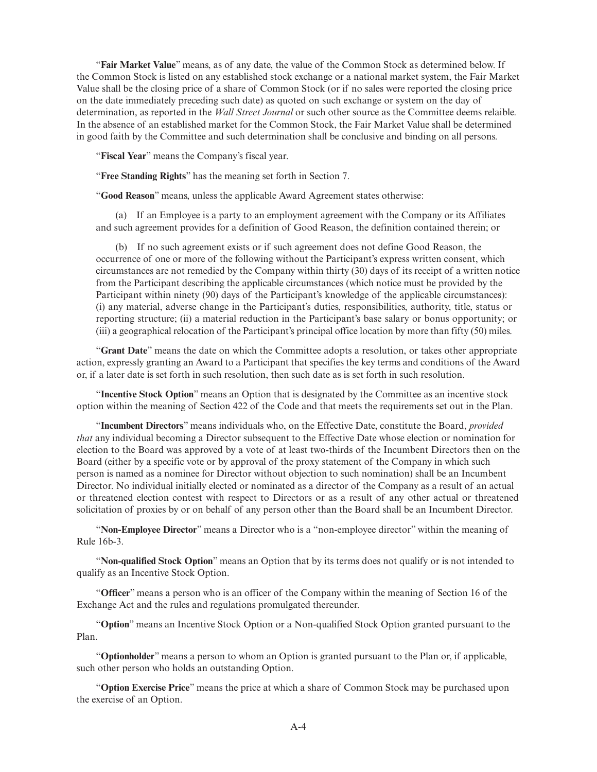"**Fair Market Value**" means, as of any date, the value of the Common Stock as determined below. If the Common Stock is listed on any established stock exchange or a national market system, the Fair Market Value shall be the closing price of a share of Common Stock (or if no sales were reported the closing price on the date immediately preceding such date) as quoted on such exchange or system on the day of determination, as reported in the *Wall Street Journal* or such other source as the Committee deems relaible. In the absence of an established market for the Common Stock, the Fair Market Value shall be determined in good faith by the Committee and such determination shall be conclusive and binding on all persons.

"**Fiscal Year**" means the Company's fiscal year.

"**Free Standing Rights**" has the meaning set forth in Section 7.

"**Good Reason**" means, unless the applicable Award Agreement states otherwise:

(a) If an Employee is a party to an employment agreement with the Company or its Affiliates and such agreement provides for a definition of Good Reason, the definition contained therein; or

(b) If no such agreement exists or if such agreement does not define Good Reason, the occurrence of one or more of the following without the Participant's express written consent, which circumstances are not remedied by the Company within thirty (30) days of its receipt of a written notice from the Participant describing the applicable circumstances (which notice must be provided by the Participant within ninety (90) days of the Participant's knowledge of the applicable circumstances): (i) any material, adverse change in the Participant's duties, responsibilities, authority, title, status or reporting structure; (ii) a material reduction in the Participant's base salary or bonus opportunity; or (iii) a geographical relocation of the Participant's principal office location by more than fifty (50) miles.

"**Grant Date**" means the date on which the Committee adopts a resolution, or takes other appropriate action, expressly granting an Award to a Participant that specifies the key terms and conditions of the Award or, if a later date is set forth in such resolution, then such date as is set forth in such resolution.

"**Incentive Stock Option**" means an Option that is designated by the Committee as an incentive stock option within the meaning of Section 422 of the Code and that meets the requirements set out in the Plan.

"**Incumbent Directors**" means individuals who, on the Effective Date, constitute the Board, *provided that* any individual becoming a Director subsequent to the Effective Date whose election or nomination for election to the Board was approved by a vote of at least two-thirds of the Incumbent Directors then on the Board (either by a specific vote or by approval of the proxy statement of the Company in which such person is named as a nominee for Director without objection to such nomination) shall be an Incumbent Director. No individual initially elected or nominated as a director of the Company as a result of an actual or threatened election contest with respect to Directors or as a result of any other actual or threatened solicitation of proxies by or on behalf of any person other than the Board shall be an Incumbent Director.

"**Non-Employee Director**" means a Director who is a "non-employee director" within the meaning of Rule 16b-3.

"**Non-qualified Stock Option**" means an Option that by its terms does not qualify or is not intended to qualify as an Incentive Stock Option.

"**Officer**" means a person who is an officer of the Company within the meaning of Section 16 of the Exchange Act and the rules and regulations promulgated thereunder.

"**Option**" means an Incentive Stock Option or a Non-qualified Stock Option granted pursuant to the Plan.

"**Optionholder**" means a person to whom an Option is granted pursuant to the Plan or, if applicable, such other person who holds an outstanding Option.

"**Option Exercise Price**" means the price at which a share of Common Stock may be purchased upon the exercise of an Option.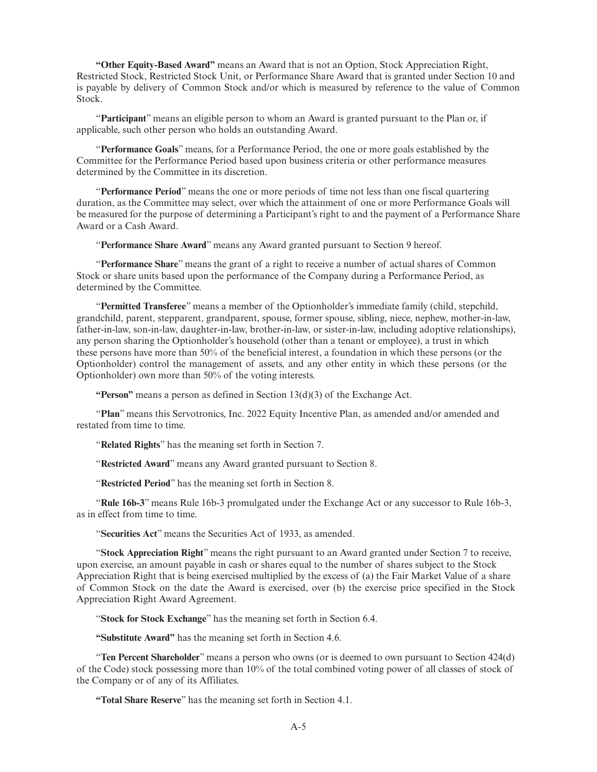**"Other Equity-Based Award"** means an Award that is not an Option, Stock Appreciation Right, Restricted Stock, Restricted Stock Unit, or Performance Share Award that is granted under Section 10 and is payable by delivery of Common Stock and/or which is measured by reference to the value of Common Stock.

"**Participant**" means an eligible person to whom an Award is granted pursuant to the Plan or, if applicable, such other person who holds an outstanding Award.

"**Performance Goals**" means, for a Performance Period, the one or more goals established by the Committee for the Performance Period based upon business criteria or other performance measures determined by the Committee in its discretion.

"**Performance Period**" means the one or more periods of time not less than one fiscal quartering duration, as the Committee may select, over which the attainment of one or more Performance Goals will be measured for the purpose of determining a Participant's right to and the payment of a Performance Share Award or a Cash Award.

"**Performance Share Award**" means any Award granted pursuant to Section 9 hereof.

"**Performance Share**" means the grant of a right to receive a number of actual shares of Common Stock or share units based upon the performance of the Company during a Performance Period, as determined by the Committee.

"**Permitted Transferee**" means a member of the Optionholder's immediate family (child, stepchild, grandchild, parent, stepparent, grandparent, spouse, former spouse, sibling, niece, nephew, mother-in-law, father-in-law, son-in-law, daughter-in-law, brother-in-law, or sister-in-law, including adoptive relationships), any person sharing the Optionholder's household (other than a tenant or employee), a trust in which these persons have more than 50% of the beneficial interest, a foundation in which these persons (or the Optionholder) control the management of assets, and any other entity in which these persons (or the Optionholder) own more than 50% of the voting interests.

**"Person"** means a person as defined in Section 13(d)(3) of the Exchange Act.

"**Plan**" means this Servotronics, Inc. 2022 Equity Incentive Plan, as amended and/or amended and restated from time to time.

"**Related Rights**" has the meaning set forth in Section 7.

"**Restricted Award**" means any Award granted pursuant to Section 8.

"**Restricted Period**" has the meaning set forth in Section 8.

"**Rule 16b-3**" means Rule 16b-3 promulgated under the Exchange Act or any successor to Rule 16b-3, as in effect from time to time.

"**Securities Act**" means the Securities Act of 1933, as amended.

"**Stock Appreciation Right**" means the right pursuant to an Award granted under Section 7 to receive, upon exercise, an amount payable in cash or shares equal to the number of shares subject to the Stock Appreciation Right that is being exercised multiplied by the excess of (a) the Fair Market Value of a share of Common Stock on the date the Award is exercised, over (b) the exercise price specified in the Stock Appreciation Right Award Agreement.

"**Stock for Stock Exchange**" has the meaning set forth in Section 6.4.

**"Substitute Award"** has the meaning set forth in Section 4.6.

"**Ten Percent Shareholder**" means a person who owns (or is deemed to own pursuant to Section 424(d) of the Code) stock possessing more than 10% of the total combined voting power of all classes of stock of the Company or of any of its Affiliates.

**"Total Share Reserve**" has the meaning set forth in Section 4.1.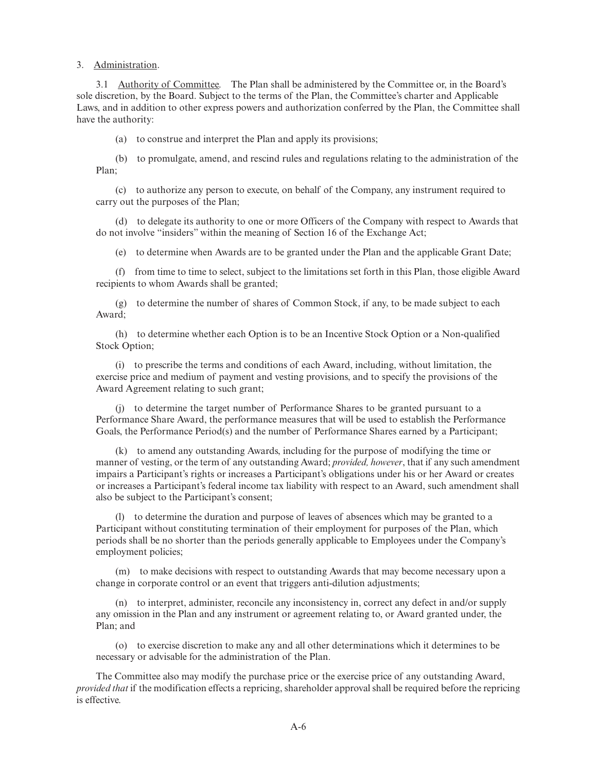## 3. Administration.

3.1 Authority of Committee. The Plan shall be administered by the Committee or, in the Board's sole discretion, by the Board. Subject to the terms of the Plan, the Committee's charter and Applicable Laws, and in addition to other express powers and authorization conferred by the Plan, the Committee shall have the authority:

(a) to construe and interpret the Plan and apply its provisions;

(b) to promulgate, amend, and rescind rules and regulations relating to the administration of the Plan;

(c) to authorize any person to execute, on behalf of the Company, any instrument required to carry out the purposes of the Plan;

(d) to delegate its authority to one or more Officers of the Company with respect to Awards that do not involve "insiders" within the meaning of Section 16 of the Exchange Act;

(e) to determine when Awards are to be granted under the Plan and the applicable Grant Date;

(f) from time to time to select, subject to the limitations set forth in this Plan, those eligible Award recipients to whom Awards shall be granted;

(g) to determine the number of shares of Common Stock, if any, to be made subject to each Award;

(h) to determine whether each Option is to be an Incentive Stock Option or a Non-qualified Stock Option;

(i) to prescribe the terms and conditions of each Award, including, without limitation, the exercise price and medium of payment and vesting provisions, and to specify the provisions of the Award Agreement relating to such grant;

(j) to determine the target number of Performance Shares to be granted pursuant to a Performance Share Award, the performance measures that will be used to establish the Performance Goals, the Performance Period(s) and the number of Performance Shares earned by a Participant;

(k) to amend any outstanding Awards, including for the purpose of modifying the time or manner of vesting, or the term of any outstanding Award; *provided, however*, that if any such amendment impairs a Participant's rights or increases a Participant's obligations under his or her Award or creates or increases a Participant's federal income tax liability with respect to an Award, such amendment shall also be subject to the Participant's consent;

(l) to determine the duration and purpose of leaves of absences which may be granted to a Participant without constituting termination of their employment for purposes of the Plan, which periods shall be no shorter than the periods generally applicable to Employees under the Company's employment policies;

(m) to make decisions with respect to outstanding Awards that may become necessary upon a change in corporate control or an event that triggers anti-dilution adjustments;

(n) to interpret, administer, reconcile any inconsistency in, correct any defect in and/or supply any omission in the Plan and any instrument or agreement relating to, or Award granted under, the Plan; and

(o) to exercise discretion to make any and all other determinations which it determines to be necessary or advisable for the administration of the Plan.

The Committee also may modify the purchase price or the exercise price of any outstanding Award, *provided that* if the modification effects a repricing, shareholder approval shall be required before the repricing is effective.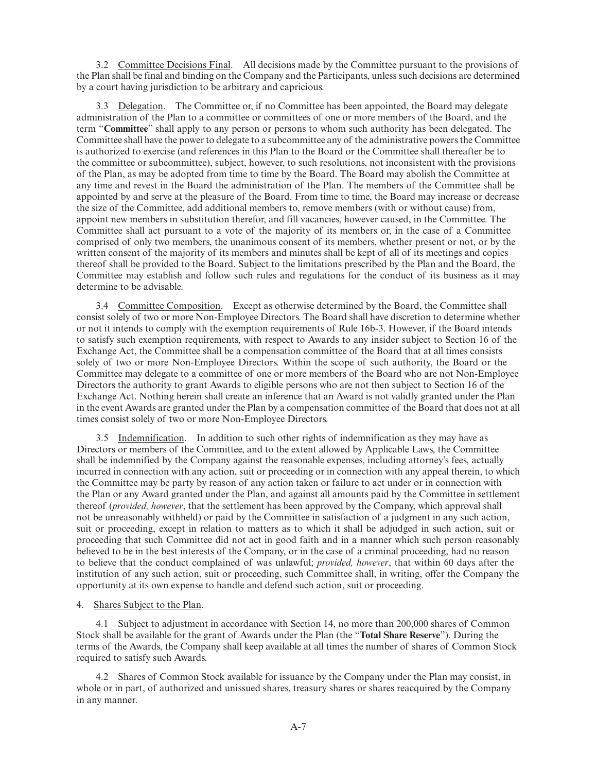3.2 Committee Decisions Final. All decisions made by the Committee pursuant to the provisions of the Plan shall be final and binding on the Company and the Participants, unless such decisions are determined by a court having jurisdiction to be arbitrary and capricious.

3.3 Delegation. The Committee or, if no Committee has been appointed, the Board may delegate administration of the Plan to a committee or committees of one or more members of the Board, and the term "**Committee**" shall apply to any person or persons to whom such authority has been delegated. The Committee shall have the power to delegate to a subcommittee any of the administrative powers the Committee is authorized to exercise (and references in this Plan to the Board or the Committee shall thereafter be to the committee or subcommittee), subject, however, to such resolutions, not inconsistent with the provisions of the Plan, as may be adopted from time to time by the Board. The Board may abolish the Committee at any time and revest in the Board the administration of the Plan. The members of the Committee shall be appointed by and serve at the pleasure of the Board. From time to time, the Board may increase or decrease the size of the Committee, add additional members to, remove members (with or without cause) from, appoint new members in substitution therefor, and fill vacancies, however caused, in the Committee. The Committee shall act pursuant to a vote of the majority of its members or, in the case of a Committee comprised of only two members, the unanimous consent of its members, whether present or not, or by the written consent of the majority of its members and minutes shall be kept of all of its meetings and copies thereof shall be provided to the Board. Subject to the limitations prescribed by the Plan and the Board, the Committee may establish and follow such rules and regulations for the conduct of its business as it may determine to be advisable.

3.4 Committee Composition. Except as otherwise determined by the Board, the Committee shall consist solely of two or more Non-Employee Directors. The Board shall have discretion to determine whether or not it intends to comply with the exemption requirements of Rule 16b-3. However, if the Board intends to satisfy such exemption requirements, with respect to Awards to any insider subject to Section 16 of the Exchange Act, the Committee shall be a compensation committee of the Board that at all times consists solely of two or more Non-Employee Directors. Within the scope of such authority, the Board or the Committee may delegate to a committee of one or more members of the Board who are not Non-Employee Directors the authority to grant Awards to eligible persons who are not then subject to Section 16 of the Exchange Act. Nothing herein shall create an inference that an Award is not validly granted under the Plan in the event Awards are granted under the Plan by a compensation committee of the Board that does not at all times consist solely of two or more Non-Employee Directors.

3.5 Indemnification. In addition to such other rights of indemnification as they may have as Directors or members of the Committee, and to the extent allowed by Applicable Laws, the Committee shall be indemnified by the Company against the reasonable expenses, including attorney's fees, actually incurred in connection with any action, suit or proceeding or in connection with any appeal therein, to which the Committee may be party by reason of any action taken or failure to act under or in connection with the Plan or any Award granted under the Plan, and against all amounts paid by the Committee in settlement thereof (*provided, however*, that the settlement has been approved by the Company, which approval shall not be unreasonably withheld) or paid by the Committee in satisfaction of a judgment in any such action, suit or proceeding, except in relation to matters as to which it shall be adjudged in such action, suit or proceeding that such Committee did not act in good faith and in a manner which such person reasonably believed to be in the best interests of the Company, or in the case of a criminal proceeding, had no reason to believe that the conduct complained of was unlawful; *provided, however*, that within 60 days after the institution of any such action, suit or proceeding, such Committee shall, in writing, offer the Company the opportunity at its own expense to handle and defend such action, suit or proceeding.

## 4. Shares Subject to the Plan.

4.1 Subject to adjustment in accordance with Section 14, no more than 200,000 shares of Common Stock shall be available for the grant of Awards under the Plan (the "**Total Share Reserve**"). During the terms of the Awards, the Company shall keep available at all times the number of shares of Common Stock required to satisfy such Awards.

4.2 Shares of Common Stock available for issuance by the Company under the Plan may consist, in whole or in part, of authorized and unissued shares, treasury shares or shares reacquired by the Company in any manner.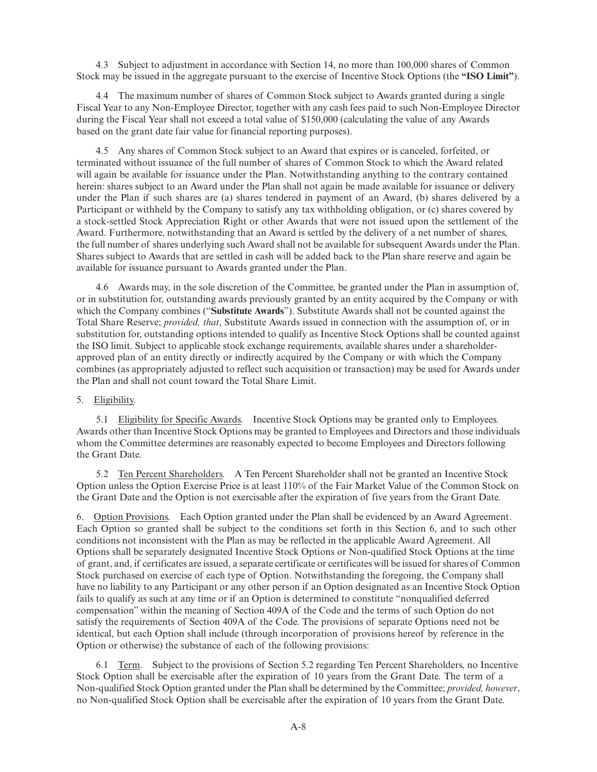4.3 Subject to adjustment in accordance with Section 14, no more than 100,000 shares of Common Stock may be issued in the aggregate pursuant to the exercise of Incentive Stock Options (the **"ISO Limit"**).

4.4 The maximum number of shares of Common Stock subject to Awards granted during a single Fiscal Year to any Non-Employee Director, together with any cash fees paid to such Non-Employee Director during the Fiscal Year shall not exceed a total value of \$150,000 (calculating the value of any Awards based on the grant date fair value for financial reporting purposes).

4.5 Any shares of Common Stock subject to an Award that expires or is canceled, forfeited, or terminated without issuance of the full number of shares of Common Stock to which the Award related will again be available for issuance under the Plan. Notwithstanding anything to the contrary contained herein: shares subject to an Award under the Plan shall not again be made available for issuance or delivery under the Plan if such shares are (a) shares tendered in payment of an Award, (b) shares delivered by a Participant or withheld by the Company to satisfy any tax withholding obligation, or (c) shares covered by a stock-settled Stock Appreciation Right or other Awards that were not issued upon the settlement of the Award. Furthermore, notwithstanding that an Award is settled by the delivery of a net number of shares, the full number of shares underlying such Award shall not be available for subsequent Awards under the Plan. Shares subject to Awards that are settled in cash will be added back to the Plan share reserve and again be available for issuance pursuant to Awards granted under the Plan.

4.6 Awards may, in the sole discretion of the Committee, be granted under the Plan in assumption of, or in substitution for, outstanding awards previously granted by an entity acquired by the Company or with which the Company combines ("**Substitute Awards**"). Substitute Awards shall not be counted against the Total Share Reserve; *provided, that*, Substitute Awards issued in connection with the assumption of, or in substitution for, outstanding options intended to qualify as Incentive Stock Options shall be counted against the ISO limit. Subject to applicable stock exchange requirements, available shares under a shareholderapproved plan of an entity directly or indirectly acquired by the Company or with which the Company combines (as appropriately adjusted to reflect such acquisition or transaction) may be used for Awards under the Plan and shall not count toward the Total Share Limit.

## 5. Eligibility.

5.1 Eligibility for Specific Awards. Incentive Stock Options may be granted only to Employees. Awards other than Incentive Stock Options may be granted to Employees and Directors and those individuals whom the Committee determines are reasonably expected to become Employees and Directors following the Grant Date.

5.2 Ten Percent Shareholders. A Ten Percent Shareholder shall not be granted an Incentive Stock Option unless the Option Exercise Price is at least 110% of the Fair Market Value of the Common Stock on the Grant Date and the Option is not exercisable after the expiration of five years from the Grant Date.

6. Option Provisions. Each Option granted under the Plan shall be evidenced by an Award Agreement. Each Option so granted shall be subject to the conditions set forth in this Section 6, and to such other conditions not inconsistent with the Plan as may be reflected in the applicable Award Agreement. All Options shall be separately designated Incentive Stock Options or Non-qualified Stock Options at the time of grant, and, if certificates are issued, a separate certificate or certificates will be issued for shares of Common Stock purchased on exercise of each type of Option. Notwithstanding the foregoing, the Company shall have no liability to any Participant or any other person if an Option designated as an Incentive Stock Option fails to qualify as such at any time or if an Option is determined to constitute "nonqualified deferred compensation" within the meaning of Section 409A of the Code and the terms of such Option do not satisfy the requirements of Section 409A of the Code. The provisions of separate Options need not be identical, but each Option shall include (through incorporation of provisions hereof by reference in the Option or otherwise) the substance of each of the following provisions:

6.1 Term. Subject to the provisions of Section 5.2 regarding Ten Percent Shareholders, no Incentive Stock Option shall be exercisable after the expiration of 10 years from the Grant Date. The term of a Non-qualified Stock Option granted under the Plan shall be determined by the Committee; *provided, however*, no Non-qualified Stock Option shall be exercisable after the expiration of 10 years from the Grant Date.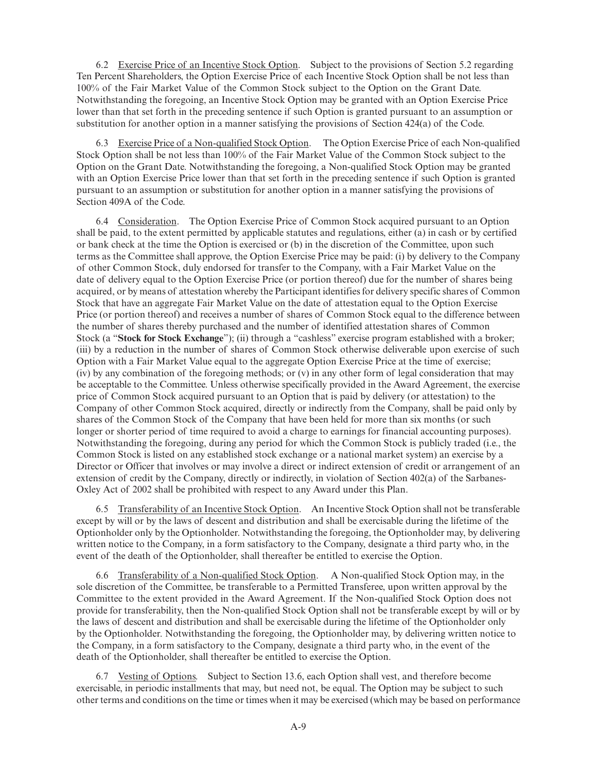6.2 Exercise Price of an Incentive Stock Option. Subject to the provisions of Section 5.2 regarding Ten Percent Shareholders, the Option Exercise Price of each Incentive Stock Option shall be not less than 100% of the Fair Market Value of the Common Stock subject to the Option on the Grant Date. Notwithstanding the foregoing, an Incentive Stock Option may be granted with an Option Exercise Price lower than that set forth in the preceding sentence if such Option is granted pursuant to an assumption or substitution for another option in a manner satisfying the provisions of Section 424(a) of the Code.

6.3 Exercise Price of a Non-qualified Stock Option. The Option Exercise Price of each Non-qualified Stock Option shall be not less than 100% of the Fair Market Value of the Common Stock subject to the Option on the Grant Date. Notwithstanding the foregoing, a Non-qualified Stock Option may be granted with an Option Exercise Price lower than that set forth in the preceding sentence if such Option is granted pursuant to an assumption or substitution for another option in a manner satisfying the provisions of Section 409A of the Code.

6.4 Consideration. The Option Exercise Price of Common Stock acquired pursuant to an Option shall be paid, to the extent permitted by applicable statutes and regulations, either (a) in cash or by certified or bank check at the time the Option is exercised or (b) in the discretion of the Committee, upon such terms as the Committee shall approve, the Option Exercise Price may be paid: (i) by delivery to the Company of other Common Stock, duly endorsed for transfer to the Company, with a Fair Market Value on the date of delivery equal to the Option Exercise Price (or portion thereof) due for the number of shares being acquired, or by means of attestation whereby the Participant identifies for delivery specific shares of Common Stock that have an aggregate Fair Market Value on the date of attestation equal to the Option Exercise Price (or portion thereof) and receives a number of shares of Common Stock equal to the difference between the number of shares thereby purchased and the number of identified attestation shares of Common Stock (a "**Stock for Stock Exchange**"); (ii) through a "cashless" exercise program established with a broker; (iii) by a reduction in the number of shares of Common Stock otherwise deliverable upon exercise of such Option with a Fair Market Value equal to the aggregate Option Exercise Price at the time of exercise; (iv) by any combination of the foregoing methods; or (v) in any other form of legal consideration that may be acceptable to the Committee. Unless otherwise specifically provided in the Award Agreement, the exercise price of Common Stock acquired pursuant to an Option that is paid by delivery (or attestation) to the Company of other Common Stock acquired, directly or indirectly from the Company, shall be paid only by shares of the Common Stock of the Company that have been held for more than six months (or such longer or shorter period of time required to avoid a charge to earnings for financial accounting purposes). Notwithstanding the foregoing, during any period for which the Common Stock is publicly traded (i.e., the Common Stock is listed on any established stock exchange or a national market system) an exercise by a Director or Officer that involves or may involve a direct or indirect extension of credit or arrangement of an extension of credit by the Company, directly or indirectly, in violation of Section 402(a) of the Sarbanes-Oxley Act of 2002 shall be prohibited with respect to any Award under this Plan.

6.5 Transferability of an Incentive Stock Option. An Incentive Stock Option shall not be transferable except by will or by the laws of descent and distribution and shall be exercisable during the lifetime of the Optionholder only by the Optionholder. Notwithstanding the foregoing, the Optionholder may, by delivering written notice to the Company, in a form satisfactory to the Company, designate a third party who, in the event of the death of the Optionholder, shall thereafter be entitled to exercise the Option.

6.6 Transferability of a Non-qualified Stock Option. A Non-qualified Stock Option may, in the sole discretion of the Committee, be transferable to a Permitted Transferee, upon written approval by the Committee to the extent provided in the Award Agreement. If the Non-qualified Stock Option does not provide for transferability, then the Non-qualified Stock Option shall not be transferable except by will or by the laws of descent and distribution and shall be exercisable during the lifetime of the Optionholder only by the Optionholder. Notwithstanding the foregoing, the Optionholder may, by delivering written notice to the Company, in a form satisfactory to the Company, designate a third party who, in the event of the death of the Optionholder, shall thereafter be entitled to exercise the Option.

6.7 Vesting of Options. Subject to Section 13.6, each Option shall vest, and therefore become exercisable, in periodic installments that may, but need not, be equal. The Option may be subject to such other terms and conditions on the time or times when it may be exercised (which may be based on performance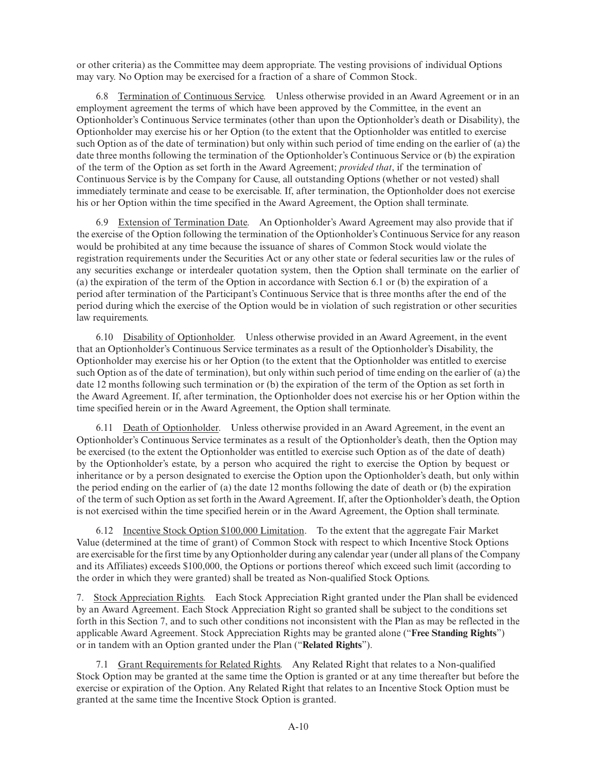or other criteria) as the Committee may deem appropriate. The vesting provisions of individual Options may vary. No Option may be exercised for a fraction of a share of Common Stock.

6.8 Termination of Continuous Service. Unless otherwise provided in an Award Agreement or in an employment agreement the terms of which have been approved by the Committee, in the event an Optionholder's Continuous Service terminates (other than upon the Optionholder's death or Disability), the Optionholder may exercise his or her Option (to the extent that the Optionholder was entitled to exercise such Option as of the date of termination) but only within such period of time ending on the earlier of (a) the date three months following the termination of the Optionholder's Continuous Service or (b) the expiration of the term of the Option as set forth in the Award Agreement; *provided that*, if the termination of Continuous Service is by the Company for Cause, all outstanding Options (whether or not vested) shall immediately terminate and cease to be exercisable. If, after termination, the Optionholder does not exercise his or her Option within the time specified in the Award Agreement, the Option shall terminate.

6.9 Extension of Termination Date. An Optionholder's Award Agreement may also provide that if the exercise of the Option following the termination of the Optionholder's Continuous Service for any reason would be prohibited at any time because the issuance of shares of Common Stock would violate the registration requirements under the Securities Act or any other state or federal securities law or the rules of any securities exchange or interdealer quotation system, then the Option shall terminate on the earlier of (a) the expiration of the term of the Option in accordance with Section 6.1 or (b) the expiration of a period after termination of the Participant's Continuous Service that is three months after the end of the period during which the exercise of the Option would be in violation of such registration or other securities law requirements.

6.10 Disability of Optionholder. Unless otherwise provided in an Award Agreement, in the event that an Optionholder's Continuous Service terminates as a result of the Optionholder's Disability, the Optionholder may exercise his or her Option (to the extent that the Optionholder was entitled to exercise such Option as of the date of termination), but only within such period of time ending on the earlier of (a) the date 12 months following such termination or (b) the expiration of the term of the Option as set forth in the Award Agreement. If, after termination, the Optionholder does not exercise his or her Option within the time specified herein or in the Award Agreement, the Option shall terminate.

6.11 Death of Optionholder. Unless otherwise provided in an Award Agreement, in the event an Optionholder's Continuous Service terminates as a result of the Optionholder's death, then the Option may be exercised (to the extent the Optionholder was entitled to exercise such Option as of the date of death) by the Optionholder's estate, by a person who acquired the right to exercise the Option by bequest or inheritance or by a person designated to exercise the Option upon the Optionholder's death, but only within the period ending on the earlier of (a) the date 12 months following the date of death or (b) the expiration of the term of such Option as set forth in the Award Agreement. If, after the Optionholder's death, the Option is not exercised within the time specified herein or in the Award Agreement, the Option shall terminate.

6.12 Incentive Stock Option \$100,000 Limitation. To the extent that the aggregate Fair Market Value (determined at the time of grant) of Common Stock with respect to which Incentive Stock Options are exercisable for the first time by any Optionholder during any calendar year (under all plans of the Company and its Affiliates) exceeds \$100,000, the Options or portions thereof which exceed such limit (according to the order in which they were granted) shall be treated as Non-qualified Stock Options.

7. Stock Appreciation Rights. Each Stock Appreciation Right granted under the Plan shall be evidenced by an Award Agreement. Each Stock Appreciation Right so granted shall be subject to the conditions set forth in this Section 7, and to such other conditions not inconsistent with the Plan as may be reflected in the applicable Award Agreement. Stock Appreciation Rights may be granted alone ("**Free Standing Rights**") or in tandem with an Option granted under the Plan ("**Related Rights**").

7.1 Grant Requirements for Related Rights. Any Related Right that relates to a Non-qualified Stock Option may be granted at the same time the Option is granted or at any time thereafter but before the exercise or expiration of the Option. Any Related Right that relates to an Incentive Stock Option must be granted at the same time the Incentive Stock Option is granted.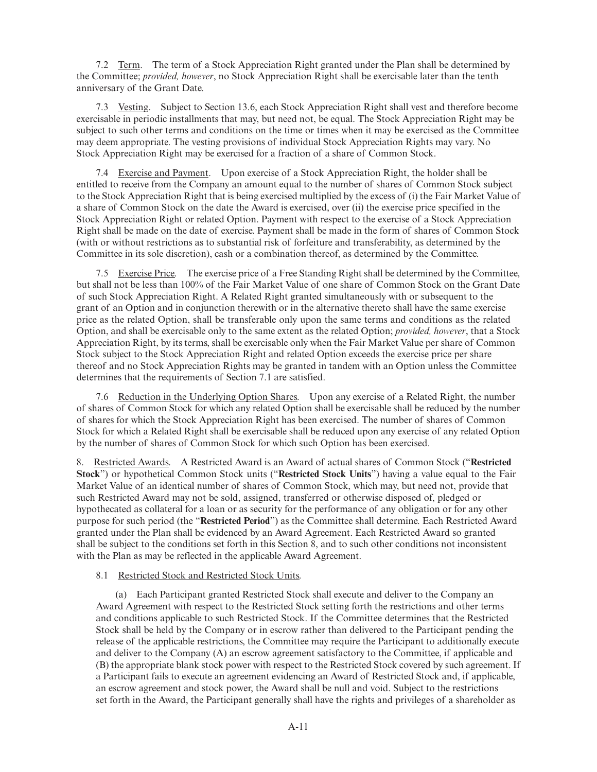7.2 Term. The term of a Stock Appreciation Right granted under the Plan shall be determined by the Committee; *provided, however*, no Stock Appreciation Right shall be exercisable later than the tenth anniversary of the Grant Date.

7.3 Vesting. Subject to Section 13.6, each Stock Appreciation Right shall vest and therefore become exercisable in periodic installments that may, but need not, be equal. The Stock Appreciation Right may be subject to such other terms and conditions on the time or times when it may be exercised as the Committee may deem appropriate. The vesting provisions of individual Stock Appreciation Rights may vary. No Stock Appreciation Right may be exercised for a fraction of a share of Common Stock.

7.4 Exercise and Payment. Upon exercise of a Stock Appreciation Right, the holder shall be entitled to receive from the Company an amount equal to the number of shares of Common Stock subject to the Stock Appreciation Right that is being exercised multiplied by the excess of (i) the Fair Market Value of a share of Common Stock on the date the Award is exercised, over (ii) the exercise price specified in the Stock Appreciation Right or related Option. Payment with respect to the exercise of a Stock Appreciation Right shall be made on the date of exercise. Payment shall be made in the form of shares of Common Stock (with or without restrictions as to substantial risk of forfeiture and transferability, as determined by the Committee in its sole discretion), cash or a combination thereof, as determined by the Committee.

7.5 Exercise Price. The exercise price of a Free Standing Right shall be determined by the Committee, but shall not be less than 100% of the Fair Market Value of one share of Common Stock on the Grant Date of such Stock Appreciation Right. A Related Right granted simultaneously with or subsequent to the grant of an Option and in conjunction therewith or in the alternative thereto shall have the same exercise price as the related Option, shall be transferable only upon the same terms and conditions as the related Option, and shall be exercisable only to the same extent as the related Option; *provided, however*, that a Stock Appreciation Right, by its terms, shall be exercisable only when the Fair Market Value per share of Common Stock subject to the Stock Appreciation Right and related Option exceeds the exercise price per share thereof and no Stock Appreciation Rights may be granted in tandem with an Option unless the Committee determines that the requirements of Section 7.1 are satisfied.

7.6 Reduction in the Underlying Option Shares. Upon any exercise of a Related Right, the number of shares of Common Stock for which any related Option shall be exercisable shall be reduced by the number of shares for which the Stock Appreciation Right has been exercised. The number of shares of Common Stock for which a Related Right shall be exercisable shall be reduced upon any exercise of any related Option by the number of shares of Common Stock for which such Option has been exercised.

8. Restricted Awards. A Restricted Award is an Award of actual shares of Common Stock ("**Restricted Stock**") or hypothetical Common Stock units ("**Restricted Stock Units**") having a value equal to the Fair Market Value of an identical number of shares of Common Stock, which may, but need not, provide that such Restricted Award may not be sold, assigned, transferred or otherwise disposed of, pledged or hypothecated as collateral for a loan or as security for the performance of any obligation or for any other purpose for such period (the "**Restricted Period**") as the Committee shall determine. Each Restricted Award granted under the Plan shall be evidenced by an Award Agreement. Each Restricted Award so granted shall be subject to the conditions set forth in this Section 8, and to such other conditions not inconsistent with the Plan as may be reflected in the applicable Award Agreement.

## 8.1 Restricted Stock and Restricted Stock Units.

(a) Each Participant granted Restricted Stock shall execute and deliver to the Company an Award Agreement with respect to the Restricted Stock setting forth the restrictions and other terms and conditions applicable to such Restricted Stock. If the Committee determines that the Restricted Stock shall be held by the Company or in escrow rather than delivered to the Participant pending the release of the applicable restrictions, the Committee may require the Participant to additionally execute and deliver to the Company (A) an escrow agreement satisfactory to the Committee, if applicable and (B) the appropriate blank stock power with respect to the Restricted Stock covered by such agreement. If a Participant fails to execute an agreement evidencing an Award of Restricted Stock and, if applicable, an escrow agreement and stock power, the Award shall be null and void. Subject to the restrictions set forth in the Award, the Participant generally shall have the rights and privileges of a shareholder as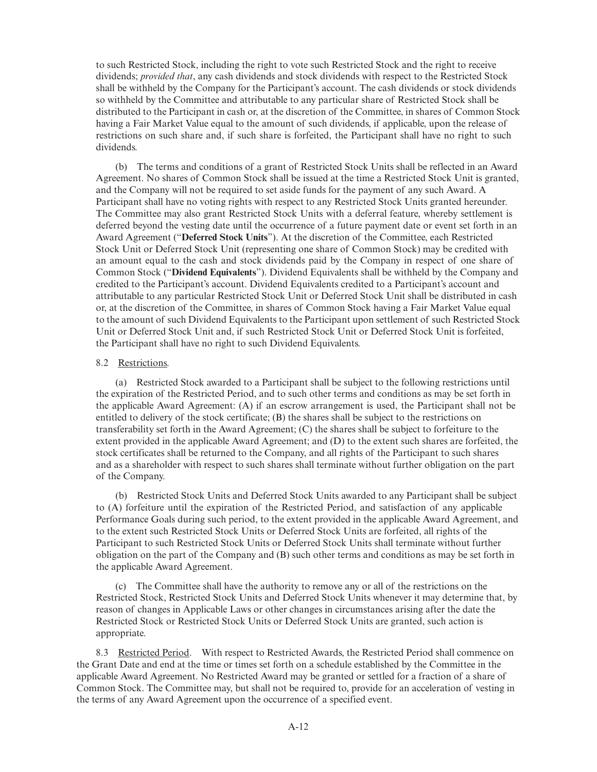to such Restricted Stock, including the right to vote such Restricted Stock and the right to receive dividends; *provided that*, any cash dividends and stock dividends with respect to the Restricted Stock shall be withheld by the Company for the Participant's account. The cash dividends or stock dividends so withheld by the Committee and attributable to any particular share of Restricted Stock shall be distributed to the Participant in cash or, at the discretion of the Committee, in shares of Common Stock having a Fair Market Value equal to the amount of such dividends, if applicable, upon the release of restrictions on such share and, if such share is forfeited, the Participant shall have no right to such dividends.

(b) The terms and conditions of a grant of Restricted Stock Units shall be reflected in an Award Agreement. No shares of Common Stock shall be issued at the time a Restricted Stock Unit is granted, and the Company will not be required to set aside funds for the payment of any such Award. A Participant shall have no voting rights with respect to any Restricted Stock Units granted hereunder. The Committee may also grant Restricted Stock Units with a deferral feature, whereby settlement is deferred beyond the vesting date until the occurrence of a future payment date or event set forth in an Award Agreement ("**Deferred Stock Units**"). At the discretion of the Committee, each Restricted Stock Unit or Deferred Stock Unit (representing one share of Common Stock) may be credited with an amount equal to the cash and stock dividends paid by the Company in respect of one share of Common Stock ("**Dividend Equivalents**"). Dividend Equivalents shall be withheld by the Company and credited to the Participant's account. Dividend Equivalents credited to a Participant's account and attributable to any particular Restricted Stock Unit or Deferred Stock Unit shall be distributed in cash or, at the discretion of the Committee, in shares of Common Stock having a Fair Market Value equal to the amount of such Dividend Equivalents to the Participant upon settlement of such Restricted Stock Unit or Deferred Stock Unit and, if such Restricted Stock Unit or Deferred Stock Unit is forfeited, the Participant shall have no right to such Dividend Equivalents.

## 8.2 Restrictions.

(a) Restricted Stock awarded to a Participant shall be subject to the following restrictions until the expiration of the Restricted Period, and to such other terms and conditions as may be set forth in the applicable Award Agreement: (A) if an escrow arrangement is used, the Participant shall not be entitled to delivery of the stock certificate; (B) the shares shall be subject to the restrictions on transferability set forth in the Award Agreement; (C) the shares shall be subject to forfeiture to the extent provided in the applicable Award Agreement; and (D) to the extent such shares are forfeited, the stock certificates shall be returned to the Company, and all rights of the Participant to such shares and as a shareholder with respect to such shares shall terminate without further obligation on the part of the Company.

(b) Restricted Stock Units and Deferred Stock Units awarded to any Participant shall be subject to (A) forfeiture until the expiration of the Restricted Period, and satisfaction of any applicable Performance Goals during such period, to the extent provided in the applicable Award Agreement, and to the extent such Restricted Stock Units or Deferred Stock Units are forfeited, all rights of the Participant to such Restricted Stock Units or Deferred Stock Units shall terminate without further obligation on the part of the Company and (B) such other terms and conditions as may be set forth in the applicable Award Agreement.

(c) The Committee shall have the authority to remove any or all of the restrictions on the Restricted Stock, Restricted Stock Units and Deferred Stock Units whenever it may determine that, by reason of changes in Applicable Laws or other changes in circumstances arising after the date the Restricted Stock or Restricted Stock Units or Deferred Stock Units are granted, such action is appropriate.

8.3 Restricted Period. With respect to Restricted Awards, the Restricted Period shall commence on the Grant Date and end at the time or times set forth on a schedule established by the Committee in the applicable Award Agreement. No Restricted Award may be granted or settled for a fraction of a share of Common Stock. The Committee may, but shall not be required to, provide for an acceleration of vesting in the terms of any Award Agreement upon the occurrence of a specified event.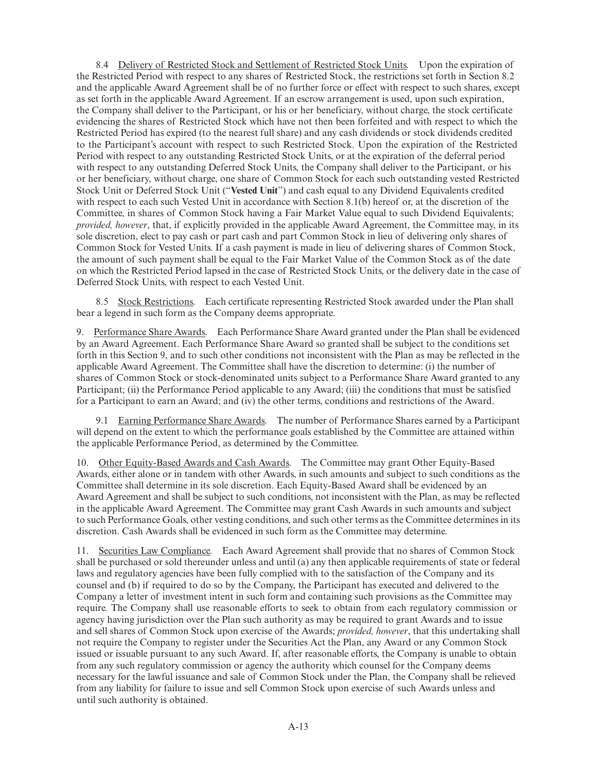8.4 Delivery of Restricted Stock and Settlement of Restricted Stock Units. Upon the expiration of the Restricted Period with respect to any shares of Restricted Stock, the restrictions set forth in Section 8.2 and the applicable Award Agreement shall be of no further force or effect with respect to such shares, except as set forth in the applicable Award Agreement. If an escrow arrangement is used, upon such expiration, the Company shall deliver to the Participant, or his or her beneficiary, without charge, the stock certificate evidencing the shares of Restricted Stock which have not then been forfeited and with respect to which the Restricted Period has expired (to the nearest full share) and any cash dividends or stock dividends credited to the Participant's account with respect to such Restricted Stock. Upon the expiration of the Restricted Period with respect to any outstanding Restricted Stock Units, or at the expiration of the deferral period with respect to any outstanding Deferred Stock Units, the Company shall deliver to the Participant, or his or her beneficiary, without charge, one share of Common Stock for each such outstanding vested Restricted Stock Unit or Deferred Stock Unit ("**Vested Unit**") and cash equal to any Dividend Equivalents credited with respect to each such Vested Unit in accordance with Section 8.1(b) hereof or, at the discretion of the Committee, in shares of Common Stock having a Fair Market Value equal to such Dividend Equivalents; *provided, however*, that, if explicitly provided in the applicable Award Agreement, the Committee may, in its sole discretion, elect to pay cash or part cash and part Common Stock in lieu of delivering only shares of Common Stock for Vested Units. If a cash payment is made in lieu of delivering shares of Common Stock, the amount of such payment shall be equal to the Fair Market Value of the Common Stock as of the date on which the Restricted Period lapsed in the case of Restricted Stock Units, or the delivery date in the case of Deferred Stock Units, with respect to each Vested Unit.

8.5 Stock Restrictions. Each certificate representing Restricted Stock awarded under the Plan shall bear a legend in such form as the Company deems appropriate.

9. Performance Share Awards. Each Performance Share Award granted under the Plan shall be evidenced by an Award Agreement. Each Performance Share Award so granted shall be subject to the conditions set forth in this Section 9, and to such other conditions not inconsistent with the Plan as may be reflected in the applicable Award Agreement. The Committee shall have the discretion to determine: (i) the number of shares of Common Stock or stock-denominated units subject to a Performance Share Award granted to any Participant; (ii) the Performance Period applicable to any Award; (iii) the conditions that must be satisfied for a Participant to earn an Award; and (iv) the other terms, conditions and restrictions of the Award.

9.1 Earning Performance Share Awards. The number of Performance Shares earned by a Participant will depend on the extent to which the performance goals established by the Committee are attained within the applicable Performance Period, as determined by the Committee.

10. Other Equity-Based Awards and Cash Awards. The Committee may grant Other Equity-Based Awards, either alone or in tandem with other Awards, in such amounts and subject to such conditions as the Committee shall determine in its sole discretion. Each Equity-Based Award shall be evidenced by an Award Agreement and shall be subject to such conditions, not inconsistent with the Plan, as may be reflected in the applicable Award Agreement. The Committee may grant Cash Awards in such amounts and subject to such Performance Goals, other vesting conditions, and such other terms as the Committee determines in its discretion. Cash Awards shall be evidenced in such form as the Committee may determine.

11. Securities Law Compliance. Each Award Agreement shall provide that no shares of Common Stock shall be purchased or sold thereunder unless and until (a) any then applicable requirements of state or federal laws and regulatory agencies have been fully complied with to the satisfaction of the Company and its counsel and (b) if required to do so by the Company, the Participant has executed and delivered to the Company a letter of investment intent in such form and containing such provisions as the Committee may require. The Company shall use reasonable efforts to seek to obtain from each regulatory commission or agency having jurisdiction over the Plan such authority as may be required to grant Awards and to issue and sell shares of Common Stock upon exercise of the Awards; *provided, however*, that this undertaking shall not require the Company to register under the Securities Act the Plan, any Award or any Common Stock issued or issuable pursuant to any such Award. If, after reasonable efforts, the Company is unable to obtain from any such regulatory commission or agency the authority which counsel for the Company deems necessary for the lawful issuance and sale of Common Stock under the Plan, the Company shall be relieved from any liability for failure to issue and sell Common Stock upon exercise of such Awards unless and until such authority is obtained.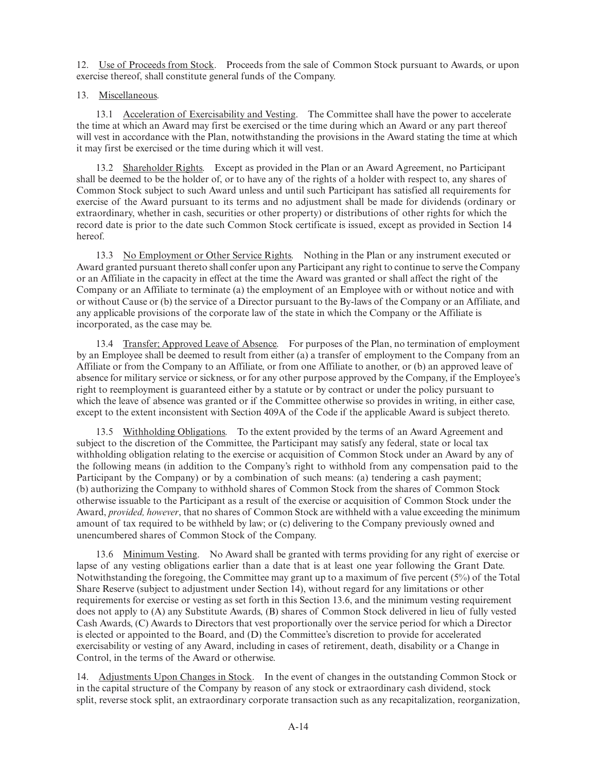12. Use of Proceeds from Stock. Proceeds from the sale of Common Stock pursuant to Awards, or upon exercise thereof, shall constitute general funds of the Company.

## 13. Miscellaneous.

13.1 Acceleration of Exercisability and Vesting. The Committee shall have the power to accelerate the time at which an Award may first be exercised or the time during which an Award or any part thereof will vest in accordance with the Plan, notwithstanding the provisions in the Award stating the time at which it may first be exercised or the time during which it will vest.

13.2 Shareholder Rights. Except as provided in the Plan or an Award Agreement, no Participant shall be deemed to be the holder of, or to have any of the rights of a holder with respect to, any shares of Common Stock subject to such Award unless and until such Participant has satisfied all requirements for exercise of the Award pursuant to its terms and no adjustment shall be made for dividends (ordinary or extraordinary, whether in cash, securities or other property) or distributions of other rights for which the record date is prior to the date such Common Stock certificate is issued, except as provided in Section 14 hereof.

13.3 No Employment or Other Service Rights. Nothing in the Plan or any instrument executed or Award granted pursuant thereto shall confer upon any Participant any right to continue to serve the Company or an Affiliate in the capacity in effect at the time the Award was granted or shall affect the right of the Company or an Affiliate to terminate (a) the employment of an Employee with or without notice and with or without Cause or (b) the service of a Director pursuant to the By-laws of the Company or an Affiliate, and any applicable provisions of the corporate law of the state in which the Company or the Affiliate is incorporated, as the case may be.

13.4 Transfer; Approved Leave of Absence. For purposes of the Plan, no termination of employment by an Employee shall be deemed to result from either (a) a transfer of employment to the Company from an Affiliate or from the Company to an Affiliate, or from one Affiliate to another, or (b) an approved leave of absence for military service or sickness, or for any other purpose approved by the Company, if the Employee's right to reemployment is guaranteed either by a statute or by contract or under the policy pursuant to which the leave of absence was granted or if the Committee otherwise so provides in writing, in either case, except to the extent inconsistent with Section 409A of the Code if the applicable Award is subject thereto.

13.5 Withholding Obligations. To the extent provided by the terms of an Award Agreement and subject to the discretion of the Committee, the Participant may satisfy any federal, state or local tax withholding obligation relating to the exercise or acquisition of Common Stock under an Award by any of the following means (in addition to the Company's right to withhold from any compensation paid to the Participant by the Company) or by a combination of such means: (a) tendering a cash payment; (b) authorizing the Company to withhold shares of Common Stock from the shares of Common Stock otherwise issuable to the Participant as a result of the exercise or acquisition of Common Stock under the Award, *provided, however*, that no shares of Common Stock are withheld with a value exceeding the minimum amount of tax required to be withheld by law; or (c) delivering to the Company previously owned and unencumbered shares of Common Stock of the Company.

13.6 Minimum Vesting. No Award shall be granted with terms providing for any right of exercise or lapse of any vesting obligations earlier than a date that is at least one year following the Grant Date. Notwithstanding the foregoing, the Committee may grant up to a maximum of five percent (5%) of the Total Share Reserve (subject to adjustment under Section 14), without regard for any limitations or other requirements for exercise or vesting as set forth in this Section 13.6, and the minimum vesting requirement does not apply to (A) any Substitute Awards, (B) shares of Common Stock delivered in lieu of fully vested Cash Awards, (C) Awards to Directors that vest proportionally over the service period for which a Director is elected or appointed to the Board, and (D) the Committee's discretion to provide for accelerated exercisability or vesting of any Award, including in cases of retirement, death, disability or a Change in Control, in the terms of the Award or otherwise.

14. Adjustments Upon Changes in Stock. In the event of changes in the outstanding Common Stock or in the capital structure of the Company by reason of any stock or extraordinary cash dividend, stock split, reverse stock split, an extraordinary corporate transaction such as any recapitalization, reorganization,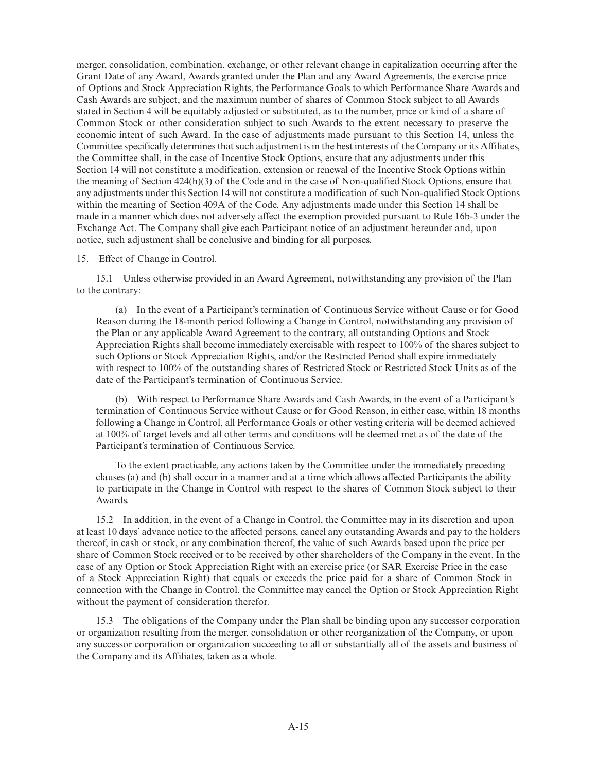merger, consolidation, combination, exchange, or other relevant change in capitalization occurring after the Grant Date of any Award, Awards granted under the Plan and any Award Agreements, the exercise price of Options and Stock Appreciation Rights, the Performance Goals to which Performance Share Awards and Cash Awards are subject, and the maximum number of shares of Common Stock subject to all Awards stated in Section 4 will be equitably adjusted or substituted, as to the number, price or kind of a share of Common Stock or other consideration subject to such Awards to the extent necessary to preserve the economic intent of such Award. In the case of adjustments made pursuant to this Section 14, unless the Committee specifically determines that such adjustment is in the best interests of the Company or its Affiliates, the Committee shall, in the case of Incentive Stock Options, ensure that any adjustments under this Section 14 will not constitute a modification, extension or renewal of the Incentive Stock Options within the meaning of Section 424(h)(3) of the Code and in the case of Non-qualified Stock Options, ensure that any adjustments under this Section 14 will not constitute a modification of such Non-qualified Stock Options within the meaning of Section 409A of the Code. Any adjustments made under this Section 14 shall be made in a manner which does not adversely affect the exemption provided pursuant to Rule 16b-3 under the Exchange Act. The Company shall give each Participant notice of an adjustment hereunder and, upon notice, such adjustment shall be conclusive and binding for all purposes.

## 15. Effect of Change in Control.

15.1 Unless otherwise provided in an Award Agreement, notwithstanding any provision of the Plan to the contrary:

(a) In the event of a Participant's termination of Continuous Service without Cause or for Good Reason during the 18-month period following a Change in Control, notwithstanding any provision of the Plan or any applicable Award Agreement to the contrary, all outstanding Options and Stock Appreciation Rights shall become immediately exercisable with respect to 100% of the shares subject to such Options or Stock Appreciation Rights, and/or the Restricted Period shall expire immediately with respect to 100% of the outstanding shares of Restricted Stock or Restricted Stock Units as of the date of the Participant's termination of Continuous Service.

(b) With respect to Performance Share Awards and Cash Awards, in the event of a Participant's termination of Continuous Service without Cause or for Good Reason, in either case, within 18 months following a Change in Control, all Performance Goals or other vesting criteria will be deemed achieved at 100% of target levels and all other terms and conditions will be deemed met as of the date of the Participant's termination of Continuous Service.

To the extent practicable, any actions taken by the Committee under the immediately preceding clauses (a) and (b) shall occur in a manner and at a time which allows affected Participants the ability to participate in the Change in Control with respect to the shares of Common Stock subject to their Awards.

15.2 In addition, in the event of a Change in Control, the Committee may in its discretion and upon at least 10 days' advance notice to the affected persons, cancel any outstanding Awards and pay to the holders thereof, in cash or stock, or any combination thereof, the value of such Awards based upon the price per share of Common Stock received or to be received by other shareholders of the Company in the event. In the case of any Option or Stock Appreciation Right with an exercise price (or SAR Exercise Price in the case of a Stock Appreciation Right) that equals or exceeds the price paid for a share of Common Stock in connection with the Change in Control, the Committee may cancel the Option or Stock Appreciation Right without the payment of consideration therefor.

15.3 The obligations of the Company under the Plan shall be binding upon any successor corporation or organization resulting from the merger, consolidation or other reorganization of the Company, or upon any successor corporation or organization succeeding to all or substantially all of the assets and business of the Company and its Affiliates, taken as a whole.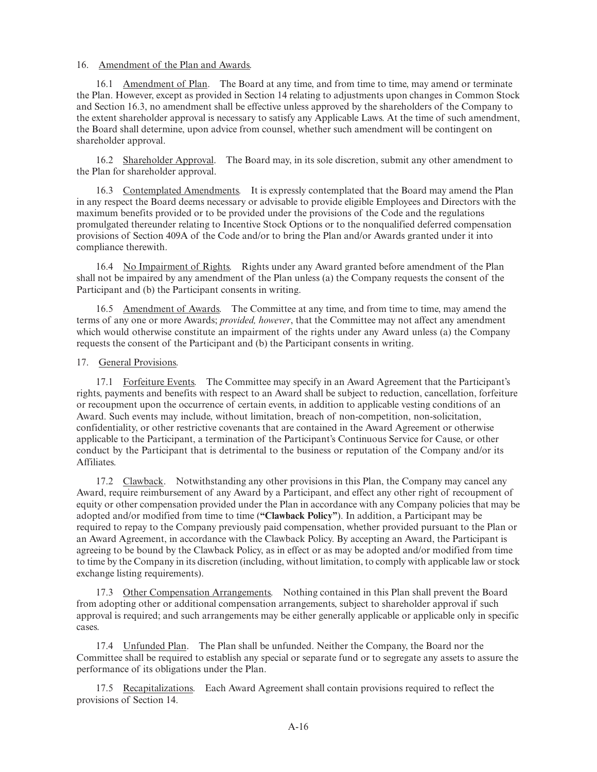## 16. Amendment of the Plan and Awards.

16.1 Amendment of Plan. The Board at any time, and from time to time, may amend or terminate the Plan. However, except as provided in Section 14 relating to adjustments upon changes in Common Stock and Section 16.3, no amendment shall be effective unless approved by the shareholders of the Company to the extent shareholder approval is necessary to satisfy any Applicable Laws. At the time of such amendment, the Board shall determine, upon advice from counsel, whether such amendment will be contingent on shareholder approval.

16.2 Shareholder Approval. The Board may, in its sole discretion, submit any other amendment to the Plan for shareholder approval.

16.3 Contemplated Amendments. It is expressly contemplated that the Board may amend the Plan in any respect the Board deems necessary or advisable to provide eligible Employees and Directors with the maximum benefits provided or to be provided under the provisions of the Code and the regulations promulgated thereunder relating to Incentive Stock Options or to the nonqualified deferred compensation provisions of Section 409A of the Code and/or to bring the Plan and/or Awards granted under it into compliance therewith.

16.4 No Impairment of Rights. Rights under any Award granted before amendment of the Plan shall not be impaired by any amendment of the Plan unless (a) the Company requests the consent of the Participant and (b) the Participant consents in writing.

16.5 Amendment of Awards. The Committee at any time, and from time to time, may amend the terms of any one or more Awards; *provided, however*, that the Committee may not affect any amendment which would otherwise constitute an impairment of the rights under any Award unless (a) the Company requests the consent of the Participant and (b) the Participant consents in writing.

## 17. General Provisions.

17.1 Forfeiture Events. The Committee may specify in an Award Agreement that the Participant's rights, payments and benefits with respect to an Award shall be subject to reduction, cancellation, forfeiture or recoupment upon the occurrence of certain events, in addition to applicable vesting conditions of an Award. Such events may include, without limitation, breach of non-competition, non-solicitation, confidentiality, or other restrictive covenants that are contained in the Award Agreement or otherwise applicable to the Participant, a termination of the Participant's Continuous Service for Cause, or other conduct by the Participant that is detrimental to the business or reputation of the Company and/or its Affiliates.

17.2 Clawback. Notwithstanding any other provisions in this Plan, the Company may cancel any Award, require reimbursement of any Award by a Participant, and effect any other right of recoupment of equity or other compensation provided under the Plan in accordance with any Company policies that may be adopted and/or modified from time to time (**"Clawback Policy"**). In addition, a Participant may be required to repay to the Company previously paid compensation, whether provided pursuant to the Plan or an Award Agreement, in accordance with the Clawback Policy. By accepting an Award, the Participant is agreeing to be bound by the Clawback Policy, as in effect or as may be adopted and/or modified from time to time by the Company in its discretion (including, without limitation, to comply with applicable law or stock exchange listing requirements).

17.3 Other Compensation Arrangements. Nothing contained in this Plan shall prevent the Board from adopting other or additional compensation arrangements, subject to shareholder approval if such approval is required; and such arrangements may be either generally applicable or applicable only in specific cases.

17.4 Unfunded Plan. The Plan shall be unfunded. Neither the Company, the Board nor the Committee shall be required to establish any special or separate fund or to segregate any assets to assure the performance of its obligations under the Plan.

17.5 Recapitalizations. Each Award Agreement shall contain provisions required to reflect the provisions of Section 14.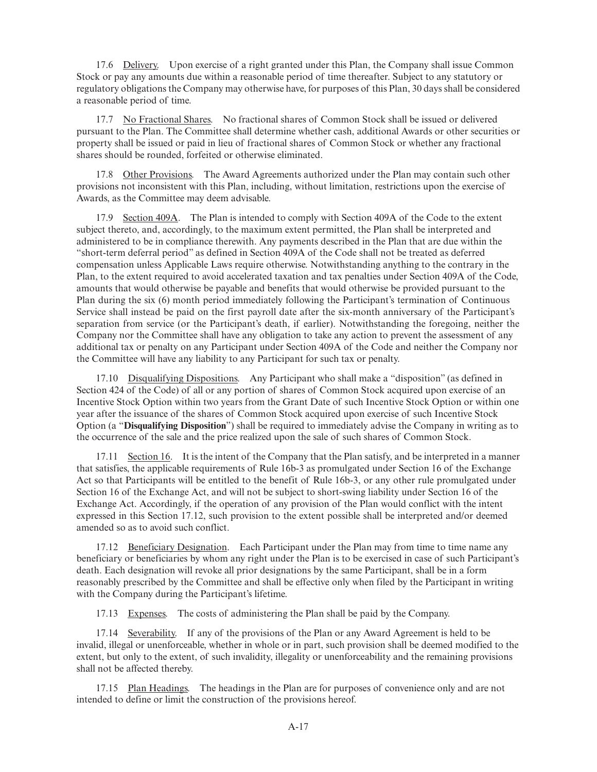17.6 Delivery. Upon exercise of a right granted under this Plan, the Company shall issue Common Stock or pay any amounts due within a reasonable period of time thereafter. Subject to any statutory or regulatory obligations the Company may otherwise have, for purposes of this Plan, 30 days shall be considered a reasonable period of time.

17.7 No Fractional Shares. No fractional shares of Common Stock shall be issued or delivered pursuant to the Plan. The Committee shall determine whether cash, additional Awards or other securities or property shall be issued or paid in lieu of fractional shares of Common Stock or whether any fractional shares should be rounded, forfeited or otherwise eliminated.

17.8 Other Provisions. The Award Agreements authorized under the Plan may contain such other provisions not inconsistent with this Plan, including, without limitation, restrictions upon the exercise of Awards, as the Committee may deem advisable.

17.9 Section 409A. The Plan is intended to comply with Section 409A of the Code to the extent subject thereto, and, accordingly, to the maximum extent permitted, the Plan shall be interpreted and administered to be in compliance therewith. Any payments described in the Plan that are due within the "short-term deferral period" as defined in Section 409A of the Code shall not be treated as deferred compensation unless Applicable Laws require otherwise. Notwithstanding anything to the contrary in the Plan, to the extent required to avoid accelerated taxation and tax penalties under Section 409A of the Code, amounts that would otherwise be payable and benefits that would otherwise be provided pursuant to the Plan during the six (6) month period immediately following the Participant's termination of Continuous Service shall instead be paid on the first payroll date after the six-month anniversary of the Participant's separation from service (or the Participant's death, if earlier). Notwithstanding the foregoing, neither the Company nor the Committee shall have any obligation to take any action to prevent the assessment of any additional tax or penalty on any Participant under Section 409A of the Code and neither the Company nor the Committee will have any liability to any Participant for such tax or penalty.

17.10 Disqualifying Dispositions. Any Participant who shall make a "disposition" (as defined in Section 424 of the Code) of all or any portion of shares of Common Stock acquired upon exercise of an Incentive Stock Option within two years from the Grant Date of such Incentive Stock Option or within one year after the issuance of the shares of Common Stock acquired upon exercise of such Incentive Stock Option (a "**Disqualifying Disposition**") shall be required to immediately advise the Company in writing as to the occurrence of the sale and the price realized upon the sale of such shares of Common Stock.

17.11 Section 16. It is the intent of the Company that the Plan satisfy, and be interpreted in a manner that satisfies, the applicable requirements of Rule 16b-3 as promulgated under Section 16 of the Exchange Act so that Participants will be entitled to the benefit of Rule 16b-3, or any other rule promulgated under Section 16 of the Exchange Act, and will not be subject to short-swing liability under Section 16 of the Exchange Act. Accordingly, if the operation of any provision of the Plan would conflict with the intent expressed in this Section 17.12, such provision to the extent possible shall be interpreted and/or deemed amended so as to avoid such conflict.

17.12 Beneficiary Designation. Each Participant under the Plan may from time to time name any beneficiary or beneficiaries by whom any right under the Plan is to be exercised in case of such Participant's death. Each designation will revoke all prior designations by the same Participant, shall be in a form reasonably prescribed by the Committee and shall be effective only when filed by the Participant in writing with the Company during the Participant's lifetime.

17.13 Expenses. The costs of administering the Plan shall be paid by the Company.

17.14 Severability. If any of the provisions of the Plan or any Award Agreement is held to be invalid, illegal or unenforceable, whether in whole or in part, such provision shall be deemed modified to the extent, but only to the extent, of such invalidity, illegality or unenforceability and the remaining provisions shall not be affected thereby.

17.15 Plan Headings. The headings in the Plan are for purposes of convenience only and are not intended to define or limit the construction of the provisions hereof.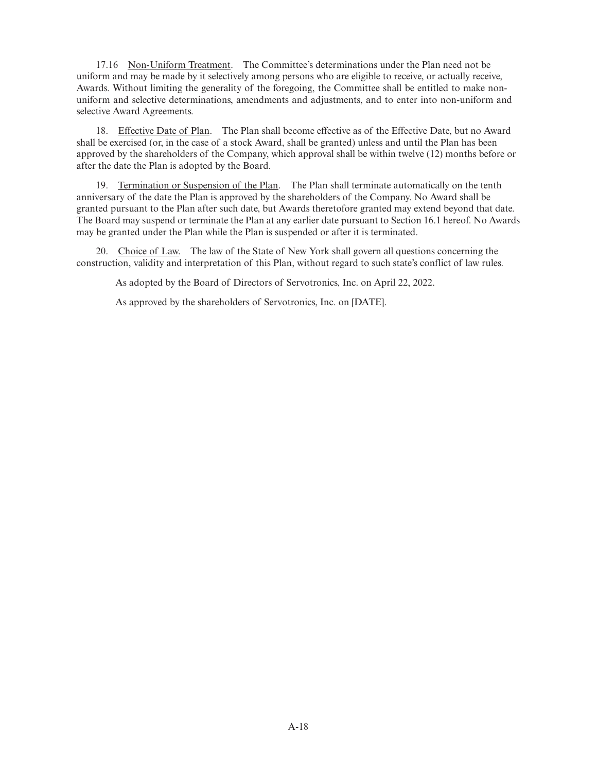17.16 Non-Uniform Treatment. The Committee's determinations under the Plan need not be uniform and may be made by it selectively among persons who are eligible to receive, or actually receive, Awards. Without limiting the generality of the foregoing, the Committee shall be entitled to make nonuniform and selective determinations, amendments and adjustments, and to enter into non-uniform and selective Award Agreements.

18. Effective Date of Plan. The Plan shall become effective as of the Effective Date, but no Award shall be exercised (or, in the case of a stock Award, shall be granted) unless and until the Plan has been approved by the shareholders of the Company, which approval shall be within twelve (12) months before or after the date the Plan is adopted by the Board.

19. Termination or Suspension of the Plan. The Plan shall terminate automatically on the tenth anniversary of the date the Plan is approved by the shareholders of the Company. No Award shall be granted pursuant to the Plan after such date, but Awards theretofore granted may extend beyond that date. The Board may suspend or terminate the Plan at any earlier date pursuant to Section 16.1 hereof. No Awards may be granted under the Plan while the Plan is suspended or after it is terminated.

20. Choice of Law. The law of the State of New York shall govern all questions concerning the construction, validity and interpretation of this Plan, without regard to such state's conflict of law rules.

As adopted by the Board of Directors of Servotronics, Inc. on April 22, 2022.

As approved by the shareholders of Servotronics, Inc. on [DATE].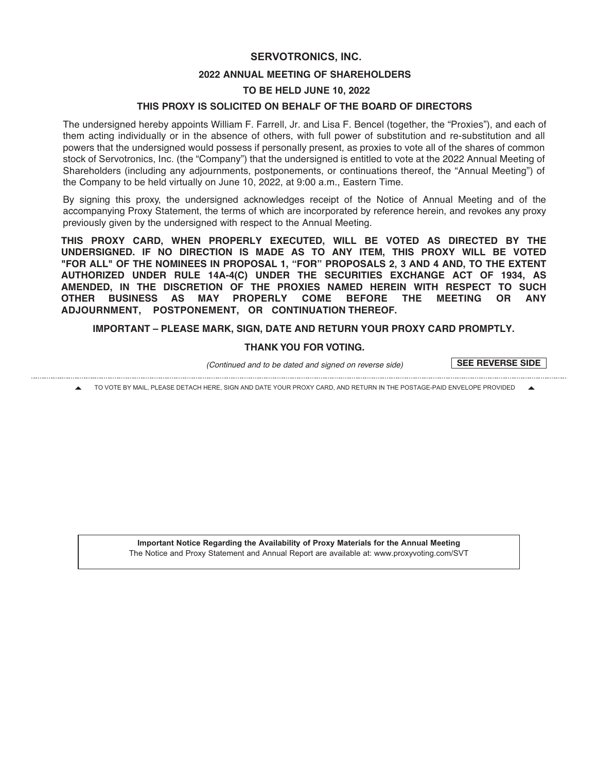# **SERVOTRONICS, INC. 2022 ANNUAL MEETING OF SHAREHOLDERS TO BE HELD JUNE 10, 2022**

## **THIS PROXY IS SOLICITED ON BEHALF OF THE BOARD OF DIRECTORS**

The undersigned hereby appoints William F. Farrell, Jr. and Lisa F. Bencel (together, the "Proxies"), and each of them acting individually or in the absence of others, with full power of substitution and re-substitution and all powers that the undersigned would possess if personally present, as proxies to vote all of the shares of common stock of Servotronics, Inc. (the "Company") that the undersigned is entitled to vote at the 2022 Annual Meeting of Shareholders (including any adjournments, postponements, or continuations thereof, the "Annual Meeting") of the Company to be held virtually on June 10, 2022, at 9:00 a.m., Eastern Time.

By signing this proxy, the undersigned acknowledges receipt of the Notice of Annual Meeting and of the accompanying Proxy Statement, the terms of which are incorporated by reference herein, and revokes any proxy previously given by the undersigned with respect to the Annual Meeting.

**THIS PROXY CARD, WHEN PROPERLY EXECUTED, WILL BE VOTED AS DIRECTED BY THE UNDERSIGNED. IF NO DIRECTION IS MADE AS TO ANY ITEM, THIS PROXY WILL BE VOTED "FOR ALL" OF THE NOMINEES IN PROPOSAL 1, "FOR" PROPOSALS 2, 3 AND 4 AND, TO THE EXTENT AUTHORIZED UNDER RULE 14A-4(C) UNDER THE SECURITIES EXCHANGE ACT OF 1934, AS AMENDED, IN THE DISCRETION OF THE PROXIES NAMED HEREIN WITH RESPECT TO SUCH OTHER BUSINESS AS MAY PROPERLY COME BEFORE THE MEETING OR ANY ADJOURNMENT, POSTPONEMENT, OR CONTINUATION THEREOF.** 

**IMPORTANT – PLEASE MARK, SIGN, DATE AND RETURN YOUR PROXY CARD PROMPTLY.** 

## **THANK YOU FOR VOTING.**

(Continued and to be dated and signed on reverse side) **SEE REVERSE SIDE**

TO VOTE BY MAIL, PLEASE DETACH HERE, SIGN AND DATE YOUR PROXY CARD, AND RETURN IN THE POSTAGE-PAID ENVELOPE PROVIDED

> **Important Notice Regarding the Availability of Proxy Materials for the Annual Meeting**  The Notice and Proxy Statement and Annual Report are available at: www.proxyvoting.com/SVT